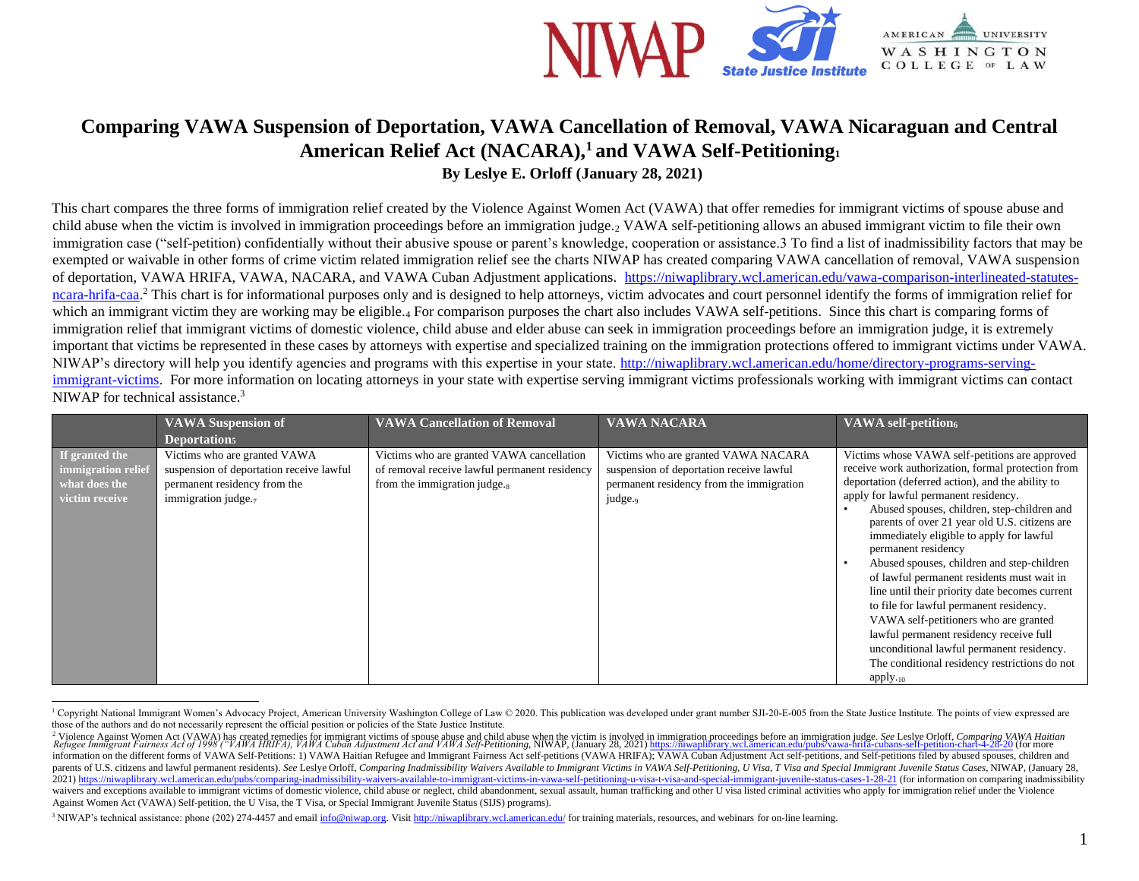

## **Comparing VAWA Suspension of Deportation, VAWA Cancellation of Removal, VAWA Nicaraguan and Central American Relief Act (NACARA),<sup>1</sup> and VAWA Self-Petitioning<sup>1</sup> By Leslye E. Orloff (January 28, 2021)**

This chart compares the three forms of immigration relief created by the Violence Against Women Act (VAWA) that offer remedies for immigrant victims of spouse abuse and child abuse when the victim is involved in immigration proceedings before an immigration judge.<sup>2</sup> VAWA self-petitioning allows an abused immigrant victim to file their own immigration case ("self-petition) confidentially without their abusive spouse or parent's knowledge, cooperation or assistance.3 To find a list of inadmissibility factors that may be exempted or waivable in other forms of crime victim related immigration relief see the charts NIWAP has created comparing VAWA cancellation of removal, VAWA suspension of deportation, VAWA HRIFA, VAWA, NACARA, and VAWA Cuban Adjustment applications. [https://niwaplibrary.wcl.american.edu/vawa-comparison-interlineated-statutes](https://niwaplibrary.wcl.american.edu/vawa-comparison-interlineated-statutes-ncara-hrifa-caa)[ncara-hrifa-caa.](https://niwaplibrary.wcl.american.edu/vawa-comparison-interlineated-statutes-ncara-hrifa-caa)<sup>2</sup> This chart is for informational purposes only and is designed to help attorneys, victim advocates and court personnel identify the forms of immigration relief for which an immigrant victim they are working may be eligible.4 For comparison purposes the chart also includes VAWA self-petitions. Since this chart is comparing forms of immigration relief that immigrant victims of domestic violence, child abuse and elder abuse can seek in immigration proceedings before an immigration judge, it is extremely important that victims be represented in these cases by attorneys with expertise and specialized training on the immigration protections offered to immigrant victims under VAWA. NIWAP's directory will help you identify agencies and programs with this expertise in your state. [http://niwaplibrary.wcl.american.edu/home/directory-programs-serving](http://niwaplibrary.wcl.american.edu/home/directory-programs-serving-immigrant-victims)[immigrant-victims.](http://niwaplibrary.wcl.american.edu/home/directory-programs-serving-immigrant-victims) For more information on locating attorneys in your state with expertise serving immigrant victims professionals working with immigrant victims can contact NIWAP for technical assistance.<sup>3</sup>

|                                                                         | <b>VAWA Suspension of</b><br>Deportation <sub>5</sub>                                                                                       | <b>VAWA Cancellation of Removal</b>                                                                                            | <b>VAWA NACARA</b>                                                                                                                                 | VAWA self-petition6                                                                                                                                                                                                                                                                                                                                                                                                                                                                                                                                                                                                                                                                                                                                               |
|-------------------------------------------------------------------------|---------------------------------------------------------------------------------------------------------------------------------------------|--------------------------------------------------------------------------------------------------------------------------------|----------------------------------------------------------------------------------------------------------------------------------------------------|-------------------------------------------------------------------------------------------------------------------------------------------------------------------------------------------------------------------------------------------------------------------------------------------------------------------------------------------------------------------------------------------------------------------------------------------------------------------------------------------------------------------------------------------------------------------------------------------------------------------------------------------------------------------------------------------------------------------------------------------------------------------|
| If granted the<br>immigration relief<br>what does the<br>victim receive | Victims who are granted VAWA<br>suspension of deportation receive lawful<br>permanent residency from the<br>immigration judge. <sub>7</sub> | Victims who are granted VAWA cancellation<br>of removal receive lawful permanent residency<br>from the immigration judge. $_8$ | Victims who are granted VAWA NACARA<br>suspension of deportation receive lawful<br>permanent residency from the immigration<br>judge. <sub>9</sub> | Victims whose VAWA self-petitions are approved<br>receive work authorization, formal protection from<br>deportation (deferred action), and the ability to<br>apply for lawful permanent residency.<br>Abused spouses, children, step-children and<br>parents of over 21 year old U.S. citizens are<br>immediately eligible to apply for lawful<br>permanent residency<br>Abused spouses, children and step-children<br>of lawful permanent residents must wait in<br>line until their priority date becomes current<br>to file for lawful permanent residency.<br>VAWA self-petitioners who are granted<br>lawful permanent residency receive full<br>unconditional lawful permanent residency.<br>The conditional residency restrictions do not<br>$apply_{.10}$ |

<sup>&</sup>lt;sup>1</sup> Copyright National Immigrant Women's Advocacy Project, American University Washington College of Law © 2020. This publication was developed under grant number SJI-20-E-005 from the State Justice Institute. The points o those of the authors and do not necessarily represent the official position or policies of the State Justice Institute.

<sup>&</sup>lt;sup>2</sup> Violence Against Women Act (VAWA) has created remedies for immigrant victims of spouse abuse and child abuse when the victim is involved in immigration proceedings before an immigration judge. See Leslye Orloff, Compar information on the different forms of VAWA Self-Petitions: 1) VAWA Haitian Refugee and Immigrant Fairness Act self-petitions (VAWA HRIFA); VAWA Cuban Adjustment Act self-petitions, and Self-petitions filed by abused spouse parents of U.S. citizens and lawful permanent residents). See Leslye Orloff, Comparing Inadmissibility Waivers Available to Immigrant Victims in VAWA Self-Petitioning, U Visa, T Visa and Special Immigrant Juvenile Status C 2021) <https://niwaplibrary.wcl.american.edu/pubs/comparing-inadmissibility-waivers-available-to-immigrant-victims-in-vawa-self-petitioning-u-visa-t-visa-and-special-immigrant-juvenile-status-cases-1-28-21>(for information waivers and exceptions available to immigrant victims of domestic violence, child abuse or neglect, child abandonment, sexual assault, human trafficking and other U visa listed criminal activities who apply for immigration Against Women Act (VAWA) Self-petition, the U Visa, the T Visa, or Special Immigrant Juvenile Status (SIJS) programs).

<sup>&</sup>lt;sup>3</sup> NIWAP's technical assistance: phone (202) 274-4457 and email info@niwap.org. Visi[t http://niwaplibrary.wcl.american.edu/](http://niwaplibrary.wcl.american.edu/) for training materials, resources, and webinars for on-line learning.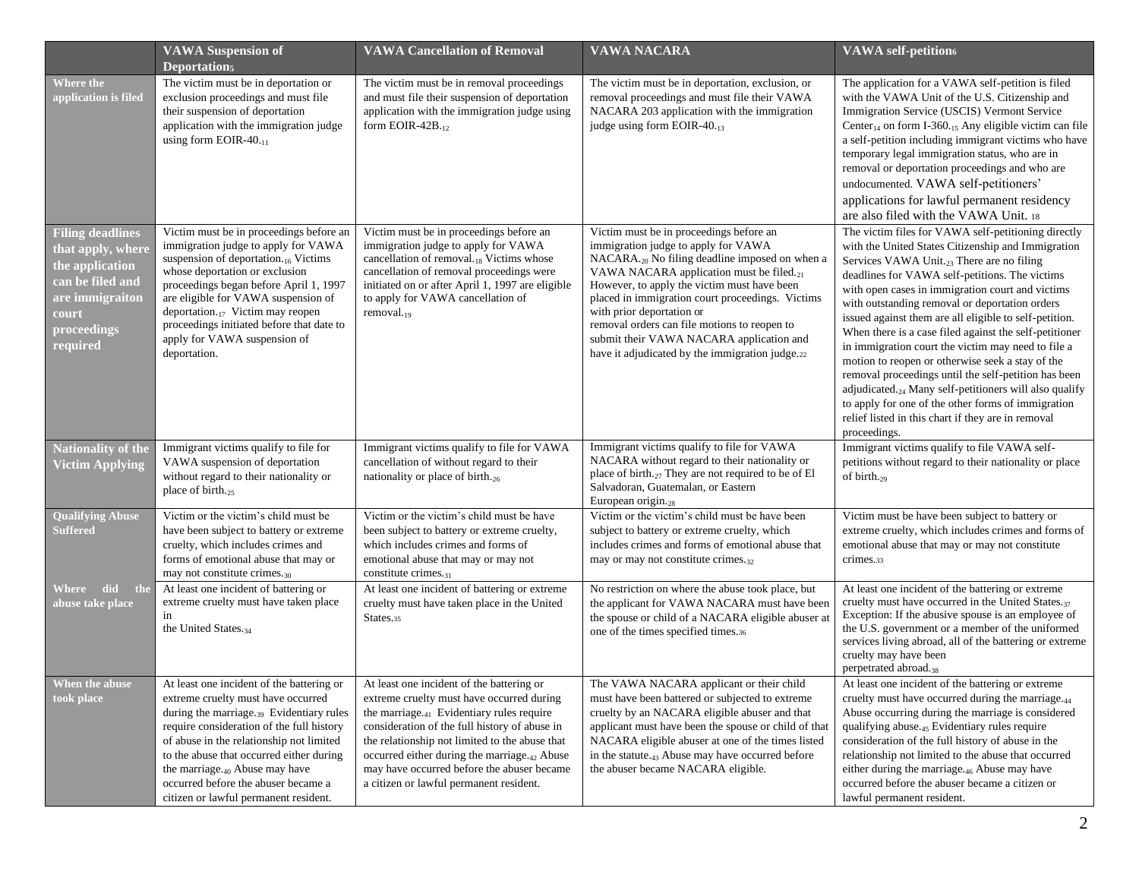|                                                                                                                                            | <b>VAWA Suspension of</b><br>Deportation <sub>5</sub>                                                                                                                                                                                                                                                                                                                                                | <b>VAWA Cancellation of Removal</b>                                                                                                                                                                                                                                                                                                                                                               | <b>VAWA NACARA</b>                                                                                                                                                                                                                                                                                                                                                                                                                                                                  | <b>VAWA</b> self-petition <sub>6</sub>                                                                                                                                                                                                                                                                                                                                                                                                                                                                                                                                                                                                                                                                                                                                                                             |
|--------------------------------------------------------------------------------------------------------------------------------------------|------------------------------------------------------------------------------------------------------------------------------------------------------------------------------------------------------------------------------------------------------------------------------------------------------------------------------------------------------------------------------------------------------|---------------------------------------------------------------------------------------------------------------------------------------------------------------------------------------------------------------------------------------------------------------------------------------------------------------------------------------------------------------------------------------------------|-------------------------------------------------------------------------------------------------------------------------------------------------------------------------------------------------------------------------------------------------------------------------------------------------------------------------------------------------------------------------------------------------------------------------------------------------------------------------------------|--------------------------------------------------------------------------------------------------------------------------------------------------------------------------------------------------------------------------------------------------------------------------------------------------------------------------------------------------------------------------------------------------------------------------------------------------------------------------------------------------------------------------------------------------------------------------------------------------------------------------------------------------------------------------------------------------------------------------------------------------------------------------------------------------------------------|
| <b>Where the</b><br>application is filed                                                                                                   | The victim must be in deportation or<br>exclusion proceedings and must file<br>their suspension of deportation<br>application with the immigration judge<br>using form EOIR-40.11                                                                                                                                                                                                                    | The victim must be in removal proceedings<br>and must file their suspension of deportation<br>application with the immigration judge using<br>form EOIR-42B.12                                                                                                                                                                                                                                    | The victim must be in deportation, exclusion, or<br>removal proceedings and must file their VAWA<br>NACARA 203 application with the immigration<br>judge using form EOIR-40.13                                                                                                                                                                                                                                                                                                      | The application for a VAWA self-petition is filed<br>with the VAWA Unit of the U.S. Citizenship and<br>Immigration Service (USCIS) Vermont Service<br>Center <sub>14</sub> on form I-360. <sub>15</sub> Any eligible victim can file<br>a self-petition including immigrant victims who have<br>temporary legal immigration status, who are in<br>removal or deportation proceedings and who are<br>undocumented. VAWA self-petitioners'<br>applications for lawful permanent residency<br>are also filed with the VAWA Unit. 18                                                                                                                                                                                                                                                                                   |
| <b>Filing deadlines</b><br>that apply, where<br>the application<br>can be filed and<br>are immigraiton<br>court<br>proceedings<br>required | Victim must be in proceedings before an<br>immigration judge to apply for VAWA<br>suspension of deportation. <sub>16</sub> Victims<br>whose deportation or exclusion<br>proceedings began before April 1, 1997<br>are eligible for VAWA suspension of<br>deportation. $_{17}$ Victim may reopen<br>proceedings initiated before that date to<br>apply for VAWA suspension of<br>deportation.         | Victim must be in proceedings before an<br>immigration judge to apply for VAWA<br>cancellation of removal.18 Victims whose<br>cancellation of removal proceedings were<br>initiated on or after April 1, 1997 are eligible<br>to apply for VAWA cancellation of<br>removal. $_{19}$                                                                                                               | Victim must be in proceedings before an<br>immigration judge to apply for VAWA<br>NACARA. <sub>20</sub> No filing deadline imposed on when a<br>VAWA NACARA application must be filed. <sub>21</sub><br>However, to apply the victim must have been<br>placed in immigration court proceedings. Victims<br>with prior deportation or<br>removal orders can file motions to reopen to<br>submit their VAWA NACARA application and<br>have it adjudicated by the immigration judge.22 | The victim files for VAWA self-petitioning directly<br>with the United States Citizenship and Immigration<br>Services VAWA Unit. <sub>23</sub> There are no filing<br>deadlines for VAWA self-petitions. The victims<br>with open cases in immigration court and victims<br>with outstanding removal or deportation orders<br>issued against them are all eligible to self-petition.<br>When there is a case filed against the self-petitioner<br>in immigration court the victim may need to file a<br>motion to reopen or otherwise seek a stay of the<br>removal proceedings until the self-petition has been<br>adjudicated. <sub>24</sub> Many self-petitioners will also qualify<br>to apply for one of the other forms of immigration<br>relief listed in this chart if they are in removal<br>proceedings. |
| <b>Nationality of the</b><br><b>Victim Applying</b>                                                                                        | Immigrant victims qualify to file for<br>VAWA suspension of deportation<br>without regard to their nationality or<br>place of birth. <sub>25</sub>                                                                                                                                                                                                                                                   | Immigrant victims qualify to file for VAWA<br>cancellation of without regard to their<br>nationality or place of birth. $_{26}$                                                                                                                                                                                                                                                                   | Immigrant victims qualify to file for VAWA<br>NACARA without regard to their nationality or<br>place of birth. <sub>27</sub> They are not required to be of El<br>Salvadoran, Guatemalan, or Eastern<br>European origin. <sub>28</sub>                                                                                                                                                                                                                                              | Immigrant victims qualify to file VAWA self-<br>petitions without regard to their nationality or place<br>of birth. $_{29}$                                                                                                                                                                                                                                                                                                                                                                                                                                                                                                                                                                                                                                                                                        |
| <b>Qualifying Abuse</b><br>Suffered                                                                                                        | Victim or the victim's child must be<br>have been subject to battery or extreme<br>cruelty, which includes crimes and<br>forms of emotional abuse that may or<br>may not constitute crimes. <sub>30</sub>                                                                                                                                                                                            | Victim or the victim's child must be have<br>been subject to battery or extreme cruelty,<br>which includes crimes and forms of<br>emotional abuse that may or may not<br>constitute crimes. $_{31}$                                                                                                                                                                                               | Victim or the victim's child must be have been<br>subject to battery or extreme cruelty, which<br>includes crimes and forms of emotional abuse that<br>may or may not constitute crimes.32                                                                                                                                                                                                                                                                                          | Victim must be have been subject to battery or<br>extreme cruelty, which includes crimes and forms of<br>emotional abuse that may or may not constitute<br>crimes.33                                                                                                                                                                                                                                                                                                                                                                                                                                                                                                                                                                                                                                               |
| Where did the<br>abuse take place                                                                                                          | At least one incident of battering or<br>extreme cruelty must have taken place<br>in<br>the United States. <sub>34</sub>                                                                                                                                                                                                                                                                             | At least one incident of battering or extreme<br>cruelty must have taken place in the United<br>States.35                                                                                                                                                                                                                                                                                         | No restriction on where the abuse took place, but<br>the applicant for VAWA NACARA must have been<br>the spouse or child of a NACARA eligible abuser at<br>one of the times specified times.36                                                                                                                                                                                                                                                                                      | At least one incident of the battering or extreme<br>cruelty must have occurred in the United States. <sub>37</sub><br>Exception: If the abusive spouse is an employee of<br>the U.S. government or a member of the uniformed<br>services living abroad, all of the battering or extreme<br>cruelty may have been<br>perpetrated abroad. <sub>38</sub>                                                                                                                                                                                                                                                                                                                                                                                                                                                             |
| When the abuse<br>took place                                                                                                               | At least one incident of the battering or<br>extreme cruelty must have occurred<br>during the marriage. <sub>39</sub> Evidentiary rules<br>require consideration of the full history<br>of abuse in the relationship not limited<br>to the abuse that occurred either during<br>the marriage. $_{40}$ Abuse may have<br>occurred before the abuser became a<br>citizen or lawful permanent resident. | At least one incident of the battering or<br>extreme cruelty must have occurred during<br>the marriage. $_{41}$ Evidentiary rules require<br>consideration of the full history of abuse in<br>the relationship not limited to the abuse that<br>occurred either during the marriage. <sub>42</sub> Abuse<br>may have occurred before the abuser became<br>a citizen or lawful permanent resident. | The VAWA NACARA applicant or their child<br>must have been battered or subjected to extreme<br>cruelty by an NACARA eligible abuser and that<br>applicant must have been the spouse or child of that<br>NACARA eligible abuser at one of the times listed<br>in the statute. <sub>43</sub> Abuse may have occurred before<br>the abuser became NACARA eligible.                                                                                                                     | At least one incident of the battering or extreme<br>cruelty must have occurred during the marriage. <sub>44</sub><br>Abuse occurring during the marriage is considered<br>qualifying abuse. <sub>45</sub> Evidentiary rules require<br>consideration of the full history of abuse in the<br>relationship not limited to the abuse that occurred<br>either during the marriage. <sub>46</sub> Abuse may have<br>occurred before the abuser became a citizen or<br>lawful permanent resident.                                                                                                                                                                                                                                                                                                                       |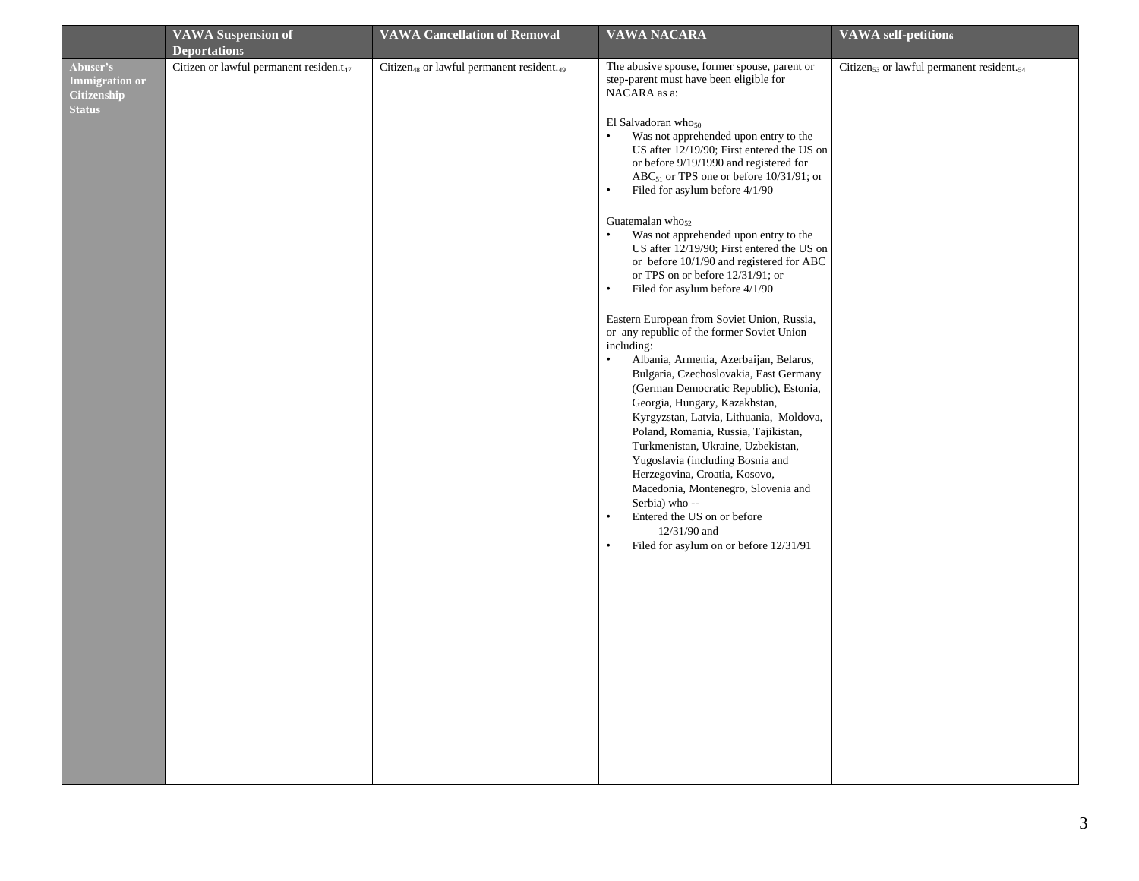|                                                                          | <b>VAWA Suspension of</b><br>Deportation <sub>5</sub> | <b>VAWA Cancellation of Removal</b>                               | <b>VAWA NACARA</b>                                                                                                                                                                                                                                                                                                                                                                                                                                                                                                                                                                                                                                                                                                                                                                                                                                                                                                                                                                                                                                                                                                                                                                                                                                                                                       | <b>VAWA</b> self-petition6                                        |
|--------------------------------------------------------------------------|-------------------------------------------------------|-------------------------------------------------------------------|----------------------------------------------------------------------------------------------------------------------------------------------------------------------------------------------------------------------------------------------------------------------------------------------------------------------------------------------------------------------------------------------------------------------------------------------------------------------------------------------------------------------------------------------------------------------------------------------------------------------------------------------------------------------------------------------------------------------------------------------------------------------------------------------------------------------------------------------------------------------------------------------------------------------------------------------------------------------------------------------------------------------------------------------------------------------------------------------------------------------------------------------------------------------------------------------------------------------------------------------------------------------------------------------------------|-------------------------------------------------------------------|
| Abuser's<br><b>Immigration or</b><br><b>Citizenship</b><br><b>Status</b> | Citizen or lawful permanent residen.t <sub>47</sub>   | Citizen <sub>48</sub> or lawful permanent resident. <sub>49</sub> | The abusive spouse, former spouse, parent or<br>step-parent must have been eligible for<br>NACARA as a:<br>El Salvadoran who $_{50}$<br>Was not apprehended upon entry to the<br>US after 12/19/90; First entered the US on<br>or before 9/19/1990 and registered for<br>$ABC_{51}$ or TPS one or before 10/31/91; or<br>Filed for asylum before 4/1/90<br>$\bullet$<br>Guatemalan who <sub>52</sub><br>Was not apprehended upon entry to the<br>$\bullet$<br>US after 12/19/90; First entered the US on<br>or before 10/1/90 and registered for ABC<br>or TPS on or before 12/31/91; or<br>$\bullet$<br>Filed for asylum before 4/1/90<br>Eastern European from Soviet Union, Russia,<br>or any republic of the former Soviet Union<br>including:<br>$\bullet$<br>Albania, Armenia, Azerbaijan, Belarus,<br>Bulgaria, Czechoslovakia, East Germany<br>(German Democratic Republic), Estonia,<br>Georgia, Hungary, Kazakhstan,<br>Kyrgyzstan, Latvia, Lithuania, Moldova,<br>Poland, Romania, Russia, Tajikistan,<br>Turkmenistan, Ukraine, Uzbekistan,<br>Yugoslavia (including Bosnia and<br>Herzegovina, Croatia, Kosovo,<br>Macedonia, Montenegro, Slovenia and<br>Serbia) who --<br>Entered the US on or before<br>$\bullet$<br>12/31/90 and<br>Filed for asylum on or before 12/31/91<br>$\bullet$ | Citizen <sub>53</sub> or lawful permanent resident. <sub>54</sub> |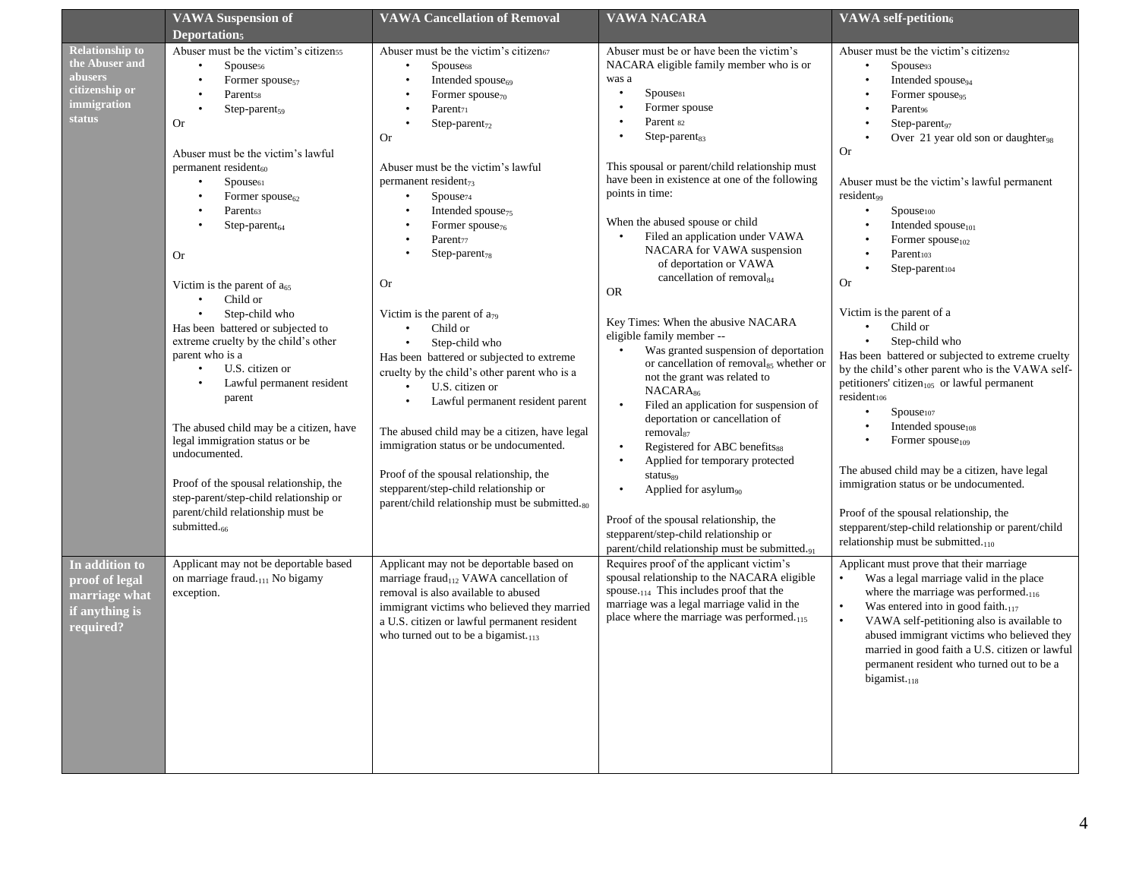| <b>VAWA Suspension of</b><br>Deportation <sub>5</sub>                                                                                                                                                                                                                                                                                                                                                                                                                                                                                                                                                                                                                                                                                                                                                                                                                                                                                                                                                                                                                                                         | <b>VAWA Cancellation of Removal</b>                                                                                                                                                                                                                                                                                                                                                                                                                                                                                                                                                                                                                                                                                                                                                                                                                                                                                                                                                                                                                                                                                                                                                                                                                                                                                          | <b>VAWA NACARA</b>                                                                                                                                                                                                                                                                                                                                                                                                                                                                                                                                                                                                                                                                                                                                                                                                                                                                                                                                                                                                                                                                                                                                                                                                                                                                                                                                                                         | <b>VAWA</b> self-petition6                                                                                                                                                                                                                                                                                                                                                                                                                                                                                                                                                                                                                                                                                                                                                                                                                                                                                                                                                                                                                                                                                                                                                                                                                                                                                                                                                                                                                                                                    |
|---------------------------------------------------------------------------------------------------------------------------------------------------------------------------------------------------------------------------------------------------------------------------------------------------------------------------------------------------------------------------------------------------------------------------------------------------------------------------------------------------------------------------------------------------------------------------------------------------------------------------------------------------------------------------------------------------------------------------------------------------------------------------------------------------------------------------------------------------------------------------------------------------------------------------------------------------------------------------------------------------------------------------------------------------------------------------------------------------------------|------------------------------------------------------------------------------------------------------------------------------------------------------------------------------------------------------------------------------------------------------------------------------------------------------------------------------------------------------------------------------------------------------------------------------------------------------------------------------------------------------------------------------------------------------------------------------------------------------------------------------------------------------------------------------------------------------------------------------------------------------------------------------------------------------------------------------------------------------------------------------------------------------------------------------------------------------------------------------------------------------------------------------------------------------------------------------------------------------------------------------------------------------------------------------------------------------------------------------------------------------------------------------------------------------------------------------|--------------------------------------------------------------------------------------------------------------------------------------------------------------------------------------------------------------------------------------------------------------------------------------------------------------------------------------------------------------------------------------------------------------------------------------------------------------------------------------------------------------------------------------------------------------------------------------------------------------------------------------------------------------------------------------------------------------------------------------------------------------------------------------------------------------------------------------------------------------------------------------------------------------------------------------------------------------------------------------------------------------------------------------------------------------------------------------------------------------------------------------------------------------------------------------------------------------------------------------------------------------------------------------------------------------------------------------------------------------------------------------------|-----------------------------------------------------------------------------------------------------------------------------------------------------------------------------------------------------------------------------------------------------------------------------------------------------------------------------------------------------------------------------------------------------------------------------------------------------------------------------------------------------------------------------------------------------------------------------------------------------------------------------------------------------------------------------------------------------------------------------------------------------------------------------------------------------------------------------------------------------------------------------------------------------------------------------------------------------------------------------------------------------------------------------------------------------------------------------------------------------------------------------------------------------------------------------------------------------------------------------------------------------------------------------------------------------------------------------------------------------------------------------------------------------------------------------------------------------------------------------------------------|
| Abuser must be the victim's citizenss<br><b>Relationship to</b><br>the Abuser and<br>Spouse <sub>56</sub><br>abusers<br>Former spouse <sub>57</sub><br>$\bullet$<br>citizenship or<br><b>Parentss</b><br><i>immigration</i><br>Step-parent <sub>59</sub><br>status<br><b>Or</b><br>Abuser must be the victim's lawful<br>permanent resident <sub>60</sub><br>$\bullet$<br>Spouse <sub>61</sub><br>Former $spouse_{62}$<br>Parent <sub>63</sub><br>$Step-parent_{64}$<br><b>Or</b><br>Victim is the parent of $a_{65}$<br>Child or<br>$\bullet$<br>Step-child who<br>$\bullet$<br>Has been battered or subjected to<br>extreme cruelty by the child's other<br>parent who is a<br>U.S. citizen or<br>$\bullet$<br>parent<br>legal immigration status or be<br>undocumented.<br>Proof of the spousal relationship, the<br>step-parent/step-child relationship or<br>parent/child relationship must be<br>submitted. <sub>66</sub><br>Applicant may not be deportable based<br>In addition to<br>on marriage fraud.111 No bigamy<br>proof of legal<br>exception.<br>marriage what<br>if anything is<br>required? | Abuser must be the victim's citizen67<br>Spouse <sub>68</sub><br>Intended spouse <sub>69</sub><br>Former spouse <sub>70</sub><br>$\bullet$<br>Parent <sub>71</sub><br>Step-parent <sub>72</sub><br><b>Or</b><br>Abuser must be the victim's lawful<br>permanent resident <sub>73</sub><br>Spouse <sub>74</sub><br>Intended spouse <sub>75</sub><br>Former spouse <sub>76</sub><br>$\bullet$<br>Parent <sub>77</sub><br>$Step-parent_{78}$<br><b>Or</b><br>Victim is the parent of a <sub>79</sub><br>Child or<br>$\bullet$<br>Step-child who<br>$\bullet$<br>Has been battered or subjected to extreme<br>cruelty by the child's other parent who is a<br>Lawful permanent resident<br>U.S. citizen or<br>Lawful permanent resident parent<br>$\bullet$<br>The abused child may be a citizen, have<br>The abused child may be a citizen, have legal<br>immigration status or be undocumented.<br>Proof of the spousal relationship, the<br>stepparent/step-child relationship or<br>parent/child relationship must be submitted.80<br>Applicant may not be deportable based on<br>marriage fraud <sub>112</sub> VAWA cancellation of<br>removal is also available to abused<br>immigrant victims who believed they married<br>a U.S. citizen or lawful permanent resident<br>who turned out to be a bigamist. <sub>113</sub> | Abuser must be or have been the victim's<br>NACARA eligible family member who is or<br>was a<br>Spouse <sub>81</sub><br>Former spouse<br>$\bullet$<br>Parent 82<br>$\bullet$<br>$Step-parent_{83}$<br>This spousal or parent/child relationship must<br>have been in existence at one of the following<br>points in time:<br>When the abused spouse or child<br>Filed an application under VAWA<br>NACARA for VAWA suspension<br>of deportation or VAWA<br>cancellation of removal <sub>84</sub><br><b>OR</b><br>Key Times: When the abusive NACARA<br>eligible family member --<br>Was granted suspension of deportation<br>or cancellation of removal <sub>85</sub> whether or<br>not the grant was related to<br>NACARA <sub>86</sub><br>Filed an application for suspension of<br>deportation or cancellation of<br>removal <sub>87</sub><br>Registered for ABC benefits88<br>$\bullet$<br>Applied for temporary protected<br>$\bullet$<br>status <sub>s9</sub><br>Applied for asylum <sub>90</sub><br>Proof of the spousal relationship, the<br>stepparent/step-child relationship or<br>parent/child relationship must be submitted.91<br>Requires proof of the applicant victim's<br>spousal relationship to the NACARA eligible<br>spouse. <sub>114</sub> This includes proof that the<br>marriage was a legal marriage valid in the<br>place where the marriage was performed.115 | Abuser must be the victim's citizen <sup>92</sup><br>Spouse <sub>93</sub><br>$\bullet$<br>Intended spouse <sub>94</sub><br>Former spouse <sub>95</sub><br>$\bullet$<br>Parent <sub>96</sub><br>$Step-parent_{97}$<br>Over 21 year old son or daughter <sub>98</sub><br>Or<br>Abuser must be the victim's lawful permanent<br>resident <sub>99</sub><br>Spouse100<br>$\bullet$<br>Intended spouse <sub>101</sub><br>Former spouse <sub>102</sub><br>Parent103<br>Step-parent104<br><b>Or</b><br>Victim is the parent of a<br>Child or<br>$\bullet$<br>Step-child who<br>Has been battered or subjected to extreme cruelty<br>by the child's other parent who is the VAWA self-<br>petitioners' citizen <sub>105</sub> or lawful permanent<br>resident106<br>Spouse107<br>Intended spouse <sub>108</sub><br>Former spouse <sub>109</sub><br>The abused child may be a citizen, have legal<br>immigration status or be undocumented.<br>Proof of the spousal relationship, the<br>stepparent/step-child relationship or parent/child<br>relationship must be submitted. <sub>110</sub><br>Applicant must prove that their marriage<br>Was a legal marriage valid in the place<br>where the marriage was performed. <sub>116</sub><br>Was entered into in good faith.117<br>VAWA self-petitioning also is available to<br>abused immigrant victims who believed they<br>married in good faith a U.S. citizen or lawful<br>permanent resident who turned out to be a<br>$bigamist.$ <sub>118</sub> |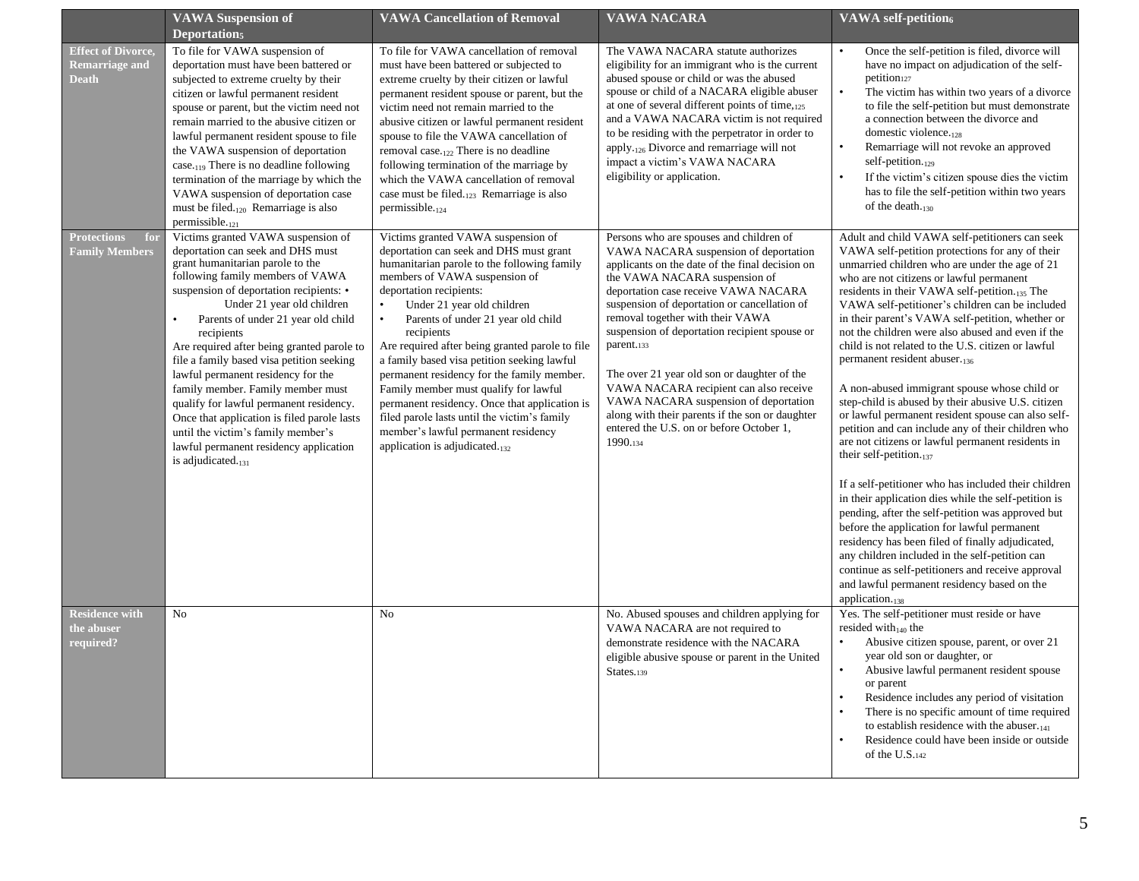|                                                                    | <b>VAWA Suspension of</b><br>Deportation <sub>5</sub>                                                                                                                                                                                                                                                                                                                                                                                                                                                                                                                                                                                              | <b>VAWA Cancellation of Removal</b>                                                                                                                                                                                                                                                                                                                                                                                                                                                                                                                                                                                                                        | <b>VAWA NACARA</b>                                                                                                                                                                                                                                                                                                                                                                                                                                                                                                                                                                                           | <b>VAWA</b> self-petition6                                                                                                                                                                                                                                                                                                                                                                                                                                                                                                                                                                                                                                                                                                                                                                                                                                                                                                                                                                                                                                                                                                                                                                                                                                               |
|--------------------------------------------------------------------|----------------------------------------------------------------------------------------------------------------------------------------------------------------------------------------------------------------------------------------------------------------------------------------------------------------------------------------------------------------------------------------------------------------------------------------------------------------------------------------------------------------------------------------------------------------------------------------------------------------------------------------------------|------------------------------------------------------------------------------------------------------------------------------------------------------------------------------------------------------------------------------------------------------------------------------------------------------------------------------------------------------------------------------------------------------------------------------------------------------------------------------------------------------------------------------------------------------------------------------------------------------------------------------------------------------------|--------------------------------------------------------------------------------------------------------------------------------------------------------------------------------------------------------------------------------------------------------------------------------------------------------------------------------------------------------------------------------------------------------------------------------------------------------------------------------------------------------------------------------------------------------------------------------------------------------------|--------------------------------------------------------------------------------------------------------------------------------------------------------------------------------------------------------------------------------------------------------------------------------------------------------------------------------------------------------------------------------------------------------------------------------------------------------------------------------------------------------------------------------------------------------------------------------------------------------------------------------------------------------------------------------------------------------------------------------------------------------------------------------------------------------------------------------------------------------------------------------------------------------------------------------------------------------------------------------------------------------------------------------------------------------------------------------------------------------------------------------------------------------------------------------------------------------------------------------------------------------------------------|
| <b>Effect of Divorce.</b><br><b>Remarriage and</b><br><b>Death</b> | To file for VAWA suspension of<br>deportation must have been battered or<br>subjected to extreme cruelty by their<br>citizen or lawful permanent resident<br>spouse or parent, but the victim need not<br>remain married to the abusive citizen or<br>lawful permanent resident spouse to file<br>the VAWA suspension of deportation<br>case. <sub>119</sub> There is no deadline following<br>termination of the marriage by which the<br>VAWA suspension of deportation case<br>must be filed. <sub>120</sub> Remarriage is also<br>permissible. <sub>121</sub>                                                                                  | To file for VAWA cancellation of removal<br>must have been battered or subjected to<br>extreme cruelty by their citizen or lawful<br>permanent resident spouse or parent, but the<br>victim need not remain married to the<br>abusive citizen or lawful permanent resident<br>spouse to file the VAWA cancellation of<br>removal case. $_{122}$ There is no deadline<br>following termination of the marriage by<br>which the VAWA cancellation of removal<br>case must be filed. $_{123}$ Remarriage is also<br>permissible. $_{124}$                                                                                                                     | The VAWA NACARA statute authorizes<br>eligibility for an immigrant who is the current<br>abused spouse or child or was the abused<br>spouse or child of a NACARA eligible abuser<br>at one of several different points of time, 125<br>and a VAWA NACARA victim is not required<br>to be residing with the perpetrator in order to<br>apply.126 Divorce and remarriage will not<br>impact a victim's VAWA NACARA<br>eligibility or application.                                                                                                                                                              | Once the self-petition is filed, divorce will<br>have no impact on adjudication of the self-<br>petition <sub>127</sub><br>The victim has within two years of a divorce<br>to file the self-petition but must demonstrate<br>a connection between the divorce and<br>domestic violence. <sub>128</sub><br>Remarriage will not revoke an approved<br>$\bullet$<br>self-petition. $_{129}$<br>If the victim's citizen spouse dies the victim<br>has to file the self-petition within two years<br>of the death. $_{130}$                                                                                                                                                                                                                                                                                                                                                                                                                                                                                                                                                                                                                                                                                                                                                   |
| <b>Protections</b><br>for<br><b>Family Members</b>                 | Victims granted VAWA suspension of<br>deportation can seek and DHS must<br>grant humanitarian parole to the<br>following family members of VAWA<br>suspension of deportation recipients: •<br>Under 21 year old children<br>Parents of under 21 year old child<br>recipients<br>Are required after being granted parole to<br>file a family based visa petition seeking<br>lawful permanent residency for the<br>family member. Family member must<br>qualify for lawful permanent residency.<br>Once that application is filed parole lasts<br>until the victim's family member's<br>lawful permanent residency application<br>is adjudicated.131 | Victims granted VAWA suspension of<br>deportation can seek and DHS must grant<br>humanitarian parole to the following family<br>members of VAWA suspension of<br>deportation recipients:<br>Under 21 year old children<br>$\bullet$<br>Parents of under 21 year old child<br>recipients<br>Are required after being granted parole to file<br>a family based visa petition seeking lawful<br>permanent residency for the family member.<br>Family member must qualify for lawful<br>permanent residency. Once that application is<br>filed parole lasts until the victim's family<br>member's lawful permanent residency<br>application is adjudicated.132 | Persons who are spouses and children of<br>VAWA NACARA suspension of deportation<br>applicants on the date of the final decision on<br>the VAWA NACARA suspension of<br>deportation case receive VAWA NACARA<br>suspension of deportation or cancellation of<br>removal together with their VAWA<br>suspension of deportation recipient spouse or<br>parent.133<br>The over 21 year old son or daughter of the<br>VAWA NACARA recipient can also receive<br>VAWA NACARA suspension of deportation<br>along with their parents if the son or daughter<br>entered the U.S. on or before October 1,<br>1990.134 | Adult and child VAWA self-petitioners can seek<br>VAWA self-petition protections for any of their<br>unmarried children who are under the age of 21<br>who are not citizens or lawful permanent<br>residents in their VAWA self-petition.135 The<br>VAWA self-petitioner's children can be included<br>in their parent's VAWA self-petition, whether or<br>not the children were also abused and even if the<br>child is not related to the U.S. citizen or lawful<br>permanent resident abuser. <sub>136</sub><br>A non-abused immigrant spouse whose child or<br>step-child is abused by their abusive U.S. citizen<br>or lawful permanent resident spouse can also self-<br>petition and can include any of their children who<br>are not citizens or lawful permanent residents in<br>their self-petition.137<br>If a self-petitioner who has included their children<br>in their application dies while the self-petition is<br>pending, after the self-petition was approved but<br>before the application for lawful permanent<br>residency has been filed of finally adjudicated,<br>any children included in the self-petition can<br>continue as self-petitioners and receive approval<br>and lawful permanent residency based on the<br>application. $_{138}$ |
| <b>Residence with</b><br>the abuser<br>required?                   | No                                                                                                                                                                                                                                                                                                                                                                                                                                                                                                                                                                                                                                                 | No                                                                                                                                                                                                                                                                                                                                                                                                                                                                                                                                                                                                                                                         | No. Abused spouses and children applying for<br>VAWA NACARA are not required to<br>demonstrate residence with the NACARA<br>eligible abusive spouse or parent in the United<br>States.139                                                                                                                                                                                                                                                                                                                                                                                                                    | Yes. The self-petitioner must reside or have<br>resided with $_{140}$ the<br>Abusive citizen spouse, parent, or over 21<br>year old son or daughter, or<br>Abusive lawful permanent resident spouse<br>$\bullet$<br>or parent<br>Residence includes any period of visitation<br>There is no specific amount of time required<br>to establish residence with the abuser.141<br>Residence could have been inside or outside<br>of the U.S.142                                                                                                                                                                                                                                                                                                                                                                                                                                                                                                                                                                                                                                                                                                                                                                                                                              |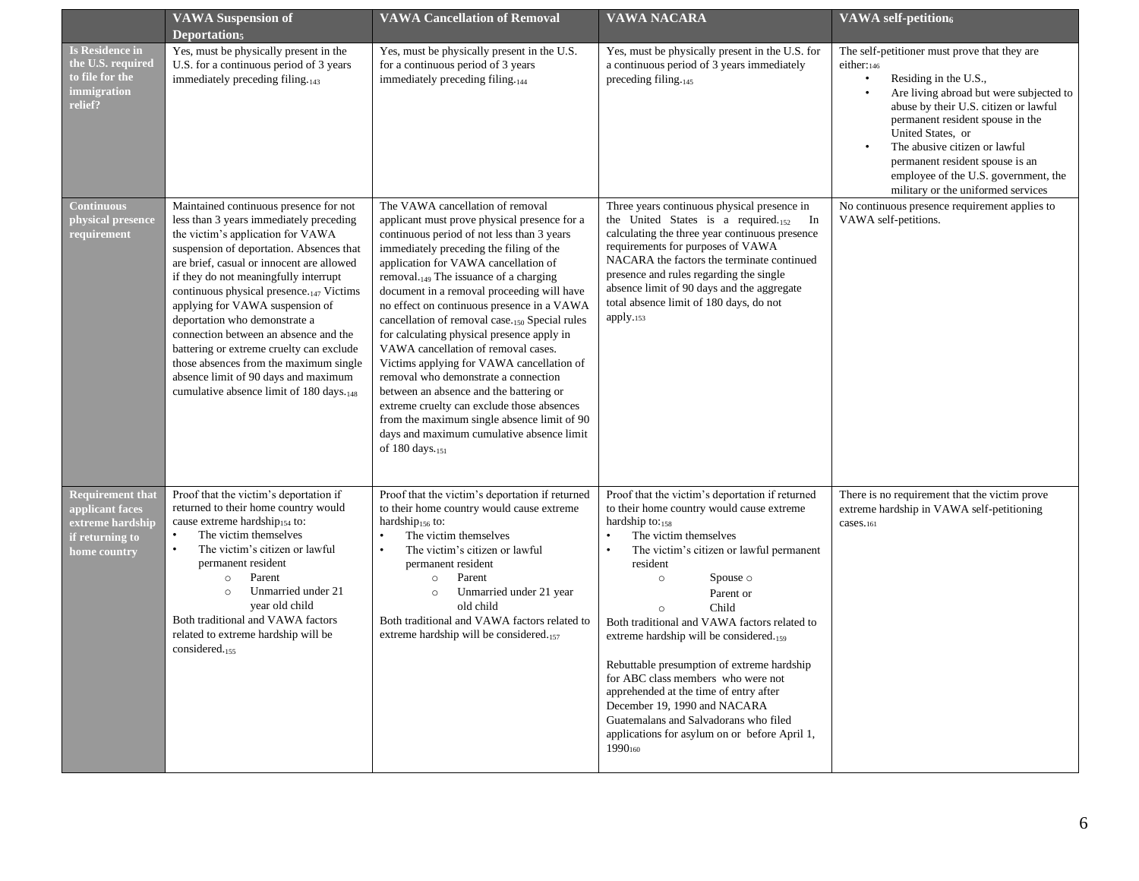|                                                                                                   | <b>VAWA Suspension of</b><br>Deportation <sub>5</sub>                                                                                                                                                                                                                                                                                                                                                                                                                                                                                                                                                   | <b>VAWA Cancellation of Removal</b>                                                                                                                                                                                                                                                                                                                                                                                                                                                                                                                                                                                                                                                                                                                                                                                 | <b>VAWA NACARA</b>                                                                                                                                                                                                                                                                                                                                                                                                                                                                                                                                                                                                                        | <b>VAWA</b> self-petition6                                                                                                                                                                                                                                                                                                                                                         |
|---------------------------------------------------------------------------------------------------|---------------------------------------------------------------------------------------------------------------------------------------------------------------------------------------------------------------------------------------------------------------------------------------------------------------------------------------------------------------------------------------------------------------------------------------------------------------------------------------------------------------------------------------------------------------------------------------------------------|---------------------------------------------------------------------------------------------------------------------------------------------------------------------------------------------------------------------------------------------------------------------------------------------------------------------------------------------------------------------------------------------------------------------------------------------------------------------------------------------------------------------------------------------------------------------------------------------------------------------------------------------------------------------------------------------------------------------------------------------------------------------------------------------------------------------|-------------------------------------------------------------------------------------------------------------------------------------------------------------------------------------------------------------------------------------------------------------------------------------------------------------------------------------------------------------------------------------------------------------------------------------------------------------------------------------------------------------------------------------------------------------------------------------------------------------------------------------------|------------------------------------------------------------------------------------------------------------------------------------------------------------------------------------------------------------------------------------------------------------------------------------------------------------------------------------------------------------------------------------|
| <b>Is Residence in</b><br>the U.S. required<br>to file for the<br>immigration<br>relief?          | Yes, must be physically present in the<br>U.S. for a continuous period of 3 years<br>immediately preceding filing.143                                                                                                                                                                                                                                                                                                                                                                                                                                                                                   | Yes, must be physically present in the U.S.<br>for a continuous period of 3 years<br>immediately preceding filing. $_{144}$                                                                                                                                                                                                                                                                                                                                                                                                                                                                                                                                                                                                                                                                                         | Yes, must be physically present in the U.S. for<br>a continuous period of 3 years immediately<br>preceding filing. $_{145}$                                                                                                                                                                                                                                                                                                                                                                                                                                                                                                               | The self-petitioner must prove that they are<br>either:146<br>Residing in the U.S.,<br>Are living abroad but were subjected to<br>abuse by their U.S. citizen or lawful<br>permanent resident spouse in the<br>United States, or<br>The abusive citizen or lawful<br>permanent resident spouse is an<br>employee of the U.S. government, the<br>military or the uniformed services |
| <b>Continuous</b><br>physical presence<br>requirement                                             | Maintained continuous presence for not<br>less than 3 years immediately preceding<br>the victim's application for VAWA<br>suspension of deportation. Absences that<br>are brief, casual or innocent are allowed<br>if they do not meaningfully interrupt<br>continuous physical presence. <sub>147</sub> Victims<br>applying for VAWA suspension of<br>deportation who demonstrate a<br>connection between an absence and the<br>battering or extreme cruelty can exclude<br>those absences from the maximum single<br>absence limit of 90 days and maximum<br>cumulative absence limit of 180 days.148 | The VAWA cancellation of removal<br>applicant must prove physical presence for a<br>continuous period of not less than 3 years<br>immediately preceding the filing of the<br>application for VAWA cancellation of<br>removal. <sub>149</sub> The issuance of a charging<br>document in a removal proceeding will have<br>no effect on continuous presence in a VAWA<br>cancellation of removal case. <sub>150</sub> Special rules<br>for calculating physical presence apply in<br>VAWA cancellation of removal cases.<br>Victims applying for VAWA cancellation of<br>removal who demonstrate a connection<br>between an absence and the battering or<br>extreme cruelty can exclude those absences<br>from the maximum single absence limit of 90<br>days and maximum cumulative absence limit<br>of 180 days.151 | Three years continuous physical presence in<br>the United States is a required.152<br>In<br>calculating the three year continuous presence<br>requirements for purposes of VAWA<br>NACARA the factors the terminate continued<br>presence and rules regarding the single<br>absence limit of 90 days and the aggregate<br>total absence limit of 180 days, do not<br>apply.153                                                                                                                                                                                                                                                            | No continuous presence requirement applies to<br>VAWA self-petitions.                                                                                                                                                                                                                                                                                                              |
| <b>Requirement that</b><br>applicant faces<br>extreme hardship<br>if returning to<br>home country | Proof that the victim's deportation if<br>returned to their home country would<br>cause extreme hardship <sub>154</sub> to:<br>$\bullet$<br>The victim themselves<br>The victim's citizen or lawful<br>$\bullet$<br>permanent resident<br>Parent<br>$\circ$<br>Unmarried under 21<br>$\circ$<br>year old child<br>Both traditional and VAWA factors<br>related to extreme hardship will be<br>considered. <sub>155</sub>                                                                                                                                                                                | Proof that the victim's deportation if returned<br>to their home country would cause extreme<br>hardship $_{156}$ to:<br>$\bullet$<br>The victim themselves<br>The victim's citizen or lawful<br>permanent resident<br>Parent<br>$\circ$<br>Unmarried under 21 year<br>$\circ$<br>old child<br>Both traditional and VAWA factors related to<br>extreme hardship will be considered.157                                                                                                                                                                                                                                                                                                                                                                                                                              | Proof that the victim's deportation if returned<br>to their home country would cause extreme<br>hardship to:158<br>$\bullet$<br>The victim themselves<br>The victim's citizen or lawful permanent<br>resident<br>Spouse $\circ$<br>$\circ$<br>Parent or<br>Child<br>$\circ$<br>Both traditional and VAWA factors related to<br>extreme hardship will be considered.159<br>Rebuttable presumption of extreme hardship<br>for ABC class members who were not<br>apprehended at the time of entry after<br>December 19, 1990 and NACARA<br>Guatemalans and Salvadorans who filed<br>applications for asylum on or before April 1,<br>1990160 | There is no requirement that the victim prove<br>extreme hardship in VAWA self-petitioning<br>cases.161                                                                                                                                                                                                                                                                            |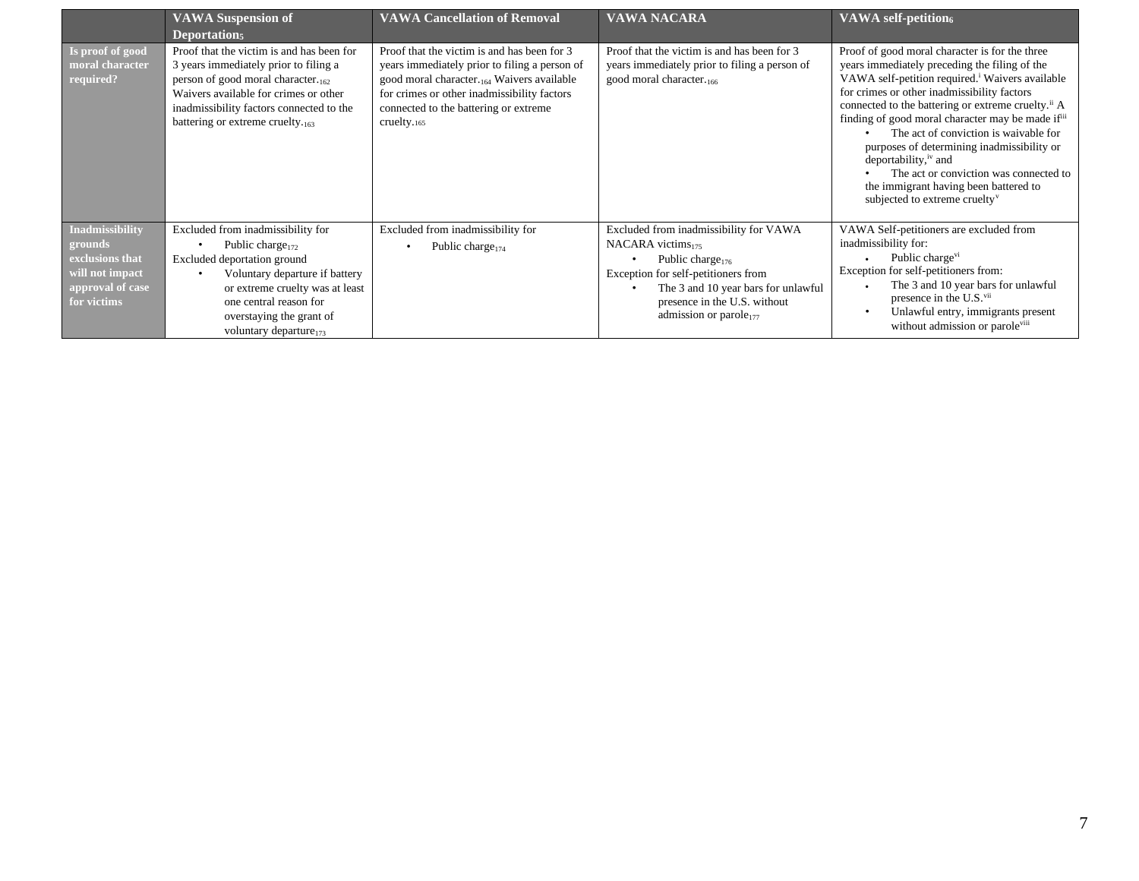|                                                                                                     | <b>VAWA Suspension of</b><br>Deportation <sub>5</sub>                                                                                                                                                                                                         | <b>VAWA Cancellation of Removal</b>                                                                                                                                                                                                                | <b>VAWA NACARA</b>                                                                                                                                                                                                                                 | <b>VAWA</b> self-petition6                                                                                                                                                                                                                                                                                                                                                                                                                                                                                                                                                                                  |
|-----------------------------------------------------------------------------------------------------|---------------------------------------------------------------------------------------------------------------------------------------------------------------------------------------------------------------------------------------------------------------|----------------------------------------------------------------------------------------------------------------------------------------------------------------------------------------------------------------------------------------------------|----------------------------------------------------------------------------------------------------------------------------------------------------------------------------------------------------------------------------------------------------|-------------------------------------------------------------------------------------------------------------------------------------------------------------------------------------------------------------------------------------------------------------------------------------------------------------------------------------------------------------------------------------------------------------------------------------------------------------------------------------------------------------------------------------------------------------------------------------------------------------|
| Is proof of good<br>moral character<br>required?                                                    | Proof that the victim is and has been for<br>3 years immediately prior to filing a<br>person of good moral character. $_{162}$<br>Waivers available for crimes or other<br>inadmissibility factors connected to the<br>battering or extreme cruelty. $_{163}$ | Proof that the victim is and has been for 3<br>years immediately prior to filing a person of<br>good moral character. 164 Waivers available<br>for crimes or other inadmissibility factors<br>connected to the battering or extreme<br>cruelty.165 | Proof that the victim is and has been for 3<br>years immediately prior to filing a person of<br>good moral character. <sub>166</sub>                                                                                                               | Proof of good moral character is for the three<br>years immediately preceding the filing of the<br>VAWA self-petition required. <sup>i</sup> Waivers available<br>for crimes or other inadmissibility factors<br>connected to the battering or extreme cruelty. <sup>ii</sup> A<br>finding of good moral character may be made if <sup>iii</sup><br>The act of conviction is waivable for<br>purposes of determining inadmissibility or<br>deportability, <sup>iv</sup> and<br>The act or conviction was connected to<br>the immigrant having been battered to<br>subjected to extreme cruelty <sup>v</sup> |
| Inadmissibility<br>grounds<br>exclusions that<br>will not impact<br>approval of case<br>for victims | Excluded from inadmissibility for<br>Public charge <sub>172</sub><br>Excluded deportation ground<br>Voluntary departure if battery<br>or extreme cruelty was at least<br>one central reason for<br>overstaying the grant of<br>voluntary departure $_{173}$   | Excluded from inadmissibility for<br>Public charge $_{174}$                                                                                                                                                                                        | Excluded from inadmissibility for VAWA<br>NACARA victims <sub>175</sub><br>Public charge $176$<br>Exception for self-petitioners from<br>The 3 and 10 year bars for unlawful<br>presence in the U.S. without<br>admission or parole <sub>177</sub> | VAWA Self-petitioners are excluded from<br>inadmissibility for:<br>Public charge <sup>vi</sup><br>Exception for self-petitioners from:<br>The 3 and 10 year bars for unlawful<br>presence in the U.S. <sup>vii</sup><br>Unlawful entry, immigrants present<br>without admission or parole <sup>viii</sup>                                                                                                                                                                                                                                                                                                   |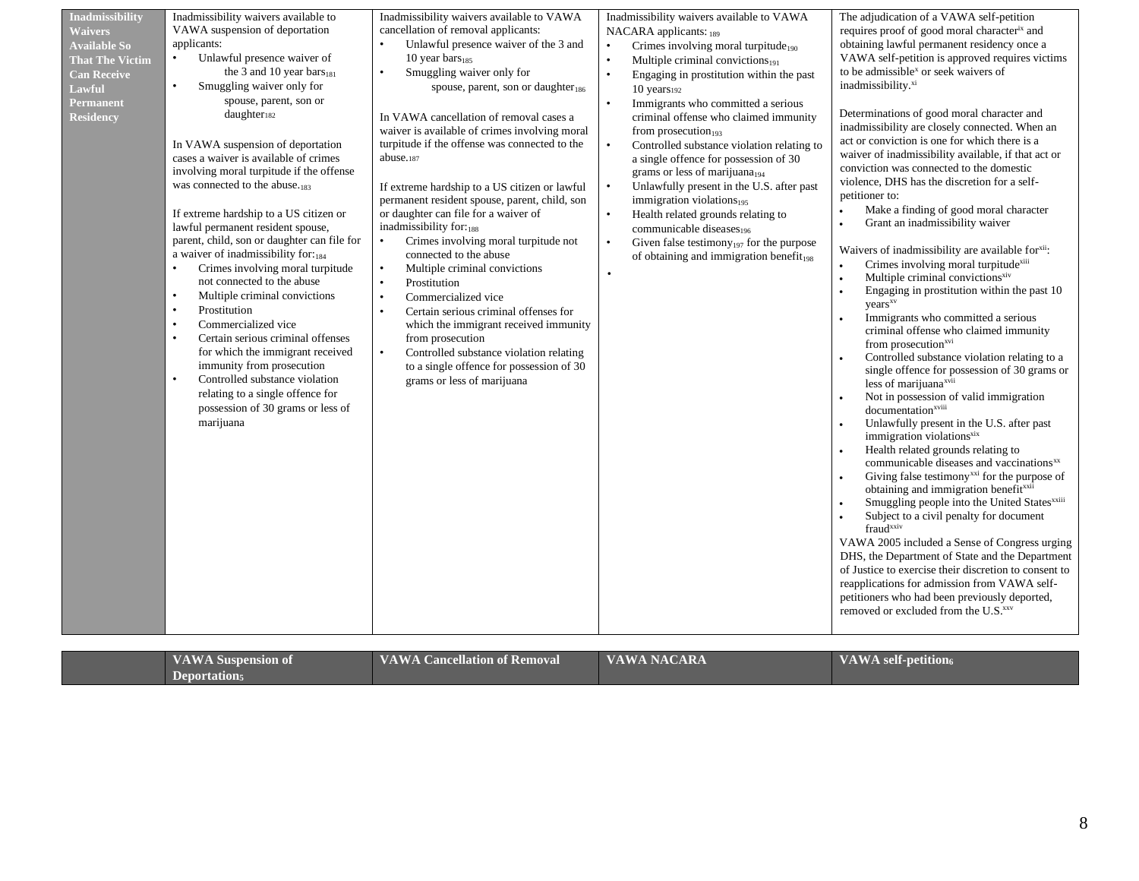| <b>Waivers</b><br><b>Available So</b><br><b>That The Victim</b><br><b>Can Receive</b><br>Lawful<br>Permanent<br><b>Residency</b> | VAWA suspension of deportation<br>applicants:<br>Unlawful presence waiver of<br>the 3 and 10 year bars $_{181}$<br>Smuggling waiver only for<br>$\bullet$<br>spouse, parent, son or<br>daughter <sub>182</sub><br>In VAWA suspension of deportation<br>cases a waiver is available of crimes<br>involving moral turpitude if the offense<br>was connected to the abuse. <sub>183</sub><br>If extreme hardship to a US citizen or<br>lawful permanent resident spouse,<br>parent, child, son or daughter can file for<br>a waiver of inadmissibility for: $_{184}$<br>Crimes involving moral turpitude<br>not connected to the abuse<br>Multiple criminal convictions<br>$\bullet$<br>Prostitution<br>$\bullet$<br>Commercialized vice<br>$\bullet$<br>$\bullet$<br>Certain serious criminal offenses<br>for which the immigrant received<br>immunity from prosecution<br>Controlled substance violation<br>$\bullet$<br>relating to a single offence for<br>possession of 30 grams or less of<br>marijuana | cancellation of removal applicants:<br>$\bullet$<br>Unlawful presence waiver of the 3 and<br>10 year bars $_{185}$<br>Smuggling waiver only for<br>$\bullet$<br>spouse, parent, son or daughter <sub>186</sub><br>In VAWA cancellation of removal cases a<br>waiver is available of crimes involving moral<br>turpitude if the offense was connected to the<br>abuse.187<br>If extreme hardship to a US citizen or lawful<br>permanent resident spouse, parent, child, son<br>or daughter can file for a waiver of<br>inadmissibility for:188<br>Crimes involving moral turpitude not<br>$\bullet$<br>connected to the abuse<br>Multiple criminal convictions<br>$\bullet$<br>Prostitution<br>$\bullet$<br>$\bullet$<br>Commercialized vice<br>Certain serious criminal offenses for<br>which the immigrant received immunity<br>from prosecution<br>Controlled substance violation relating<br>$\bullet$<br>to a single offence for possession of 30<br>grams or less of marijuana | NACARA applicants: 189<br>Crimes involving moral turpitude $_{190}$<br>$\bullet$<br>Multiple criminal convictions <sub>191</sub><br>$\bullet$<br>Engaging in prostitution within the past<br>$\bullet$<br>10 years192<br>Immigrants who committed a serious<br>criminal offense who claimed immunity<br>from prosecution <sub>193</sub><br>Controlled substance violation relating to<br>$\bullet$<br>a single offence for possession of 30<br>grams or less of marijuana <sub>194</sub><br>$\bullet$<br>Unlawfully present in the U.S. after past<br>immigration violations $_{195}$<br>Health related grounds relating to<br>$\bullet$<br>communicable diseases <sub>196</sub><br>Given false testimony <sub>197</sub> for the purpose<br>$\bullet$<br>of obtaining and immigration benefit <sub>198</sub> | requires proof of good moral character <sup>ix</sup> and<br>obtaining lawful permanent residency once a<br>VAWA self-petition is approved requires victims<br>to be admissible <sup>x</sup> or seek waivers of<br>inadmissibility. <sup>xi</sup><br>Determinations of good moral character and<br>inadmissibility are closely connected. When an<br>act or conviction is one for which there is a<br>waiver of inadmissibility available, if that act or<br>conviction was connected to the domestic<br>violence, DHS has the discretion for a self-<br>petitioner to:<br>Make a finding of good moral character<br>$\bullet$<br>Grant an inadmissibility waiver<br>$\bullet$<br>Waivers of inadmissibility are available for <sup>xii</sup> :<br>Crimes involving moral turpitude <sup>xiii</sup><br>Multiple criminal convictions <sup>xiv</sup><br>$\bullet$<br>Engaging in prostitution within the past 10<br>$\bullet$<br>years <sup>xv</sup><br>Immigrants who committed a serious<br>criminal offense who claimed immunity<br>from prosecution <sup>xvi</sup><br>Controlled substance violation relating to a<br>single offence for possession of 30 grams or<br>less of marijuana <sup>xvii</sup><br>Not in possession of valid immigration<br>documentation <sup>xviii</sup><br>Unlawfully present in the U.S. after past<br>immigration violations <sup>xix</sup><br>Health related grounds relating to<br>$\bullet$<br>communicable diseases and vaccinations <sup>xx</sup><br>Giving false testimony <sup>xxi</sup> for the purpose of<br>obtaining and immigration benefitxxii<br>Smuggling people into the United States <sup>xxiii</sup><br>Subject to a civil penalty for document<br>fraud <sup>xxiv</sup><br>VAWA 2005 included a Sense of Congress urging<br>DHS, the Department of State and the Department<br>of Justice to exercise their discretion to consent to<br>reapplications for admission from VAWA self-<br>petitioners who had been previously deported,<br>removed or excluded from the U.S.xxv |
|----------------------------------------------------------------------------------------------------------------------------------|------------------------------------------------------------------------------------------------------------------------------------------------------------------------------------------------------------------------------------------------------------------------------------------------------------------------------------------------------------------------------------------------------------------------------------------------------------------------------------------------------------------------------------------------------------------------------------------------------------------------------------------------------------------------------------------------------------------------------------------------------------------------------------------------------------------------------------------------------------------------------------------------------------------------------------------------------------------------------------------------------------|-------------------------------------------------------------------------------------------------------------------------------------------------------------------------------------------------------------------------------------------------------------------------------------------------------------------------------------------------------------------------------------------------------------------------------------------------------------------------------------------------------------------------------------------------------------------------------------------------------------------------------------------------------------------------------------------------------------------------------------------------------------------------------------------------------------------------------------------------------------------------------------------------------------------------------------------------------------------------------------|--------------------------------------------------------------------------------------------------------------------------------------------------------------------------------------------------------------------------------------------------------------------------------------------------------------------------------------------------------------------------------------------------------------------------------------------------------------------------------------------------------------------------------------------------------------------------------------------------------------------------------------------------------------------------------------------------------------------------------------------------------------------------------------------------------------|-----------------------------------------------------------------------------------------------------------------------------------------------------------------------------------------------------------------------------------------------------------------------------------------------------------------------------------------------------------------------------------------------------------------------------------------------------------------------------------------------------------------------------------------------------------------------------------------------------------------------------------------------------------------------------------------------------------------------------------------------------------------------------------------------------------------------------------------------------------------------------------------------------------------------------------------------------------------------------------------------------------------------------------------------------------------------------------------------------------------------------------------------------------------------------------------------------------------------------------------------------------------------------------------------------------------------------------------------------------------------------------------------------------------------------------------------------------------------------------------------------------------------------------------------------------------------------------------------------------------------------------------------------------------------------------------------------------------------------------------------------------------------------------------------------------------------------------------------------------------------------------------------------------------------------------------------------------------------------------------------------------------------------------|
|----------------------------------------------------------------------------------------------------------------------------------|------------------------------------------------------------------------------------------------------------------------------------------------------------------------------------------------------------------------------------------------------------------------------------------------------------------------------------------------------------------------------------------------------------------------------------------------------------------------------------------------------------------------------------------------------------------------------------------------------------------------------------------------------------------------------------------------------------------------------------------------------------------------------------------------------------------------------------------------------------------------------------------------------------------------------------------------------------------------------------------------------------|-------------------------------------------------------------------------------------------------------------------------------------------------------------------------------------------------------------------------------------------------------------------------------------------------------------------------------------------------------------------------------------------------------------------------------------------------------------------------------------------------------------------------------------------------------------------------------------------------------------------------------------------------------------------------------------------------------------------------------------------------------------------------------------------------------------------------------------------------------------------------------------------------------------------------------------------------------------------------------------|--------------------------------------------------------------------------------------------------------------------------------------------------------------------------------------------------------------------------------------------------------------------------------------------------------------------------------------------------------------------------------------------------------------------------------------------------------------------------------------------------------------------------------------------------------------------------------------------------------------------------------------------------------------------------------------------------------------------------------------------------------------------------------------------------------------|-----------------------------------------------------------------------------------------------------------------------------------------------------------------------------------------------------------------------------------------------------------------------------------------------------------------------------------------------------------------------------------------------------------------------------------------------------------------------------------------------------------------------------------------------------------------------------------------------------------------------------------------------------------------------------------------------------------------------------------------------------------------------------------------------------------------------------------------------------------------------------------------------------------------------------------------------------------------------------------------------------------------------------------------------------------------------------------------------------------------------------------------------------------------------------------------------------------------------------------------------------------------------------------------------------------------------------------------------------------------------------------------------------------------------------------------------------------------------------------------------------------------------------------------------------------------------------------------------------------------------------------------------------------------------------------------------------------------------------------------------------------------------------------------------------------------------------------------------------------------------------------------------------------------------------------------------------------------------------------------------------------------------------------|

| <b>VAWA Suspension of</b><br><b>Deportation</b> <sub>5</sub> | <b>VAWA NACARA</b><br><b>VAWA Cancellation of Removal</b> | <b>VAWA</b> self-petition6 |
|--------------------------------------------------------------|-----------------------------------------------------------|----------------------------|
|--------------------------------------------------------------|-----------------------------------------------------------|----------------------------|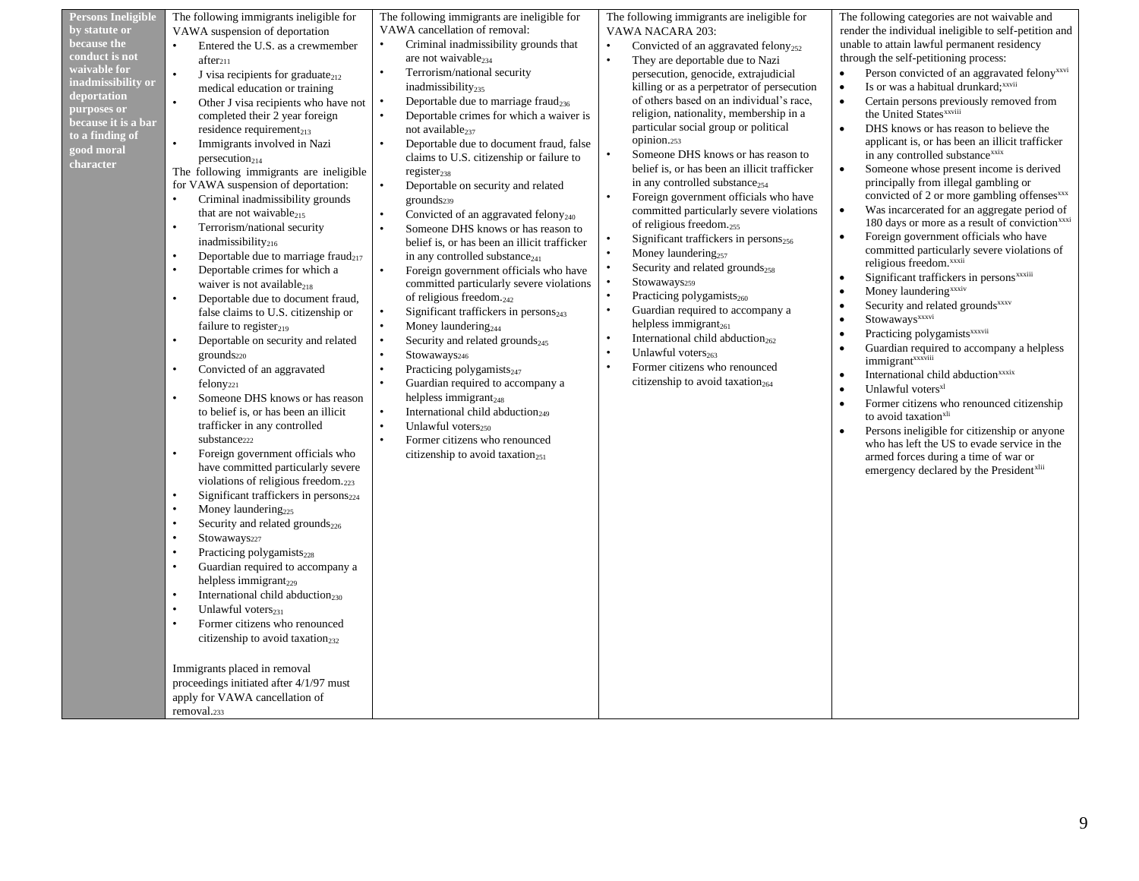| <b>Persons Ineligible</b> | The following immigrants ineligible for                      | The following immigrants are ineligible for                  | The following immigrants are ineligible for                                                | The following categories are not waivable and                                                                                                           |
|---------------------------|--------------------------------------------------------------|--------------------------------------------------------------|--------------------------------------------------------------------------------------------|---------------------------------------------------------------------------------------------------------------------------------------------------------|
| by statute or             |                                                              | VAWA cancellation of removal:                                |                                                                                            | render the individual ineligible to self-petition and                                                                                                   |
| because the               | VAWA suspension of deportation                               | Criminal inadmissibility grounds that                        | VAWA NACARA 203:                                                                           | unable to attain lawful permanent residency                                                                                                             |
| conduct is not            | Entered the U.S. as a crewmember                             |                                                              | Convicted of an aggravated felony <sub>252</sub>                                           |                                                                                                                                                         |
| waivable for              | after <sub>211</sub>                                         | are not waivable <sub>234</sub><br>$\bullet$                 | $\bullet$<br>They are deportable due to Nazi                                               | through the self-petitioning process:                                                                                                                   |
| inadmissibility or        | $\bullet$<br>J visa recipients for graduate $_{212}$         | Terrorism/national security                                  | persecution, genocide, extrajudicial                                                       | Person convicted of an aggravated felony <sup>xxvi</sup>                                                                                                |
| deportation               | medical education or training                                | inadmissibility $_{235}$                                     | killing or as a perpetrator of persecution<br>of others based on an individual's race,     | Is or was a habitual drunkard; xxvii<br>$\bullet$<br>$\bullet$                                                                                          |
| purposes or               | Other J visa recipients who have not                         | Deportable due to marriage fraud <sub>236</sub><br>$\bullet$ | religion, nationality, membership in a                                                     | Certain persons previously removed from<br>the United States <sup>xxviii</sup>                                                                          |
| because it is a bar       | completed their 2 year foreign                               | Deportable crimes for which a waiver is                      | particular social group or political                                                       | $\bullet$                                                                                                                                               |
| to a finding of           | residence requirement <sub>213</sub>                         | not available <sub>237</sub>                                 | opinion.253                                                                                | DHS knows or has reason to believe the                                                                                                                  |
| good moral                | $\bullet$<br>Immigrants involved in Nazi                     | $\bullet$<br>Deportable due to document fraud, false         | $\bullet$<br>Someone DHS knows or has reason to                                            | applicant is, or has been an illicit trafficker<br>in any controlled substance <sup>xxix</sup>                                                          |
| character                 | person <sub>214</sub>                                        | claims to U.S. citizenship or failure to                     |                                                                                            |                                                                                                                                                         |
|                           | The following immigrants are ineligible                      | $register_{238}$                                             | belief is, or has been an illicit trafficker<br>in any controlled substance <sub>254</sub> | Someone whose present income is derived<br>$\bullet$<br>principally from illegal gambling or                                                            |
|                           | for VAWA suspension of deportation:                          | $\bullet$<br>Deportable on security and related              |                                                                                            | convicted of 2 or more gambling offenses <sup>xxx</sup>                                                                                                 |
|                           | $\bullet$<br>Criminal inadmissibility grounds                | grounds <sub>239</sub>                                       | Foreign government officials who have<br>committed particularly severe violations          | Was incarcerated for an aggregate period of<br>$\bullet$                                                                                                |
|                           | that are not waivable <sub>215</sub>                         | Convicted of an aggravated felony <sub>240</sub>             | of religious freedom. $_{255}$                                                             | 180 days or more as a result of conviction <sup>xxxi</sup>                                                                                              |
|                           | Terrorism/national security<br>$\bullet$                     | $\ddot{\phantom{0}}$<br>Someone DHS knows or has reason to   | Significant traffickers in persons <sub>256</sub><br>$\bullet$                             | Foreign government officials who have<br>$\bullet$                                                                                                      |
|                           | inadmissibility $_{216}$                                     | belief is, or has been an illicit trafficker                 |                                                                                            | committed particularly severe violations of                                                                                                             |
|                           | Deportable due to marriage fraud <sub>217</sub><br>$\bullet$ | in any controlled substance $_{241}$                         | Money laundering $_{257}$<br>$\bullet$                                                     | religious freedom. <sup>xxxii</sup>                                                                                                                     |
|                           | Deportable crimes for which a<br>$\bullet$                   | $\bullet$<br>Foreign government officials who have           | Security and related grounds <sub>258</sub>                                                | Significant traffickers in persons <sup>xxxiii</sup>                                                                                                    |
|                           | waiver is not available <sub>218</sub>                       | committed particularly severe violations                     | Stowaways259<br>$\bullet$                                                                  | Money laundering <sup>xxxiv</sup>                                                                                                                       |
|                           | $\bullet$<br>Deportable due to document fraud,               | of religious freedom. $_{242}$                               | Practicing polygamists <sub>260</sub>                                                      | Security and related grounds <sup>xxxv</sup>                                                                                                            |
|                           | false claims to U.S. citizenship or                          | Significant traffickers in $person_{243}$                    | Guardian required to accompany a                                                           | $\ensuremath{\mathsf{Stowaways}}^{\ensuremath{\mathsf{x}}\ensuremath{\mathsf{x}}\ensuremath{\mathsf{x}}\ensuremath{\mathsf{v}}\ensuremath{\mathsf{v}}}$ |
|                           | failure to register <sub>219</sub>                           | Money laundering <sub>244</sub>                              | helpless immigrant $_{261}$                                                                | Practicing polygamists <sup>xxxvii</sup>                                                                                                                |
|                           | Deportable on security and related<br>$\bullet$              | Security and related grounds <sub>245</sub>                  | International child abduction <sub>262</sub>                                               | Guardian required to accompany a helpless                                                                                                               |
|                           | grounds <sub>220</sub>                                       | Stowaways246                                                 | Unlawful voters <sub>263</sub><br>$\bullet$                                                | immigrant <sup>xxxviii</sup>                                                                                                                            |
|                           | Convicted of an aggravated                                   | Practicing polygamists <sub>247</sub>                        | Former citizens who renounced                                                              | International child abduction <sup>xxxix</sup><br>$\bullet$                                                                                             |
|                           | felony <sub>221</sub>                                        | Guardian required to accompany a                             | citizenship to avoid taxation <sub>264</sub>                                               | Unlawful voters <sup>xl</sup><br>$\bullet$                                                                                                              |
|                           | Someone DHS knows or has reason<br>$\bullet$                 | helpless immigrant $_{248}$                                  |                                                                                            | Former citizens who renounced citizenship                                                                                                               |
|                           | to belief is, or has been an illicit                         | International child abduction <sub>249</sub>                 |                                                                                            | to avoid taxation <sup>xli</sup>                                                                                                                        |
|                           | trafficker in any controlled                                 | Unlawful voters <sub>250</sub>                               |                                                                                            | Persons ineligible for citizenship or anyone                                                                                                            |
|                           | substance <sub>222</sub>                                     | Former citizens who renounced                                |                                                                                            | who has left the US to evade service in the                                                                                                             |
|                           | Foreign government officials who                             | citizenship to avoid taxation <sub>251</sub>                 |                                                                                            | armed forces during a time of war or                                                                                                                    |
|                           | have committed particularly severe                           |                                                              |                                                                                            | emergency declared by the President <sup>xlii</sup>                                                                                                     |
|                           | violations of religious freedom. <sub>223</sub>              |                                                              |                                                                                            |                                                                                                                                                         |
|                           | Significant traffickers in persons $_{224}$<br>$\bullet$     |                                                              |                                                                                            |                                                                                                                                                         |
|                           | Money laundering <sub>225</sub>                              |                                                              |                                                                                            |                                                                                                                                                         |
|                           | Security and related grounds <sub>226</sub><br>$\bullet$     |                                                              |                                                                                            |                                                                                                                                                         |
|                           | Stowaways227                                                 |                                                              |                                                                                            |                                                                                                                                                         |
|                           | $\bullet$<br>Practicing polygamists <sub>228</sub>           |                                                              |                                                                                            |                                                                                                                                                         |
|                           | Guardian required to accompany a                             |                                                              |                                                                                            |                                                                                                                                                         |
|                           | helpless immigrant $_{229}$                                  |                                                              |                                                                                            |                                                                                                                                                         |
|                           | International child abduction <sub>230</sub>                 |                                                              |                                                                                            |                                                                                                                                                         |
|                           | $\bullet$<br>Unlawful voters $_{231}$                        |                                                              |                                                                                            |                                                                                                                                                         |
|                           | Former citizens who renounced                                |                                                              |                                                                                            |                                                                                                                                                         |
|                           | citizenship to avoid taxation <sub>232</sub>                 |                                                              |                                                                                            |                                                                                                                                                         |
|                           |                                                              |                                                              |                                                                                            |                                                                                                                                                         |
|                           | Immigrants placed in removal                                 |                                                              |                                                                                            |                                                                                                                                                         |
|                           | proceedings initiated after 4/1/97 must                      |                                                              |                                                                                            |                                                                                                                                                         |
|                           | apply for VAWA cancellation of                               |                                                              |                                                                                            |                                                                                                                                                         |
|                           | removal.233                                                  |                                                              |                                                                                            |                                                                                                                                                         |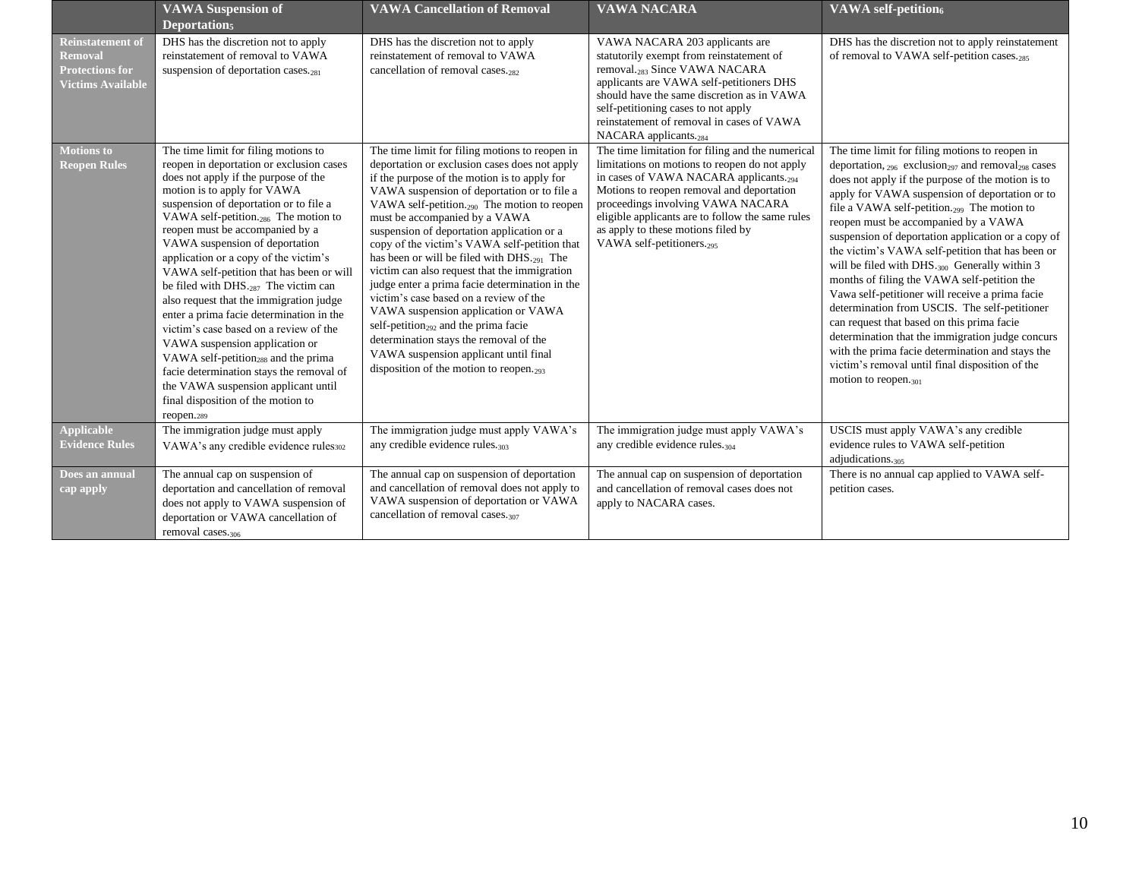|                                                                                                 | <b>VAWA Suspension of</b><br><b>Deportations</b>                                                                                                                                                                                                                                                                                                                                                                                                                                                                                                                                                                                                                                                                                                                                                                                 | <b>VAWA Cancellation of Removal</b>                                                                                                                                                                                                                                                                                                                                                                                                                                                                                                                                                                                                                                                                                                                                                                           | <b>VAWA NACARA</b>                                                                                                                                                                                                                                                                                                                                                           | <b>VAWA</b> self-petition <sub>6</sub>                                                                                                                                                                                                                                                                                                                                                                                                                                                                                                                                                                                                                                                                                                                                                                                                                                                                       |
|-------------------------------------------------------------------------------------------------|----------------------------------------------------------------------------------------------------------------------------------------------------------------------------------------------------------------------------------------------------------------------------------------------------------------------------------------------------------------------------------------------------------------------------------------------------------------------------------------------------------------------------------------------------------------------------------------------------------------------------------------------------------------------------------------------------------------------------------------------------------------------------------------------------------------------------------|---------------------------------------------------------------------------------------------------------------------------------------------------------------------------------------------------------------------------------------------------------------------------------------------------------------------------------------------------------------------------------------------------------------------------------------------------------------------------------------------------------------------------------------------------------------------------------------------------------------------------------------------------------------------------------------------------------------------------------------------------------------------------------------------------------------|------------------------------------------------------------------------------------------------------------------------------------------------------------------------------------------------------------------------------------------------------------------------------------------------------------------------------------------------------------------------------|--------------------------------------------------------------------------------------------------------------------------------------------------------------------------------------------------------------------------------------------------------------------------------------------------------------------------------------------------------------------------------------------------------------------------------------------------------------------------------------------------------------------------------------------------------------------------------------------------------------------------------------------------------------------------------------------------------------------------------------------------------------------------------------------------------------------------------------------------------------------------------------------------------------|
| <b>Reinstatement of</b><br><b>Removal</b><br><b>Protections for</b><br><b>Victims Available</b> | DHS has the discretion not to apply<br>reinstatement of removal to VAWA<br>suspension of deportation cases. $_{281}$                                                                                                                                                                                                                                                                                                                                                                                                                                                                                                                                                                                                                                                                                                             | DHS has the discretion not to apply<br>reinstatement of removal to VAWA<br>cancellation of removal cases. <sub>282</sub>                                                                                                                                                                                                                                                                                                                                                                                                                                                                                                                                                                                                                                                                                      | VAWA NACARA 203 applicants are<br>statutorily exempt from reinstatement of<br>removal. <sub>283</sub> Since VAWA NACARA<br>applicants are VAWA self-petitioners DHS<br>should have the same discretion as in VAWA<br>self-petitioning cases to not apply<br>reinstatement of removal in cases of VAWA<br>NACARA applicants. <sub>284</sub>                                   | DHS has the discretion not to apply reinstatement<br>of removal to VAWA self-petition cases.285                                                                                                                                                                                                                                                                                                                                                                                                                                                                                                                                                                                                                                                                                                                                                                                                              |
| <b>Motions</b> to<br><b>Reopen Rules</b>                                                        | The time limit for filing motions to<br>reopen in deportation or exclusion cases<br>does not apply if the purpose of the<br>motion is to apply for VAWA<br>suspension of deportation or to file a<br>VAWA self-petition. <sub>286</sub> The motion to<br>reopen must be accompanied by a<br>VAWA suspension of deportation<br>application or a copy of the victim's<br>VAWA self-petition that has been or will<br>be filed with DHS. <sub>287</sub> The victim can<br>also request that the immigration judge<br>enter a prima facie determination in the<br>victim's case based on a review of the<br>VAWA suspension application or<br>VAWA self-petition <sub>288</sub> and the prima<br>facie determination stays the removal of<br>the VAWA suspension applicant until<br>final disposition of the motion to<br>reopen.289 | The time limit for filing motions to reopen in<br>deportation or exclusion cases does not apply<br>if the purpose of the motion is to apply for<br>VAWA suspension of deportation or to file a<br>VAWA self-petition. <sub>290</sub> The motion to reopen<br>must be accompanied by a VAWA<br>suspension of deportation application or a<br>copy of the victim's VAWA self-petition that<br>has been or will be filed with $DHS_{.291}$ The<br>victim can also request that the immigration<br>judge enter a prima facie determination in the<br>victim's case based on a review of the<br>VAWA suspension application or VAWA<br>self-petition <sub>292</sub> and the prima facie<br>determination stays the removal of the<br>VAWA suspension applicant until final<br>disposition of the motion to reopen. | The time limitation for filing and the numerical<br>limitations on motions to reopen do not apply<br>in cases of VAWA NACARA applicants. <sub>294</sub><br>Motions to reopen removal and deportation<br>proceedings involving VAWA NACARA<br>eligible applicants are to follow the same rules<br>as apply to these motions filed by<br>VAWA self-petitioners. <sub>295</sub> | The time limit for filing motions to reopen in<br>deportation, $_{296}$ exclusion <sub>297</sub> and removal <sub>298</sub> cases<br>does not apply if the purpose of the motion is to<br>apply for VAWA suspension of deportation or to<br>file a VAWA self-petition. <sub>299</sub> The motion to<br>reopen must be accompanied by a VAWA<br>suspension of deportation application or a copy of<br>the victim's VAWA self-petition that has been or<br>will be filed with DHS. <sub>300</sub> Generally within 3<br>months of filing the VAWA self-petition the<br>Vawa self-petitioner will receive a prima facie<br>determination from USCIS. The self-petitioner<br>can request that based on this prima facie<br>determination that the immigration judge concurs<br>with the prima facie determination and stays the<br>victim's removal until final disposition of the<br>motion to reopen. $_{301}$ |
| <b>Applicable</b><br><b>Evidence Rules</b>                                                      | The immigration judge must apply<br>VAWA's any credible evidence rules302                                                                                                                                                                                                                                                                                                                                                                                                                                                                                                                                                                                                                                                                                                                                                        | The immigration judge must apply VAWA's<br>any credible evidence rules.303                                                                                                                                                                                                                                                                                                                                                                                                                                                                                                                                                                                                                                                                                                                                    | The immigration judge must apply VAWA's<br>any credible evidence rules. <sub>304</sub>                                                                                                                                                                                                                                                                                       | USCIS must apply VAWA's any credible<br>evidence rules to VAWA self-petition<br>adjudications.305                                                                                                                                                                                                                                                                                                                                                                                                                                                                                                                                                                                                                                                                                                                                                                                                            |
| Does an annual<br>cap apply                                                                     | The annual cap on suspension of<br>deportation and cancellation of removal<br>does not apply to VAWA suspension of<br>deportation or VAWA cancellation of<br>removal cases. <sub>306</sub>                                                                                                                                                                                                                                                                                                                                                                                                                                                                                                                                                                                                                                       | The annual cap on suspension of deportation<br>and cancellation of removal does not apply to<br>VAWA suspension of deportation or VAWA<br>cancellation of removal cases. <sub>307</sub>                                                                                                                                                                                                                                                                                                                                                                                                                                                                                                                                                                                                                       | The annual cap on suspension of deportation<br>and cancellation of removal cases does not<br>apply to NACARA cases.                                                                                                                                                                                                                                                          | There is no annual cap applied to VAWA self-<br>petition cases.                                                                                                                                                                                                                                                                                                                                                                                                                                                                                                                                                                                                                                                                                                                                                                                                                                              |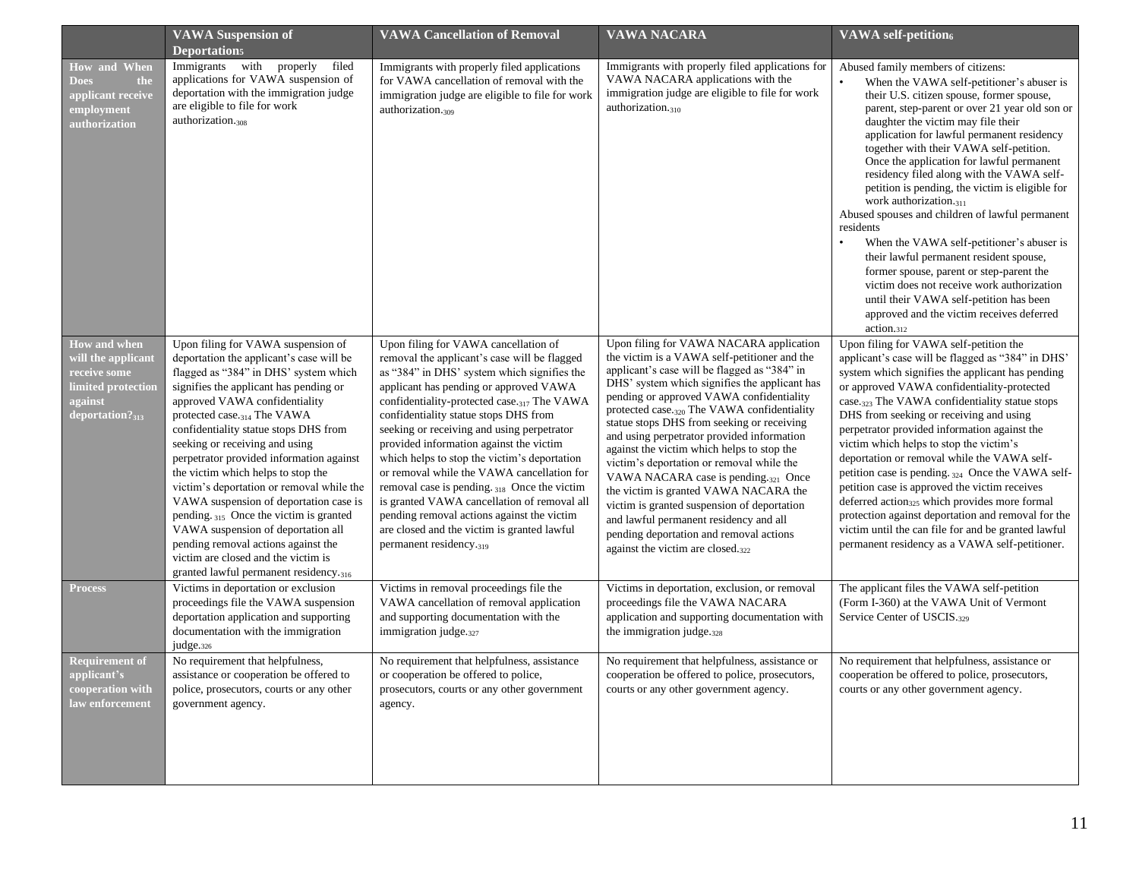|                                                                                                           | <b>VAWA Suspension of</b><br>Deportation <sub>5</sub>                                                                                                                                                                                                                                                                                                                                                                                                                                                                                                                                                                                                                                                      | <b>VAWA Cancellation of Removal</b>                                                                                                                                                                                                                                                                                                                                                                                                                                                                                                                                                                                                                                                             | <b>VAWA NACARA</b>                                                                                                                                                                                                                                                                                                                                                                                                                                                                                                                                                                                                                                                                                                                               | <b>VAWA</b> self-petition6                                                                                                                                                                                                                                                                                                                                                                                                                                                                                                                                                                                                                                                                                                                                                                                                                         |
|-----------------------------------------------------------------------------------------------------------|------------------------------------------------------------------------------------------------------------------------------------------------------------------------------------------------------------------------------------------------------------------------------------------------------------------------------------------------------------------------------------------------------------------------------------------------------------------------------------------------------------------------------------------------------------------------------------------------------------------------------------------------------------------------------------------------------------|-------------------------------------------------------------------------------------------------------------------------------------------------------------------------------------------------------------------------------------------------------------------------------------------------------------------------------------------------------------------------------------------------------------------------------------------------------------------------------------------------------------------------------------------------------------------------------------------------------------------------------------------------------------------------------------------------|--------------------------------------------------------------------------------------------------------------------------------------------------------------------------------------------------------------------------------------------------------------------------------------------------------------------------------------------------------------------------------------------------------------------------------------------------------------------------------------------------------------------------------------------------------------------------------------------------------------------------------------------------------------------------------------------------------------------------------------------------|----------------------------------------------------------------------------------------------------------------------------------------------------------------------------------------------------------------------------------------------------------------------------------------------------------------------------------------------------------------------------------------------------------------------------------------------------------------------------------------------------------------------------------------------------------------------------------------------------------------------------------------------------------------------------------------------------------------------------------------------------------------------------------------------------------------------------------------------------|
| <b>How and When</b><br><b>Does</b><br>the<br>applicant receive<br>employment<br>authorization             | Immigrants with<br>properly<br>filed<br>applications for VAWA suspension of<br>deportation with the immigration judge<br>are eligible to file for work<br>authorization. <sub>308</sub>                                                                                                                                                                                                                                                                                                                                                                                                                                                                                                                    | Immigrants with properly filed applications<br>for VAWA cancellation of removal with the<br>immigration judge are eligible to file for work<br>authorization. <sub>309</sub>                                                                                                                                                                                                                                                                                                                                                                                                                                                                                                                    | Immigrants with properly filed applications for<br>VAWA NACARA applications with the<br>immigration judge are eligible to file for work<br>authorization. <sub>310</sub>                                                                                                                                                                                                                                                                                                                                                                                                                                                                                                                                                                         | Abused family members of citizens:<br>When the VAWA self-petitioner's abuser is<br>their U.S. citizen spouse, former spouse,<br>parent, step-parent or over 21 year old son or<br>daughter the victim may file their<br>application for lawful permanent residency<br>together with their VAWA self-petition.<br>Once the application for lawful permanent<br>residency filed along with the VAWA self-<br>petition is pending, the victim is eligible for<br>work authorization. $_{311}$<br>Abused spouses and children of lawful permanent<br>residents<br>When the VAWA self-petitioner's abuser is<br>their lawful permanent resident spouse,<br>former spouse, parent or step-parent the<br>victim does not receive work authorization<br>until their VAWA self-petition has been<br>approved and the victim receives deferred<br>action.312 |
| How and when<br>will the applicant<br>receive some<br>limited protection<br>against<br>deportation? $313$ | Upon filing for VAWA suspension of<br>deportation the applicant's case will be<br>flagged as "384" in DHS' system which<br>signifies the applicant has pending or<br>approved VAWA confidentiality<br>protected case. <sub>314</sub> The VAWA<br>confidentiality statue stops DHS from<br>seeking or receiving and using<br>perpetrator provided information against<br>the victim which helps to stop the<br>victim's deportation or removal while the<br>VAWA suspension of deportation case is<br>pending. 315 Once the victim is granted<br>VAWA suspension of deportation all<br>pending removal actions against the<br>victim are closed and the victim is<br>granted lawful permanent residency.316 | Upon filing for VAWA cancellation of<br>removal the applicant's case will be flagged<br>as "384" in DHS' system which signifies the<br>applicant has pending or approved VAWA<br>confidentiality-protected case. <sub>317</sub> The VAWA<br>confidentiality statue stops DHS from<br>seeking or receiving and using perpetrator<br>provided information against the victim<br>which helps to stop the victim's deportation<br>or removal while the VAWA cancellation for<br>removal case is pending. 318 Once the victim<br>is granted VAWA cancellation of removal all<br>pending removal actions against the victim<br>are closed and the victim is granted lawful<br>permanent residency.319 | Upon filing for VAWA NACARA application<br>the victim is a VAWA self-petitioner and the<br>applicant's case will be flagged as "384" in<br>DHS' system which signifies the applicant has<br>pending or approved VAWA confidentiality<br>protected case. <sub>320</sub> The VAWA confidentiality<br>statue stops DHS from seeking or receiving<br>and using perpetrator provided information<br>against the victim which helps to stop the<br>victim's deportation or removal while the<br>VAWA NACARA case is pending.321 Once<br>the victim is granted VAWA NACARA the<br>victim is granted suspension of deportation<br>and lawful permanent residency and all<br>pending deportation and removal actions<br>against the victim are closed.322 | Upon filing for VAWA self-petition the<br>applicant's case will be flagged as "384" in DHS'<br>system which signifies the applicant has pending<br>or approved VAWA confidentiality-protected<br>case. <sub>323</sub> The VAWA confidentiality statue stops<br>DHS from seeking or receiving and using<br>perpetrator provided information against the<br>victim which helps to stop the victim's<br>deportation or removal while the VAWA self-<br>petition case is pending. 324 Once the VAWA self-<br>petition case is approved the victim receives<br>deferred action <sub>325</sub> which provides more formal<br>protection against deportation and removal for the<br>victim until the can file for and be granted lawful<br>permanent residency as a VAWA self-petitioner.                                                                 |
| <b>Process</b>                                                                                            | Victims in deportation or exclusion<br>proceedings file the VAWA suspension<br>deportation application and supporting<br>documentation with the immigration<br>judge.326                                                                                                                                                                                                                                                                                                                                                                                                                                                                                                                                   | Victims in removal proceedings file the<br>VAWA cancellation of removal application<br>and supporting documentation with the<br>immigration judge. $327$                                                                                                                                                                                                                                                                                                                                                                                                                                                                                                                                        | Victims in deportation, exclusion, or removal<br>proceedings file the VAWA NACARA<br>application and supporting documentation with<br>the immigration judge. $_{328}$                                                                                                                                                                                                                                                                                                                                                                                                                                                                                                                                                                            | The applicant files the VAWA self-petition<br>(Form I-360) at the VAWA Unit of Vermont<br>Service Center of USCIS.329                                                                                                                                                                                                                                                                                                                                                                                                                                                                                                                                                                                                                                                                                                                              |
| <b>Requirement of</b><br>applicant's<br>cooperation with<br>law enforcement                               | No requirement that helpfulness,<br>assistance or cooperation be offered to<br>police, prosecutors, courts or any other<br>government agency.                                                                                                                                                                                                                                                                                                                                                                                                                                                                                                                                                              | No requirement that helpfulness, assistance<br>or cooperation be offered to police,<br>prosecutors, courts or any other government<br>agency.                                                                                                                                                                                                                                                                                                                                                                                                                                                                                                                                                   | No requirement that helpfulness, assistance or<br>cooperation be offered to police, prosecutors,<br>courts or any other government agency.                                                                                                                                                                                                                                                                                                                                                                                                                                                                                                                                                                                                       | No requirement that helpfulness, assistance or<br>cooperation be offered to police, prosecutors,<br>courts or any other government agency.                                                                                                                                                                                                                                                                                                                                                                                                                                                                                                                                                                                                                                                                                                         |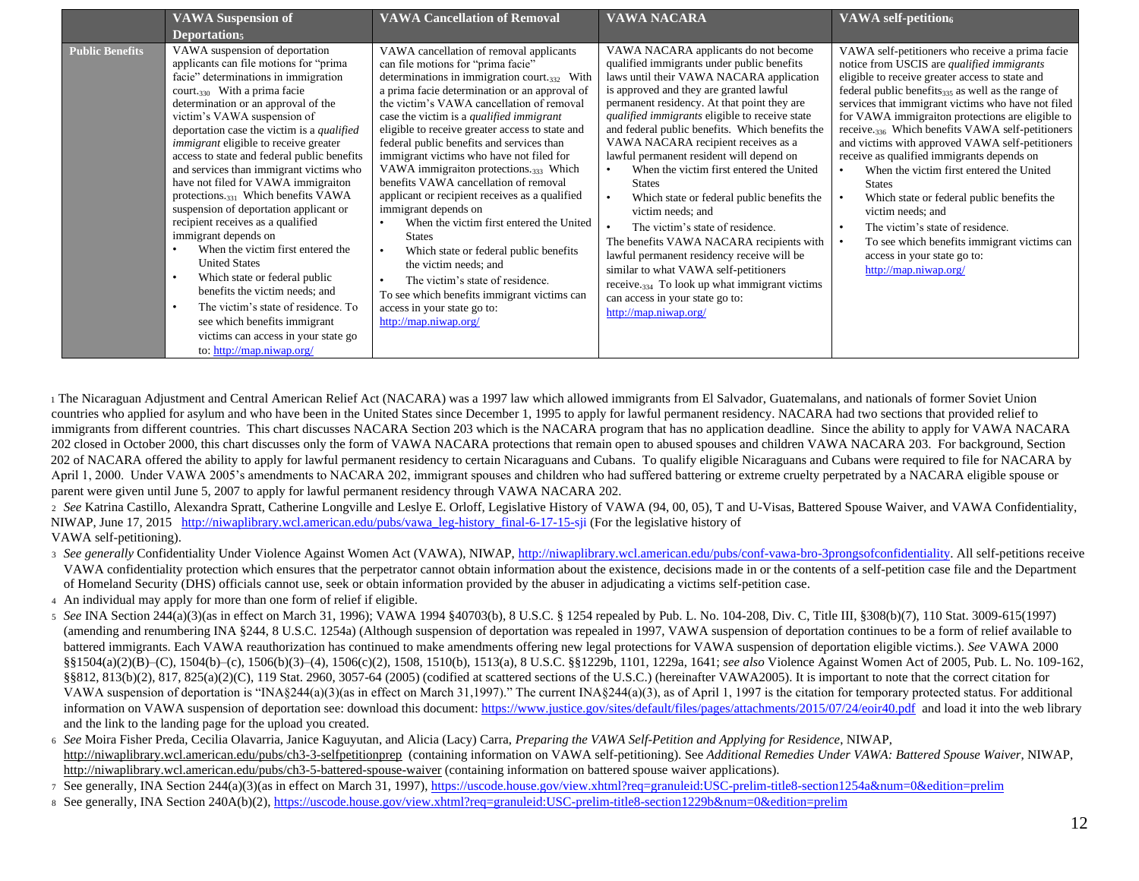|                        | <b>VAWA Suspension of</b>                                                                                                                                                                                                                                                                                                                                                                                                                                                                                                                                                                                                                                                                                                                                                                                                                                                                                            | <b>VAWA Cancellation of Removal</b>                                                                                                                                                                                                                                                                                                                                                                                                                                                                                                                                                                                                                                                                                                                                                                                                                            | <b>VAWA NACARA</b>                                                                                                                                                                                                                                                                                                                                                                                                                                                                                                                                                                                                                                                                                                                                                                                                                                                                      | <b>VAWA</b> self-petition6                                                                                                                                                                                                                                                                                                                                                                                                                                                                                                                                                                                                                                                                                                                                   |
|------------------------|----------------------------------------------------------------------------------------------------------------------------------------------------------------------------------------------------------------------------------------------------------------------------------------------------------------------------------------------------------------------------------------------------------------------------------------------------------------------------------------------------------------------------------------------------------------------------------------------------------------------------------------------------------------------------------------------------------------------------------------------------------------------------------------------------------------------------------------------------------------------------------------------------------------------|----------------------------------------------------------------------------------------------------------------------------------------------------------------------------------------------------------------------------------------------------------------------------------------------------------------------------------------------------------------------------------------------------------------------------------------------------------------------------------------------------------------------------------------------------------------------------------------------------------------------------------------------------------------------------------------------------------------------------------------------------------------------------------------------------------------------------------------------------------------|-----------------------------------------------------------------------------------------------------------------------------------------------------------------------------------------------------------------------------------------------------------------------------------------------------------------------------------------------------------------------------------------------------------------------------------------------------------------------------------------------------------------------------------------------------------------------------------------------------------------------------------------------------------------------------------------------------------------------------------------------------------------------------------------------------------------------------------------------------------------------------------------|--------------------------------------------------------------------------------------------------------------------------------------------------------------------------------------------------------------------------------------------------------------------------------------------------------------------------------------------------------------------------------------------------------------------------------------------------------------------------------------------------------------------------------------------------------------------------------------------------------------------------------------------------------------------------------------------------------------------------------------------------------------|
|                        | Deportations                                                                                                                                                                                                                                                                                                                                                                                                                                                                                                                                                                                                                                                                                                                                                                                                                                                                                                         |                                                                                                                                                                                                                                                                                                                                                                                                                                                                                                                                                                                                                                                                                                                                                                                                                                                                |                                                                                                                                                                                                                                                                                                                                                                                                                                                                                                                                                                                                                                                                                                                                                                                                                                                                                         |                                                                                                                                                                                                                                                                                                                                                                                                                                                                                                                                                                                                                                                                                                                                                              |
| <b>Public Benefits</b> | VAWA suspension of deportation<br>applicants can file motions for "prima"<br>facie" determinations in immigration<br>court. $_{330}$ With a prima facie<br>determination or an approval of the<br>victim's VAWA suspension of<br>deportation case the victim is a qualified<br>immigrant eligible to receive greater<br>access to state and federal public benefits<br>and services than immigrant victims who<br>have not filed for VAWA immigraiton<br>protections. <sub>331</sub> Which benefits VAWA<br>suspension of deportation applicant or<br>recipient receives as a qualified<br>immigrant depends on<br>When the victim first entered the<br><b>United States</b><br>Which state or federal public<br>$\bullet$<br>benefits the victim needs; and<br>The victim's state of residence. To<br>$\bullet$<br>see which benefits immigrant<br>victims can access in your state go<br>to: http://map.niwap.org/ | VAWA cancellation of removal applicants<br>can file motions for "prima facie"<br>determinations in immigration court. $332$ With<br>a prima facie determination or an approval of<br>the victim's VAWA cancellation of removal<br>case the victim is a qualified immigrant<br>eligible to receive greater access to state and<br>federal public benefits and services than<br>immigrant victims who have not filed for<br>VAWA immigraiton protections.333 Which<br>benefits VAWA cancellation of removal<br>applicant or recipient receives as a qualified<br>immigrant depends on<br>When the victim first entered the United<br><b>States</b><br>Which state or federal public benefits<br>the victim needs; and<br>The victim's state of residence.<br>To see which benefits immigrant victims can<br>access in your state go to:<br>http://map.niwap.org/ | VAWA NACARA applicants do not become<br>qualified immigrants under public benefits<br>laws until their VAWA NACARA application<br>is approved and they are granted lawful<br>permanent residency. At that point they are<br>qualified immigrants eligible to receive state<br>and federal public benefits. Which benefits the<br>VAWA NACARA recipient receives as a<br>lawful permanent resident will depend on<br>When the victim first entered the United<br>$\bullet$<br><b>States</b><br>Which state or federal public benefits the<br>$\bullet$<br>victim needs; and<br>The victim's state of residence.<br>$\bullet$<br>The benefits VAWA NACARA recipients with<br>lawful permanent residency receive will be<br>similar to what VAWA self-petitioners<br>receive. <sub>334</sub> To look up what immigrant victims<br>can access in your state go to:<br>http://map.niwap.org/ | VAWA self-petitioners who receive a prima facie<br>notice from USCIS are qualified immigrants<br>eligible to receive greater access to state and<br>federal public benefits335 as well as the range of<br>services that immigrant victims who have not filed<br>for VAWA immigraiton protections are eligible to<br>receive. <sub>336</sub> Which benefits VAWA self-petitioners<br>and victims with approved VAWA self-petitioners<br>receive as qualified immigrants depends on<br>When the victim first entered the United<br><b>States</b><br>Which state or federal public benefits the<br>victim needs; and<br>The victim's state of residence.<br>To see which benefits immigrant victims can<br>access in your state go to:<br>http://map.niwap.org/ |

1 The Nicaraguan Adjustment and Central American Relief Act (NACARA) was a 1997 law which allowed immigrants from El Salvador, Guatemalans, and nationals of former Soviet Union countries who applied for asylum and who have been in the United States since December 1, 1995 to apply for lawful permanent residency. NACARA had two sections that provided relief to immigrants from different countries. This chart discusses NACARA Section 203 which is the NACARA program that has no application deadline. Since the ability to apply for VAWA NACARA 202 closed in October 2000, this chart discusses only the form of VAWA NACARA protections that remain open to abused spouses and children VAWA NACARA 203. For background, Section 202 of NACARA offered the ability to apply for lawful permanent residency to certain Nicaraguans and Cubans. To qualify eligible Nicaraguans and Cubans were required to file for NACARA by April 1, 2000. Under VAWA 2005's amendments to NACARA 202, immigrant spouses and children who had suffered battering or extreme cruelty perpetrated by a NACARA eligible spouse or parent were given until June 5, 2007 to apply for lawful permanent residency through VAWA NACARA 202.

<sup>2</sup> *See* Katrina Castillo, Alexandra Spratt, Catherine Longville and Leslye E. Orloff, Legislative History of VAWA (94, 00, 05), T and U-Visas, Battered Spouse Waiver, and VAWA Confidentiality, NIWAP, June 17, 2015 [http://niwaplibrary.wcl.american.edu/pubs/vawa\\_leg-history\\_final-6-17-15-sji](http://niwaplibrary.wcl.american.edu/pubs/vawa_leg-history_final-6-17-15-sji) (For the legislative history of VAWA self-petitioning).

- 3 See generally Confidentiality Under Violence Against Women Act (VAWA)[,](http://niwaplibrary.wcl.american.edu/pubs/conf-vawa-bro-3prongsofconfidentiality) NIWAP, [http://niwaplibrary.wcl.american.edu/pubs/conf-vawa-bro-3prongsofconfidentiality.](http://niwaplibrary.wcl.american.edu/pubs/conf-vawa-bro-3prongsofconfidentiality) All self-petitions receive VAWA confidentiality protection which ensures that the perpetrator cannot obtain information about the existence, decisions made in or the contents of a self-petition case file and the Department of Homeland Security (DHS) officials cannot use, seek or obtain information provided by the abuser in adjudicating a victims self-petition case.
- <sup>4</sup> An individual may apply for more than one form of relief if eligible.
- <sup>5</sup> *See* INA Section 244(a)(3)(as in effect on March 31, 1996); VAWA 1994 §40703(b), 8 U.S.C. § 1254 repealed by Pub. L. No. 104-208, Div. C, Title III, §308(b)(7), 110 Stat. 3009-615(1997) (amending and renumbering INA §244, 8 U.S.C. 1254a) (Although suspension of deportation was repealed in 1997, VAWA suspension of deportation continues to be a form of relief available to battered immigrants. Each VAWA reauthorization has continued to make amendments offering new legal protections for VAWA suspension of deportation eligible victims.). *See* VAWA 2000 §§1504(a)(2)(B)–(C), 1504(b)–(c), 1506(b)(3)–(4), 1506(c)(2), 1508, 1510(b), 1513(a), 8 U.S.C. §§1229b, 1101, 1229a, 1641; *see also* Violence Against Women Act of 2005, Pub. L. No. 109-162, §§812, 813(b)(2), 817, 825(a)(2)(C), 119 Stat. 2960, 3057-64 (2005) (codified at scattered sections of the U.S.C.) (hereinafter VAWA2005). It is important to note that the correct citation for VAWA suspension of deportation is "INA§244(a)(3)(as in effect on March 31,1997)." The current INA§244(a)(3), as of April 1, 1997 is the citation for temporary protected status. For additional information on VAWA suspension of deportation see: download this documen[t: https://www.justice.gov/sites/default/files/pages/attachments/2015/07/24/eoir40.pdf](https://www.justice.gov/sites/default/files/pages/attachments/2015/07/24/eoir40.pdf) and load it into the web library and the link to the landing page for the upload you created.
- <sup>6</sup> *See* Moira Fisher Preda, Cecilia Olavarria, Janice Kaguyutan, and Alicia (Lacy) Carra, *Preparing the VAWA Self-Petition and Applying for Residence*, NIWAP, <http://niwaplibrary.wcl.american.edu/pubs/ch3-3-selfpetitionprep> (containing information on VAWA self-petitioning). See *Additional Remedies Under VAWA: Battered Spouse Waiver*, NIWAP, <http://niwaplibrary.wcl.american.edu/pubs/ch3-5-battered-spouse-waiver> (containing information on battered spouse waiver applications).
- <sup>7</sup> See generally, INA Section 244(a)(3)(as in effect on March 31, 1997[\), https://uscode.house.gov/view.xhtml?req=granuleid:USC-prelim-title8-section1254a&num=0&edition=prelim](https://uscode.house.gov/view.xhtml?req=granuleid:USC-prelim-title8-section1254a&num=0&edition=prelim)
- 8 See generally, INA Section 240A(b)(2[\), https://uscode.house.gov/view.xhtml?req=granuleid:USC-prelim-title8-section1229b&num=0&edition=prelim](https://uscode.house.gov/view.xhtml?req=granuleid:USC-prelim-title8-section1229b&num=0&edition=prelim)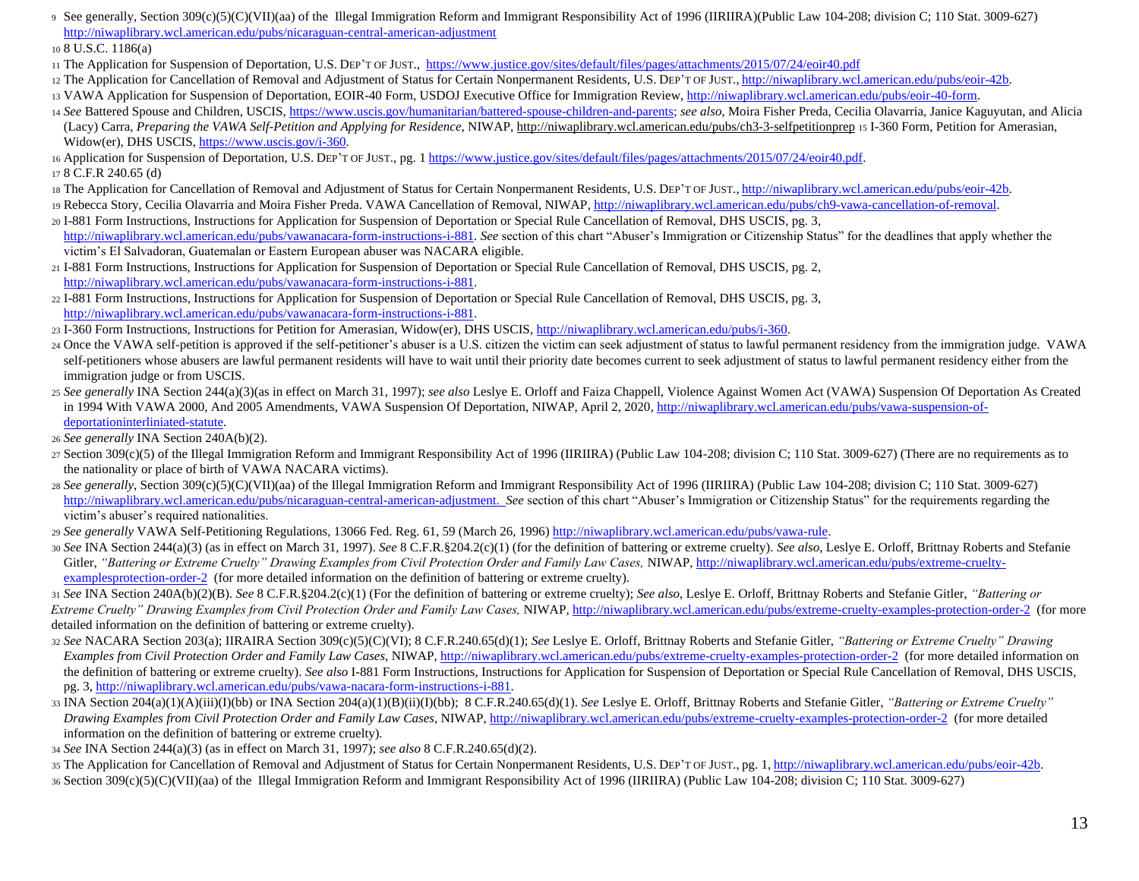<sup>9</sup> See generally, Section 309(c)(5)(C)(VII)(aa) of the Illegal Immigration Reform and Immigrant Responsibility Act of 1996 (IIRIIRA)(Public Law 104-208; division C; 110 Stat. 3009-627) <http://niwaplibrary.wcl.american.edu/pubs/nicaraguan-central-american-adjustment>

<sup>10</sup> 8 U.S.C. 1186(a)

- <sup>11</sup> The Application for Suspension of Deportation, U.S. DEP'T OF JUST.[, https://www.justice.gov/sites/default/files/pages/attachments/2015/07/24/eoir40.pdf](https://www.justice.gov/sites/default/files/pages/attachments/2015/07/24/eoir40.pdf)
- 12 The Application for Cancellation of Removal and Adjustment of Status for Certain Nonpermanent Residents[,](http://niwaplibrary.wcl.american.edu/pubs/eoir-42b) U.S. DEP'T OF JUST., [http://niwaplibrary.wcl.american.edu/pubs/eoir-42b.](http://niwaplibrary.wcl.american.edu/pubs/eoir-42b)
- <sup>13</sup> VAWA Application for Suspension of Deportation, EOIR-40 Form, USDOJ Executive Office for Immigration Revie[w, http://niwaplibrary.wcl.american.edu/pubs/eoir-40-form.](http://niwaplibrary.wcl.american.edu/pubs/eoir-40-form)
- <sup>14</sup> *See* Battered Spouse and Children, USCIS, [https://www.uscis.gov/humanitarian/battered-spouse-children-and-parents;](https://www.uscis.gov/humanitarian/battered-spouse-children-and-parents) *see also*, Moira Fisher Preda, Cecilia Olavarria, Janice Kaguyutan, and Alicia (Lacy) Carra, *Preparing the VAWA Self-Petition and Applying for Residence*, NIWA[P, http://niwaplibrary.wcl.american.edu/pubs/ch3-3-selfpetitionprep](http://niwaplibrary.wcl.american.edu/pubs/ch3-3-selfpetitionprep) <sup>15</sup> I-360 Form, Petition for Amerasian, Widow(er), DHS USCI[S, https://www.uscis.gov/i-360.](https://www.uscis.gov/i-360)

<sup>16</sup> Application for Suspension of Deportation, U.S. DEP'T OF JUST., pg[. 1 https://www.justice.gov/sites/default/files/pages/attachments/2015/07/24/eoir40.pdf.](https://www.justice.gov/sites/default/files/pages/attachments/2015/07/24/eoir40.pdf) <sup>17</sup> 8 C.F.R 240.65 (d)

- 18 The Application for Cancellation of Removal and Adjustment of Status for Certain Nonpermanent Residents[,](http://niwaplibrary.wcl.american.edu/pubs/eoir-42b) U.S. DEP'T OF JUST., [http://niwaplibrary.wcl.american.edu/pubs/eoir-42b.](http://niwaplibrary.wcl.american.edu/pubs/eoir-42b)
- 19 Rebecca Story, Cecilia Olavarria and Moira Fisher Preda. VAWA Cancellation of Removal, NIWA[P, http://niwaplibrary.wcl.american.edu/pubs/ch9-vawa-cancellation-of-removal.](http://niwaplibrary.wcl.american.edu/pubs/ch9-vawa-cancellation-of-removal)
- <sup>20</sup> I-881 Form Instructions, Instructions for Application for Suspension of Deportation or Special Rule Cancellation of Removal, DHS USCIS, pg. [3,](http://niwaplibrary.wcl.american.edu/pubs/vawa-nacara-form-instructions-i-881)  [http://niwaplibrary.wcl.american.edu/pubs/vawanacara-form-instructions-i-881.](http://niwaplibrary.wcl.american.edu/pubs/vawa-nacara-form-instructions-i-881) *See* section of this chart "Abuser's Immigration or Citizenship Status" for the deadlines that apply whether the victim's El Salvadoran, Guatemalan or Eastern European abuser was NACARA eligible.
- <sup>21</sup> I-881 Form Instructions, Instructions for Application for Suspension of Deportation or Special Rule Cancellation of Removal, DHS USCIS, pg. [2,](http://niwaplibrary.wcl.american.edu/pubs/vawa-nacara-form-instructions-i-881)  [http://niwaplibrary.wcl.american.edu/pubs/vawanacara-form-instructions-i-881.](http://niwaplibrary.wcl.american.edu/pubs/vawa-nacara-form-instructions-i-881)
- <sup>22</sup> I-881 Form Instructions, Instructions for Application for Suspension of Deportation or Special Rule Cancellation of Removal, DHS USCIS, pg. [3,](http://niwaplibrary.wcl.american.edu/pubs/vawa-nacara-form-instructions-i-881)  [http://niwaplibrary.wcl.american.edu/pubs/vawanacara-form-instructions-i-881.](http://niwaplibrary.wcl.american.edu/pubs/vawa-nacara-form-instructions-i-881)
- <sup>23</sup> I-360 Form Instructions, Instructions for Petition for Amerasian, Widow(er), DHS USCI[S, http://niwaplibrary.wcl.american.edu/pubs/i-360.](http://niwaplibrary.wcl.american.edu/pubs/i-360)
- <sup>24</sup> Once the VAWA self-petition is approved if the self-petitioner's abuser is a U.S. citizen the victim can seek adjustment of status to lawful permanent residency from the immigration judge. VAWA self-petitioners whose abusers are lawful permanent residents will have to wait until their priority date becomes current to seek adjustment of status to lawful permanent residency either from the immigration judge or from USCIS.
- <sup>25</sup> *See generally* INA Section 244(a)(3)(as in effect on March 31, 1997); *see also* Leslye E. Orloff and Faiza Chappell, Violence Against Women Act (VAWA) Suspension Of Deportation As Created in 1994 With VAWA 2000, And 2005 Amendments, VAWA Suspension Of Deportation, NIWAP, April 2, 202[0, http://niwaplibrary.wcl.american.edu/pubs/vawa-suspension-of](http://niwaplibrary.wcl.american.edu/pubs/vawa-suspension-of-deportation-interliniated-statute)[deportationinterliniated-statute.](http://niwaplibrary.wcl.american.edu/pubs/vawa-suspension-of-deportation-interliniated-statute)
- <sup>26</sup> *See generally* INA Section 240A(b)(2).
- $27$  Section 309(c)(5) of the Illegal Immigration Reform and Immigrant Responsibility Act of 1996 (IIRIIRA) (Public Law 104-208; division C; 110 Stat. 3009-627) (There are no requirements as to the nationality or place of birth of VAWA NACARA victims).
- <sup>28</sup> *See generally*, Section 309(c)(5)(C)(VII)(aa) of the Illegal Immigration Reform and Immigrant Responsibility Act of 1996 (IIRIIRA) (Public Law 104-208; division C; 110 Stat. 3009-627) [http://niwaplibrary.wcl.american.edu/pubs/nicaraguan-central-american-adjustment.](http://niwaplibrary.wcl.american.edu/pubs/nicaraguan-central-american-adjustment) *See* section of this chart "Abuser's Immigration or Citizenship Status" for the requirements regarding the victim's abuser's required nationalities.
- <sup>29</sup> *See generally* VAWA Self-Petitioning Regulations, 13066 Fed. Reg. 61, 59 (March 26, 199[6\) http://niwaplibrary.wcl.american.edu/pubs/vawa-rule.](http://niwaplibrary.wcl.american.edu/pubs/vawa-rule)
- <sup>30</sup> *See* INA Section 244(a)(3) (as in effect on March 31, 1997). *See* 8 C.F.R.§204.2(c)(1) (for the definition of battering or extreme cruelty). *See also*, Leslye E. Orloff, Brittnay Roberts and Stefanie Gitler, "Battering or Extreme Cruelty" Drawing Examples from Civil Protection Order and Family Law Cases, NIWA[P, http://niwaplibrary.wcl.american.edu/pubs/extreme-cruelty](http://niwaplibrary.wcl.american.edu/pubs/extreme-cruelty-examples-protection-order-2)[examplesprotection-order-2](http://niwaplibrary.wcl.american.edu/pubs/extreme-cruelty-examples-protection-order-2) (for more detailed information on the definition of battering or extreme cruelty).

<sup>31</sup> *See* INA Section 240A(b)(2)(B). *See* 8 C.F.R.§204.2(c)(1) (For the definition of battering or extreme cruelty); *See also*, Leslye E. Orloff, Brittnay Roberts and Stefanie Gitler, *"Battering or Extreme Cruelty" Drawing Examples from Civil Protection Order and Family Law Cases,* NIWA[P, http://niwaplibrary.wcl.american.edu/pubs/extreme-cruelty-examples-protection-order-2](http://niwaplibrary.wcl.american.edu/pubs/extreme-cruelty-examples-protection-order-2) (for more detailed information on the definition of battering or extreme cruelty).

- <sup>32</sup> *See* NACARA Section 203(a); IIRAIRA Section 309(c)(5)(C)(VI); 8 C.F.R.240.65(d)(1); *See* Leslye E. Orloff, Brittnay Roberts and Stefanie Gitler, *"Battering or Extreme Cruelty" Drawing Examples from Civil Protection Order and Family Law Cases, NIWA[P, http://niwaplibrary.wcl.american.edu/pubs/extreme-cruelty-examples-protection-order-2](http://niwaplibrary.wcl.american.edu/pubs/extreme-cruelty-examples-protection-order-2) (for more detailed information on* the definition of battering or extreme cruelty). *See also* I-881 Form Instructions, Instructions for Application for Suspension of Deportation or Special Rule Cancellation of Removal, DHS USCIS, pg. 3, [http://niwaplibrary.wcl.american.edu/pubs/vawa-nacara-form-instructions-i-881.](http://niwaplibrary.wcl.american.edu/pubs/vawa-nacara-form-instructions-i-881)
- <sup>33</sup> INA Section 204(a)(1)(A)(iii)(I)(bb) or INA Section 204(a)(1)(B)(ii)(I)(bb); 8 C.F.R.240.65(d)(1). *See* Leslye E. Orloff, Brittnay Roberts and Stefanie Gitler, *"Battering or Extreme Cruelty" Drawing Examples from Civil Protection Order and Family Law Cases,* NIWA[P, http://niwaplibrary.wcl.american.edu/pubs/extreme-cruelty-examples-protection-order-2](http://niwaplibrary.wcl.american.edu/pubs/extreme-cruelty-examples-protection-order-2) (for more detailed information on the definition of battering or extreme cruelty).

<sup>34</sup> *See* INA Section 244(a)(3) (as in effect on March 31, 1997); *see also* 8 C.F.R.240.65(d)(2).

35 The Application for Cancellation of Removal and Adjustment of Status for Certain Nonpermanent Residents, U.S. Dep't OF JUST., pg. [1,](http://niwaplibrary.wcl.american.edu/pubs/eoir-42b) [http://niwaplibrary.wcl.american.edu/pubs/eoir-42b.](http://niwaplibrary.wcl.american.edu/pubs/eoir-42b) <sup>36</sup> Section 309(c)(5)(C)(VII)(aa) of the Illegal Immigration Reform and Immigrant Responsibility Act of 1996 (IIRIIRA) (Public Law 104-208; division C; 110 Stat. 3009-627)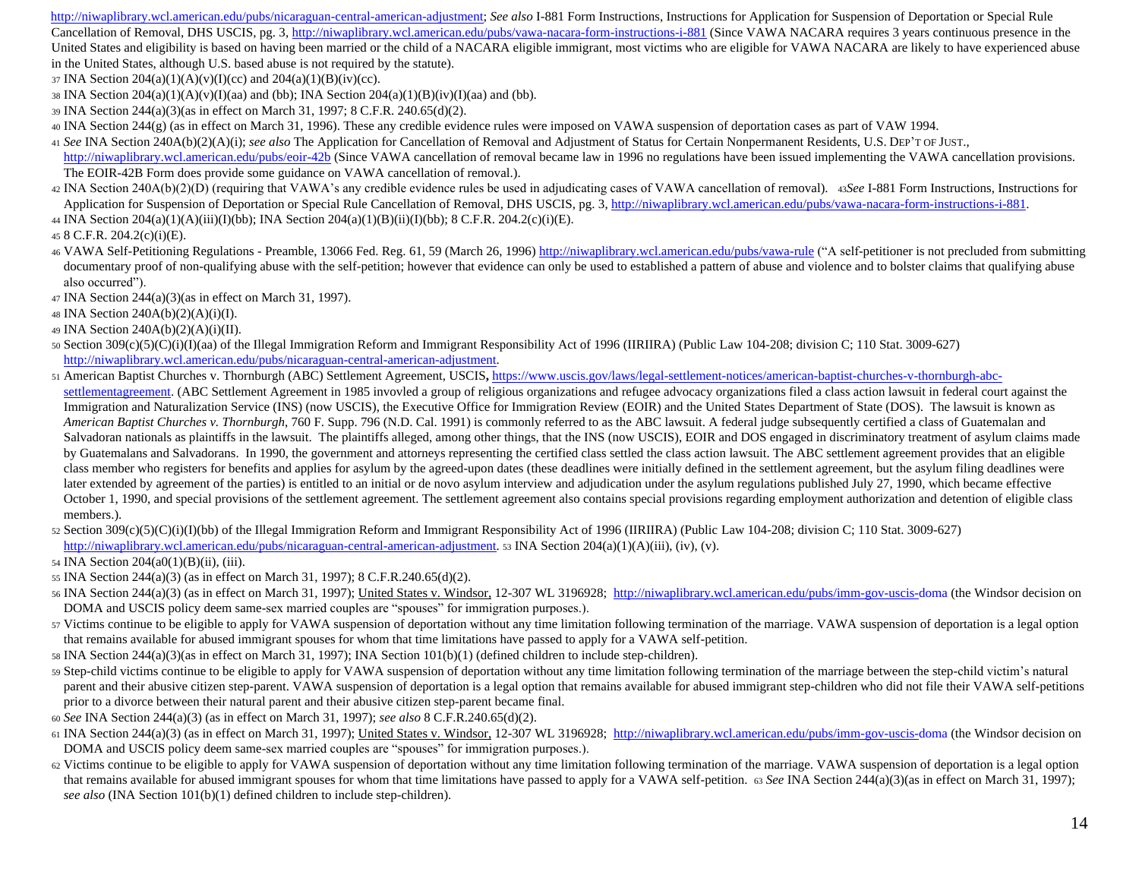[http://niwaplibrary.wcl.american.edu/pubs/nicaraguan-central-american-adjustment;](http://niwaplibrary.wcl.american.edu/pubs/nicaraguan-central-american-adjustment) *See also* I-881 Form Instructions, Instructions for Application for Suspension of Deportation or Special Rule Cancellation of Removal, DHS USCIS, pg. [3, http://niwaplibrary.wcl.american.edu/pubs/vawa-nacara-form-instructions-i-881](http://niwaplibrary.wcl.american.edu/pubs/vawa-nacara-form-instructions-i-881) (Since VAWA NACARA requires 3 years continuous presence in the United States and eligibility is based on having been married or the child of a NACARA eligible immigrant, most victims who are eligible for VAWA NACARA are likely to have experienced abuse in the United States, although U.S. based abuse is not required by the statute).

- $37 \text{INA}$  Section  $204(a)(1)(A)(v)(I)(ce)$  and  $204(a)(1)(B)(iv)(ce)$ .
- 38 INA Section  $204(a)(1)(A)(v)(I)(aa)$  and (bb); INA Section  $204(a)(1)(B)(iv)(I)(aa)$  and (bb).
- <sup>39</sup> INA Section 244(a)(3)(as in effect on March 31, 1997; 8 C.F.R. 240.65(d)(2).
- <sup>40</sup> INA Section 244(g) (as in effect on March 31, 1996). These any credible evidence rules were imposed on VAWA suspension of deportation cases as part of VAW 1994.
- <sup>41</sup> *See* INA Section 240A(b)(2)(A)(i); *see also* The Application for Cancellation of Removal and Adjustment of Status for Certain Nonpermanent Residents, U.S. DEP'T OF JUST., <http://niwaplibrary.wcl.american.edu/pubs/eoir-42b> (Since VAWA cancellation of removal became law in 1996 no regulations have been issued implementing the VAWA cancellation provisions. The EOIR-42B Form does provide some guidance on VAWA cancellation of removal.).
- <sup>42</sup> INA Section 240A(b)(2)(D) (requiring that VAWA's any credible evidence rules be used in adjudicating cases of VAWA cancellation of removal). 43*See* I-881 Form Instructions, Instructions for Application for Suspension of Deportation or Special Rule Cancellation of Removal, DHS USCIS, pg. 3, [http://niwaplibrary.wcl.american.edu/pubs/vawa-nacara-form-instructions-i-881.](http://niwaplibrary.wcl.american.edu/pubs/vawa-nacara-form-instructions-i-881)
- <sup>44</sup> INA Section 204(a)(1)(A)(iii)(I)(bb); INA Section 204(a)(1)(B)(ii)(I)(bb); 8 C.F.R. 204.2(c)(i)(E).

<sup>45</sup> 8 C.F.R. 204.2(c)(i)(E).

- <sup>46</sup> VAWA Self-Petitioning Regulations Preamble, 13066 Fed. Reg. 61, 59 (March 26, 199[6\) http://niwaplibrary.wcl.american.edu/pubs/vawa-rule](http://niwaplibrary.wcl.american.edu/pubs/vawa-rule) ("A self-petitioner is not precluded from submitting documentary proof of non-qualifying abuse with the self-petition; however that evidence can only be used to established a pattern of abuse and violence and to bolster claims that qualifying abuse also occurred").
- <sup>47</sup> INA Section 244(a)(3)(as in effect on March 31, 1997).
- <sup>48</sup> INA Section 240A(b)(2)(A)(i)(I).
- <sup>49</sup> INA Section 240A(b)(2)(A)(i)(II).
- <sup>50</sup> Section 309(c)(5)(C)(i)(I)(aa) of the Illegal Immigration Reform and Immigrant Responsibility Act of 1996 (IIRIIRA) (Public Law 104-208; division C; 110 Stat. 3009-627) [http://niwaplibrary.wcl.american.edu/pubs/nicaraguan-central-american-adjustment.](http://niwaplibrary.wcl.american.edu/pubs/nicaraguan-central-american-adjustment)
- <sup>51</sup> American Baptist Churches v. Thornburgh (ABC) Settlement Agreement, USCIS**[,](https://www.uscis.gov/laws/legal-settlement-notices/american-baptist-churches-v-thornburgh-abc-settlement-agreement)** [https://www.uscis.gov/laws/legal-settlement-notices/american-baptist-churches-v-thornburgh-abc](https://www.uscis.gov/laws/legal-settlement-notices/american-baptist-churches-v-thornburgh-abc-settlement-agreement)[settlementagreement.](https://www.uscis.gov/laws/legal-settlement-notices/american-baptist-churches-v-thornburgh-abc-settlement-agreement) (ABC Settlement Agreement in 1985 invovled a group of religious organizations and refugee advocacy organizations filed a class action lawsuit in federal court against the Immigration and Naturalization Service (INS) (now USCIS), the Executive Office for Immigration Review (EOIR) and the United States Department of State (DOS). The lawsuit is known as *American Baptist Churches v. Thornburgh*, 760 F. Supp. 796 (N.D. Cal. 1991) is commonly referred to as the ABC lawsuit. A federal judge subsequently certified a class of Guatemalan and Salvadoran nationals as plaintiffs in the lawsuit. The plaintiffs alleged, among other things, that the INS (now USCIS), EOIR and DOS engaged in discriminatory treatment of asylum claims made by Guatemalans and Salvadorans. In 1990, the government and attorneys representing the certified class settled the class action lawsuit. The ABC settlement agreement provides that an eligible class member who registers for benefits and applies for asylum by the agreed-upon dates (these deadlines were initially defined in the settlement agreement, but the asylum filing deadlines were later extended by agreement of the parties) is entitled to an initial or de novo asylum interview and adjudication under the asylum regulations published July 27, 1990, which became effective October 1, 1990, and special provisions of the settlement agreement. The settlement agreement also contains special provisions regarding employment authorization and detention of eligible class members.).
- 52 Section  $309(c)(5)(C)(i)(I)(bb)$  of the Illegal Immigration Reform and Immigrant Responsibility Act of 1996 (IIRIIRA) (Public Law 104-208; division C; 110 Stat. 3009-627) [http://niwaplibrary.wcl.american.edu/pubs/nicaraguan-central-american-adjustment.](http://niwaplibrary.wcl.american.edu/pubs/nicaraguan-central-american-adjustment) 53 INA Section 204(a)(1)(A)(iii), (iv), (v).

<sup>54</sup> INA Section 204(a0(1)(B)(ii), (iii).

- <sup>55</sup> INA Section 244(a)(3) (as in effect on March 31, 1997); 8 C.F.R.240.65(d)(2).
- 56 INA Section 244(a)(3) (as in effect on March 31, 1997); United States v. Windsor, 12-307 WL 3196928[; http://niwaplibrary.wcl.american.edu/pubs/imm-gov-uscis-doma](http://niwaplibrary.wcl.american.edu/pubs/imm-gov-uscis-doma) (the Windsor decision on DOMA and USCIS policy deem same-sex married couples are "spouses" for immigration purposes.).
- <sup>57</sup> Victims continue to be eligible to apply for VAWA suspension of deportation without any time limitation following termination of the marriage. VAWA suspension of deportation is a legal option that remains available for abused immigrant spouses for whom that time limitations have passed to apply for a VAWA self-petition.
- <sup>58</sup> INA Section 244(a)(3)(as in effect on March 31, 1997); INA Section 101(b)(1) (defined children to include step-children).
- <sup>59</sup> Step-child victims continue to be eligible to apply for VAWA suspension of deportation without any time limitation following termination of the marriage between the step-child victim's natural parent and their abusive citizen step-parent. VAWA suspension of deportation is a legal option that remains available for abused immigrant step-children who did not file their VAWA self-petitions prior to a divorce between their natural parent and their abusive citizen step-parent became final.
- <sup>60</sup> *See* INA Section 244(a)(3) (as in effect on March 31, 1997); *see also* 8 C.F.R.240.65(d)(2).
- <sup>61</sup> INA Section 244(a)(3) (as in effect on March 31, 1997); United States v. Windsor, 12-307 WL 3196928[; http://niwaplibrary.wcl.american.edu/pubs/imm-gov-uscis-doma](http://niwaplibrary.wcl.american.edu/pubs/imm-gov-uscis-doma) (the Windsor decision on DOMA and USCIS policy deem same-sex married couples are "spouses" for immigration purposes.).
- <sup>62</sup> Victims continue to be eligible to apply for VAWA suspension of deportation without any time limitation following termination of the marriage. VAWA suspension of deportation is a legal option that remains available for abused immigrant spouses for whom that time limitations have passed to apply for a VAWA self-petition. 63 See INA Section 244(a)(3)(as in effect on March 31, 1997); *see also* (INA Section 101(b)(1) defined children to include step-children).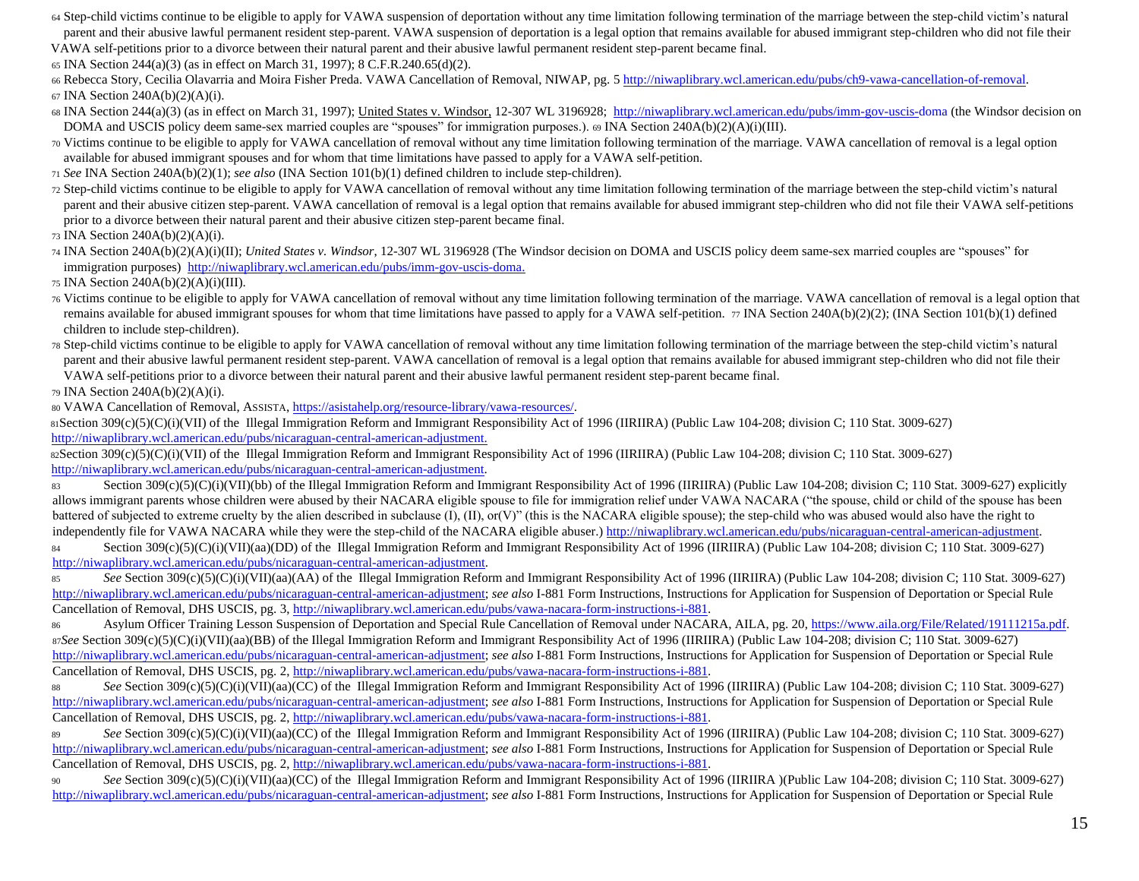<sup>64</sup> Step-child victims continue to be eligible to apply for VAWA suspension of deportation without any time limitation following termination of the marriage between the step-child victim's natural parent and their abusive lawful permanent resident step-parent. VAWA suspension of deportation is a legal option that remains available for abused immigrant step-children who did not file their

VAWA self-petitions prior to a divorce between their natural parent and their abusive lawful permanent resident step-parent became final.

<sup>65</sup> INA Section 244(a)(3) (as in effect on March 31, 1997); 8 C.F.R.240.65(d)(2).

66 Rebecca Story, Cecilia Olavarria and Moira Fisher Preda. VAWA Cancellation of Removal, NIWAP, pg[. 5 http://niwaplibrary.wcl.american.edu/pubs/ch9-vawa-cancellation-of-removal.](http://niwaplibrary.wcl.american.edu/pubs/ch9-vawa-cancellation-of-removal) <sup>67</sup> INA Section 240A(b)(2)(A)(i).

68 INA Section 244(a)(3) (as in effect on March 31, 1997); United States v. Windsor, 12-307 WL 3196928[; http://niwaplibrary.wcl.american.edu/pubs/imm-gov-uscis-doma](http://niwaplibrary.wcl.american.edu/pubs/imm-gov-uscis-doma) (the Windsor decision on DOMA and USCIS policy deem same-sex married couples are "spouses" for immigration purposes.). <sup>69</sup> INA Section 240A(b)(2)(A)(i)(III).

<sup>70</sup> Victims continue to be eligible to apply for VAWA cancellation of removal without any time limitation following termination of the marriage. VAWA cancellation of removal is a legal option available for abused immigrant spouses and for whom that time limitations have passed to apply for a VAWA self-petition.

<sup>71</sup> *See* INA Section 240A(b)(2)(1); *see also* (INA Section 101(b)(1) defined children to include step-children).

<sup>72</sup> Step-child victims continue to be eligible to apply for VAWA cancellation of removal without any time limitation following termination of the marriage between the step-child victim's natural parent and their abusive citizen step-parent. VAWA cancellation of removal is a legal option that remains available for abused immigrant step-children who did not file their VAWA self-petitions prior to a divorce between their natural parent and their abusive citizen step-parent became final.

<sup>73</sup> INA Section 240A(b)(2)(A)(i).

<sup>74</sup> INA Section 240A(b)(2)(A)(i)(II); *United States v. Windsor*, 12-307 WL 3196928 (The Windsor decision on DOMA and USCIS policy deem same-sex married couples are "spouses" for immigration purposes) [http://niwaplibrary.wcl.american.edu/pubs/imm-gov-uscis-doma.](http://niwaplibrary.wcl.american.edu/pubs/imm-gov-uscis-doma)

<sup>75</sup> INA Section 240A(b)(2)(A)(i)(III).

<sup>76</sup> Victims continue to be eligible to apply for VAWA cancellation of removal without any time limitation following termination of the marriage. VAWA cancellation of removal is a legal option that remains available for abused immigrant spouses for whom that time limitations have passed to apply for a VAWA self-petition. 77 INA Section 240A(b)(2)(2); (INA Section 101(b)(1) defined children to include step-children).

<sup>78</sup> Step-child victims continue to be eligible to apply for VAWA cancellation of removal without any time limitation following termination of the marriage between the step-child victim's natural parent and their abusive lawful permanent resident step-parent. VAWA cancellation of removal is a legal option that remains available for abused immigrant step-children who did not file their VAWA self-petitions prior to a divorce between their natural parent and their abusive lawful permanent resident step-parent became final.

<sup>79</sup> INA Section 240A(b)(2)(A)(i).

<sup>80</sup> VAWA Cancellation of Removal, ASSISTA[, https://asistahelp.org/resource-library/vawa-resources/.](https://asistahelp.org/resource-library/vawa-resources/)

<sup>81</sup>Section 309(c)(5)(C)(i)(VII) of the Illegal Immigration Reform and Immigrant Responsibility Act of 1996 (IIRIIRA) (Public Law 104-208; division C; 110 Stat. 3009-627) [http://niwaplibrary.wcl.american.edu/pubs/nicaraguan-central-american-adjustment.](http://niwaplibrary.wcl.american.edu/pubs/nicaraguan-central-american-adjustment) 

82Section 309(c)(5)(C)(i)(VII) of the Illegal Immigration Reform and Immigrant Responsibility Act of 1996 (IIRIIRA) (Public Law 104-208; division C; 110 Stat. 3009-627) [http://niwaplibrary.wcl.american.edu/pubs/nicaraguan-central-american-adjustment.](http://niwaplibrary.wcl.american.edu/pubs/nicaraguan-central-american-adjustment)

83 Section  $309(c)(5)(C)(i)(VII)(bb)$  of the Illegal Immigration Reform and Immigrant Responsibility Act of 1996 (IIRIIRA) (Public Law 104-208; division C; 110 Stat. 3009-627) explicitly allows immigrant parents whose children were abused by their NACARA eligible spouse to file for immigration relief under VAWA NACARA ("the spouse, child or child of the spouse has been battered of subjected to extreme cruelty by the alien described in subclause (I), (II), or(V)" (this is the NACARA eligible spouse); the step-child who was abused would also have the right to independently file for VAWA NACARA while they were the step-child of the NACARA eligible abuser.) http://niwaplibrary.wcl.american.edu/pubs/nicaraguan-central-american-adjustment. 84 Section 309(c)(5)(C)(i)(VII)(aa)(DD) of the Illegal Immigration Reform and Immigrant Responsibility Act of 1996 (IIRIIRA) (Public Law 104-208; division C; 110 Stat. 3009-627)

[http://niwaplibrary.wcl.american.edu/pubs/nicaraguan-central-american-adjustment.](http://niwaplibrary.wcl.american.edu/pubs/nicaraguan-central-american-adjustment)

85 See Section 309(c)(5)(C)(i)(VII)(aa)(AA) of the Illegal Immigration Reform and Immigrant Responsibility Act of 1996 (IIRIIRA) (Public Law 104-208; division C; 110 Stat. 3009-627) [http://niwaplibrary.wcl.american.edu/pubs/nicaraguan-central-american-adjustment;](http://niwaplibrary.wcl.american.edu/pubs/nicaraguan-central-american-adjustment) *see also* I-881 Form Instructions, Instructions for Application for Suspension of Deportation or Special Rule Cancellation of Removal, DHS USCIS, pg. 3[, http://niwaplibrary.wcl.american.edu/pubs/vawa-nacara-form-instructions-i-881.](http://niwaplibrary.wcl.american.edu/pubs/vawa-nacara-form-instructions-i-881)

<sup>86</sup> Asylum Officer Training Lesson Suspension of Deportation and Special Rule Cancellation of Removal under NACARA, AILA, pg. 2[0, https://www.aila.org/File/Related/19111215a.pdf.](https://www.aila.org/File/Related/19111215a.pdf)  87*See* Section 309(c)(5)(C)(i)(VII)(aa)(BB) of the Illegal Immigration Reform and Immigrant Responsibility Act of 1996 (IIRIIRA) (Public Law 104-208; division C; 110 Stat. 3009-627) [http://niwaplibrary.wcl.american.edu/pubs/nicaraguan-central-american-adjustment;](http://niwaplibrary.wcl.american.edu/pubs/nicaraguan-central-american-adjustment) *see also* I-881 Form Instructions, Instructions for Application for Suspension of Deportation or Special Rule Cancellation of Removal, DHS USCIS, pg. 2[, http://niwaplibrary.wcl.american.edu/pubs/vawa-nacara-form-instructions-i-881.](http://niwaplibrary.wcl.american.edu/pubs/vawa-nacara-form-instructions-i-881)

88 See Section 309(c)(5)(C)(i)(VII)(aa)(CC) of the Illegal Immigration Reform and Immigrant Responsibility Act of 1996 (IIRIIRA) (Public Law 104-208; division C; 110 Stat. 3009-627) [http://niwaplibrary.wcl.american.edu/pubs/nicaraguan-central-american-adjustment;](http://niwaplibrary.wcl.american.edu/pubs/nicaraguan-central-american-adjustment) *see also* I-881 Form Instructions, Instructions for Application for Suspension of Deportation or Special Rule Cancellation of Removal, DHS USCIS, pg. 2[, http://niwaplibrary.wcl.american.edu/pubs/vawa-nacara-form-instructions-i-881.](http://niwaplibrary.wcl.american.edu/pubs/vawa-nacara-form-instructions-i-881)

89 See Section 309(c)(5)(C)(i)(VII)(aa)(CC) of the Illegal Immigration Reform and Immigrant Responsibility Act of 1996 (IIRIIRA) (Public Law 104-208; division C; 110 Stat. 3009-627) [http://niwaplibrary.wcl.american.edu/pubs/nicaraguan-central-american-adjustment;](http://niwaplibrary.wcl.american.edu/pubs/nicaraguan-central-american-adjustment) *see also* I-881 Form Instructions, Instructions for Application for Suspension of Deportation or Special Rule Cancellation of Removal, DHS USCIS, pg. 2[, http://niwaplibrary.wcl.american.edu/pubs/vawa-nacara-form-instructions-i-881.](http://niwaplibrary.wcl.american.edu/pubs/vawa-nacara-form-instructions-i-881)

<sup>90</sup> *See* Section 309(c)(5)(C)(i)(VII)(aa)(CC) of the Illegal Immigration Reform and Immigrant Responsibility Act of 1996 (IIRIIRA )(Public Law 104-208; division C; 110 Stat. 3009-627) [http://niwaplibrary.wcl.american.edu/pubs/nicaraguan-central-american-adjustment;](http://niwaplibrary.wcl.american.edu/pubs/nicaraguan-central-american-adjustment) *see also* I-881 Form Instructions, Instructions for Application for Suspension of Deportation or Special Rule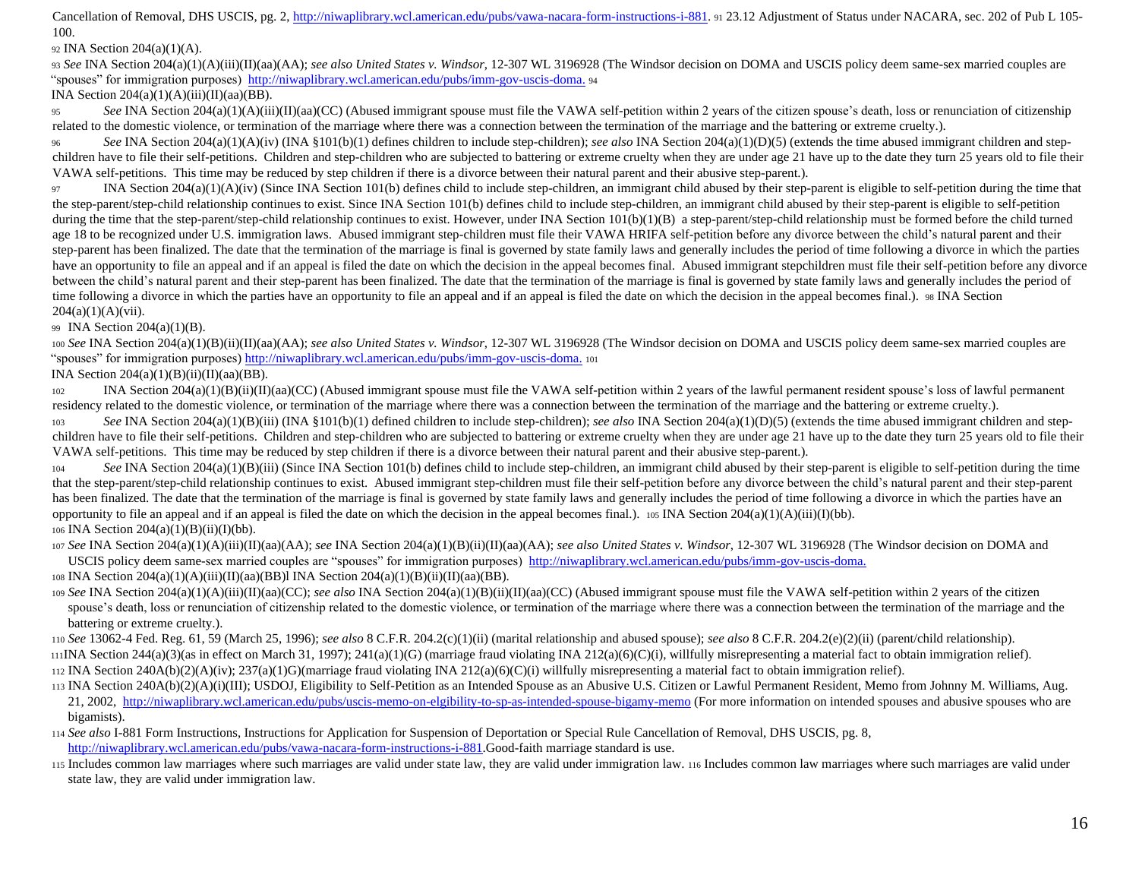Cancellation of Removal, DHS USCIS, pg. 2[, http://niwaplibrary.wcl.american.edu/pubs/vawa-nacara-form-instructions-i-881.](http://niwaplibrary.wcl.american.edu/pubs/vawa-nacara-form-instructions-i-881) 91 23.12 Adjustment of Status under NACARA, sec. 202 of Pub L 105-100.

<sup>92</sup> INA Section 204(a)(1)(A).

<sup>93</sup> *See* INA Section 204(a)(1)(A)(iii)(II)(aa)(AA); *see also United States v. Windsor*, 12-307 WL 3196928 (The Windsor decision on DOMA and USCIS policy deem same-sex married couples are "spouses" for immigration purposes[\) http://niwaplibrary.wcl.american.edu/pubs/imm-gov-uscis-doma.](http://niwaplibrary.wcl.american.edu/pubs/imm-gov-uscis-doma) <sup>94</sup>

INA Section  $204(a)(1)(A)(iii)(II)(aa)(BB)$ .

<sup>95</sup> *See* INA Section 204(a)(1)(A)(iii)(II)(aa)(CC) (Abused immigrant spouse must file the VAWA self-petition within 2 years of the citizen spouse's death, loss or renunciation of citizenship related to the domestic violence, or termination of the marriage where there was a connection between the termination of the marriage and the battering or extreme cruelty.).

<sup>96</sup> *See* INA Section 204(a)(1)(A)(iv) (INA §101(b)(1) defines children to include step-children); *see also* INA Section 204(a)(1)(D)(5) (extends the time abused immigrant children and stepchildren have to file their self-petitions. Children and step-children who are subjected to battering or extreme cruelty when they are under age 21 have up to the date they turn 25 years old to file their VAWA self-petitions. This time may be reduced by step children if there is a divorce between their natural parent and their abusive step-parent.).

97 INA Section 204(a)(1)(A)(iv) (Since INA Section 101(b) defines child to include step-children, an immigrant child abused by their step-parent is eligible to self-petition during the time that the step-parent/step-child relationship continues to exist. Since INA Section 101(b) defines child to include step-children, an immigrant child abused by their step-parent is eligible to self-petition during the time that the step-parent/step-child relationship continues to exist. However, under INA Section 101(b)(1)(B) a step-parent/step-child relationship must be formed before the child turned age 18 to be recognized under U.S. immigration laws. Abused immigrant step-children must file their VAWA HRIFA self-petition before any divorce between the child's natural parent and their step-parent has been finalized. The date that the termination of the marriage is final is governed by state family laws and generally includes the period of time following a divorce in which the parties have an opportunity to file an appeal and if an appeal is filed the date on which the decision in the appeal becomes final. Abused immigrant stepchildren must file their self-petition before any divorce between the child's natural parent and their step-parent has been finalized. The date that the termination of the marriage is final is governed by state family laws and generally includes the period of time following a divorce in which the parties have an opportunity to file an appeal and if an appeal is filed the date on which the decision in the appeal becomes final.). 98 INA Section  $204(a)(1)(A)(vii)$ .

<sup>99</sup> INA Section 204(a)(1)(B).

<sup>100</sup> *See* INA Section 204(a)(1)(B)(ii)(II)(aa)(AA); *see also United States v. Windsor*, 12-307 WL 3196928 (The Windsor decision on DOMA and USCIS policy deem same-sex married couples are "spouses" for immigration purpose[s\) http://niwaplibrary.wcl.american.edu/pubs/imm-gov-uscis-doma.](http://niwaplibrary.wcl.american.edu/pubs/imm-gov-uscis-doma) <sup>101</sup>

INA Section  $204(a)(1)(B)(ii)(II)(aa)(BB)$ .

<sup>102</sup> INA Section 204(a)(1)(B)(ii)(II)(aa)(CC) (Abused immigrant spouse must file the VAWA self-petition within 2 years of the lawful permanent resident spouse's loss of lawful permanent residency related to the domestic violence, or termination of the marriage where there was a connection between the termination of the marriage and the battering or extreme cruelty.).

103 *See* INA Section 204(a)(1)(B)(iii) (INA §101(b)(1) defined children to include step-children); *see also* INA Section 204(a)(1)(D)(5) (extends the time abused immigrant children and stepchildren have to file their self-petitions. Children and step-children who are subjected to battering or extreme cruelty when they are under age 21 have up to the date they turn 25 years old to file their VAWA self-petitions. This time may be reduced by step children if there is a divorce between their natural parent and their abusive step-parent.).

104 *See* INA Section 204(a)(1)(B)(iii) (Since INA Section 101(b) defines child to include step-children, an immigrant child abused by their step-parent is eligible to self-petition during the time that the step-parent/step-child relationship continues to exist. Abused immigrant step-children must file their self-petition before any divorce between the child's natural parent and their step-parent has been finalized. The date that the termination of the marriage is final is governed by state family laws and generally includes the period of time following a divorce in which the parties have an opportunity to file an appeal and if an appeal is filed the date on which the decision in the appeal becomes final.). 105 INA Section  $204(a)(1)(A)(iii)(I)(bb)$ . <sup>106</sup> INA Section 204(a)(1)(B)(ii)(I)(bb).

<sup>107</sup> *See* INA Section 204(a)(1)(A)(iii)(II)(aa)(AA); *see* INA Section 204(a)(1)(B)(ii)(II)(aa)(AA); *see also United States v. Windsor*, 12-307 WL 3196928 (The Windsor decision on DOMA and USCIS policy deem same-sex married couples are "spouses" for immigration purposes[\) http://niwaplibrary.wcl.american.edu/pubs/imm-gov-uscis-doma.](http://niwaplibrary.wcl.american.edu/pubs/imm-gov-uscis-doma)

<sup>108</sup> INA Section 204(a)(1)(A)(iii)(II)(aa)(BB)l INA Section 204(a)(1)(B)(ii)(II)(aa)(BB).

<sup>109</sup> *See* INA Section 204(a)(1)(A)(iii)(II)(aa)(CC); *see also* INA Section 204(a)(1)(B)(ii)(II)(aa)(CC) (Abused immigrant spouse must file the VAWA self-petition within 2 years of the citizen spouse's death, loss or renunciation of citizenship related to the domestic violence, or termination of the marriage where there was a connection between the termination of the marriage and the battering or extreme cruelty.).

<sup>110</sup> *See* 13062-4 Fed. Reg. 61, 59 (March 25, 1996); *see also* 8 C.F.R. 204.2(c)(1)(ii) (marital relationship and abused spouse); *see also* 8 C.F.R. 204.2(e)(2)(ii) (parent/child relationship).

111INA Section 244(a)(3)(as in effect on March 31, 1997); 241(a)(1)(G) (marriage fraud violating INA 212(a)(6)(C)(i), willfully misrepresenting a material fact to obtain immigration relief). 112 INA Section 240A(b)(2)(A)(iv); 237(a)(1)G)(marriage fraud violating INA 212(a)(6)(C)(i) willfully misrepresenting a material fact to obtain immigration relief).

- <sup>113</sup> INA Section 240A(b)(2)(A)(i)(III); USDOJ, Eligibility to Self-Petition as an Intended Spouse as an Abusive U.S. Citizen or Lawful Permanent Resident, Memo from Johnny M. Williams, Aug. 21, 2002,<http://niwaplibrary.wcl.american.edu/pubs/uscis-memo-on-elgibility-to-sp-as-intended-spouse-bigamy-memo> (For more information on intended spouses and abusive spouses who are bigamists).
- <sup>114</sup> *See also* I-881 Form Instructions, Instructions for Application for Suspension of Deportation or Special Rule Cancellation of Removal, DHS USCIS, pg. 8, [http://niwaplibrary.wcl.american.edu/pubs/vawa-nacara-form-instructions-i-881.G](http://niwaplibrary.wcl.american.edu/pubs/vawa-nacara-form-instructions-i-881)ood-faith marriage standard is use.

<sup>115</sup> Includes common law marriages where such marriages are valid under state law, they are valid under immigration law. <sup>116</sup> Includes common law marriages where such marriages are valid under state law, they are valid under immigration law.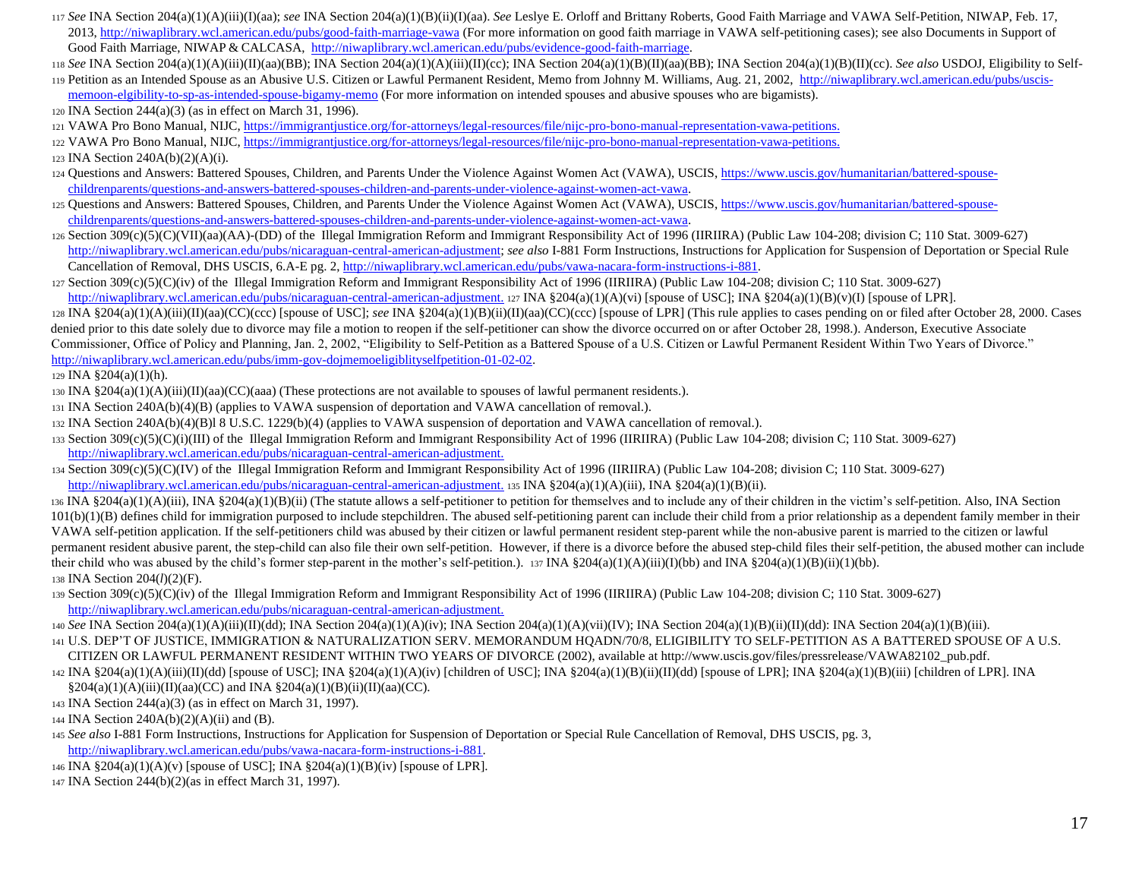- <sup>117</sup> *See* INA Section 204(a)(1)(A)(iii)(I)(aa); *see* INA Section 204(a)(1)(B)(ii)(I)(aa). *See* Leslye E. Orloff and Brittany Roberts, Good Faith Marriage and VAWA Self-Petition, NIWAP, Feb. 17, 2013,<http://niwaplibrary.wcl.american.edu/pubs/good-faith-marriage-vawa> (For more information on good faith marriage in VAWA self-petitioning cases); see also Documents in Support of Good Faith Marriage, NIWAP & CALCASA[, http://niwaplibrary.wcl.american.edu/pubs/evidence-good-faith-marriage.](http://niwaplibrary.wcl.american.edu/pubs/evidence-good-faith-marriage)
- <sup>118</sup> *See* INA Section 204(a)(1)(A)(iii)(II)(aa)(BB); INA Section 204(a)(1)(A)(iii)(II)(cc); INA Section 204(a)(1)(B)(II)(aa)(BB); INA Section 204(a)(1)(B)(II)(cc). *See also* USDOJ, Eligibility to Self-
- <sup>119</sup> Petition as an Intended Spouse as an Abusive U.S. Citizen or Lawful Permanent Resident, Memo from Johnny M. Williams, Aug. 21, 200[2, http://niwaplibrary.wcl.american.edu/pubs/uscis](http://niwaplibrary.wcl.american.edu/pubs/uscis-memo-on-elgibility-to-sp-as-intended-spouse-bigamy-memo)[memoon-elgibility-to-sp-as-intended-spouse-bigamy-memo](http://niwaplibrary.wcl.american.edu/pubs/uscis-memo-on-elgibility-to-sp-as-intended-spouse-bigamy-memo) (For more information on intended spouses and abusive spouses who are bigamists).
- <sup>120</sup> INA Section 244(a)(3) (as in effect on March 31, 1996).
- <sup>121</sup> VAWA Pro Bono Manual, NIJ[C, https://immigrantjustice.org/for-attorneys/legal-resources/file/nijc-pro-bono-manual-representation-vawa-petitions.](https://immigrantjustice.org/for-attorneys/legal-resources/file/nijc-pro-bono-manual-representation-vawa-petitions)
- <sup>122</sup> VAWA Pro Bono Manual, NIJ[C, https://immigrantjustice.org/for-attorneys/legal-resources/file/nijc-pro-bono-manual-representation-vawa-petitions.](https://immigrantjustice.org/for-attorneys/legal-resources/file/nijc-pro-bono-manual-representation-vawa-petitions)

<sup>123</sup> INA Section 240A(b)(2)(A)(i).

- <sup>124</sup> Questions and Answers: Battered Spouses, Children, and Parents Under the Violence Against Women Act (VAWA), USCI[S, https://www.uscis.gov/humanitarian/battered-spouse](https://www.uscis.gov/humanitarian/battered-spouse-children-parents/questions-and-answers-battered-spouses-children-and-parents-under-violence-against-women-act-vawa)[childrenparents/questions-and-answers-battered-spouses-children-and-parents-under-violence-against-women-act-vawa.](https://www.uscis.gov/humanitarian/battered-spouse-children-parents/questions-and-answers-battered-spouses-children-and-parents-under-violence-against-women-act-vawa)
- 125 Questions and Answers: Battered Spouses, Children, and Parents Under the Violence Against Women Act (VAWA), USCI[S, https://www.uscis.gov/humanitarian/battered-spouse](https://www.uscis.gov/humanitarian/battered-spouse-children-parents/questions-and-answers-battered-spouses-children-and-parents-under-violence-against-women-act-vawa)[childrenparents/questions-and-answers-battered-spouses-children-and-parents-under-violence-against-women-act-vawa.](https://www.uscis.gov/humanitarian/battered-spouse-children-parents/questions-and-answers-battered-spouses-children-and-parents-under-violence-against-women-act-vawa)
- 126 Section 309(c)(5)(C)(VII)(aa)(AA)-(DD) of the Illegal Immigration Reform and Immigrant Responsibility Act of 1996 (IIRIIRA) (Public Law 104-208; division C; 110 Stat. 3009-627) [http://niwaplibrary.wcl.american.edu/pubs/nicaraguan-central-american-adjustment;](http://niwaplibrary.wcl.american.edu/pubs/nicaraguan-central-american-adjustment) *see also* I-881 Form Instructions, Instructions for Application for Suspension of Deportation or Special Rule Cancellation of Removal, DHS USCIS, 6.A-E pg. [2, http://niwaplibrary.wcl.american.edu/pubs/vawa-nacara-form-instructions-i-881.](http://niwaplibrary.wcl.american.edu/pubs/vawa-nacara-form-instructions-i-881)
- $127$  Section 309(c)(5)(C)(iv) of the Illegal Immigration Reform and Immigrant Responsibility Act of 1996 (IIRIIRA) (Public Law 104-208; division C; 110 Stat. 3009-627)
- [http://niwaplibrary.wcl.american.edu/pubs/nicaraguan-central-american-adjustment.](http://niwaplibrary.wcl.american.edu/pubs/nicaraguan-central-american-adjustment) 127 INA §204(a)(1)(A)(vi) [spouse of USC]; INA §204(a)(1)(B)(v)(I) [spouse of LPR]. <sup>128</sup> INA §204(a)(1)(A)(iii)(II)(aa)(CC)(ccc) [spouse of USC]; *see* INA §204(a)(1)(B)(ii)(II)(aa)(CC)(ccc) [spouse of LPR] (This rule applies to cases pending on or filed after October 28, 2000. Cases denied prior to this date solely due to divorce may file a motion to reopen if the self-petitioner can show the divorce occurred on or after October 28, 1998.). Anderson, Executive Associate Commissioner, Office of Policy and Planning, Jan. 2, 2002, "Eligibility to Self-Petition as a Battered Spouse of a U.S. Citizen or Lawful Permanent Resident Within Two Years of Divorce." [http://niwaplibrary.wcl.american.edu/pubs/imm-gov-dojmemoeligiblityselfpetition-01-02-02.](http://niwaplibrary.wcl.american.edu/pubs/imm-gov-dojmemoeligiblityselfpetition-01-02-02)

## 129 INA  $\S 204(a)(1)(h)$ .

- 130 INA  $\S 204(a)(1)(A)(iii)(II)(aa)(CC)(aaa)$  (These protections are not available to spouses of lawful permanent residents.).
- <sup>131</sup> INA Section 240A(b)(4)(B) (applies to VAWA suspension of deportation and VAWA cancellation of removal.).
- <sup>132</sup> INA Section 240A(b)(4)(B)l 8 U.S.C. 1229(b)(4) (applies to VAWA suspension of deportation and VAWA cancellation of removal.).
- <sup>133</sup> Section 309(c)(5)(C)(i)(III) of the Illegal Immigration Reform and Immigrant Responsibility Act of 1996 (IIRIIRA) (Public Law 104-208; division C; 110 Stat. 3009-627) [http://niwaplibrary.wcl.american.edu/pubs/nicaraguan-central-american-adjustment.](http://niwaplibrary.wcl.american.edu/pubs/nicaraguan-central-american-adjustment)
- <sup>134</sup> Section 309(c)(5)(C)(IV) of the Illegal Immigration Reform and Immigrant Responsibility Act of 1996 (IIRIIRA) (Public Law 104-208; division C; 110 Stat. 3009-627) [http://niwaplibrary.wcl.american.edu/pubs/nicaraguan-central-american-adjustment.](http://niwaplibrary.wcl.american.edu/pubs/nicaraguan-central-american-adjustment) 135 INA §204(a)(1)(A)(iii), INA §204(a)(1)(B)(ii).
- $136 \text{INA } \$204(a)(1)(\text{A})(iii)$ , INA  $\$204(a)(1)(\text{B})(ii)$  (The statute allows a self-petitioner to petition for themselves and to include any of their children in the victim's self-petition. Also, INA Section 101(b)(1)(B) defines child for immigration purposed to include stepchildren. The abused self-petitioning parent can include their child from a prior relationship as a dependent family member in their VAWA self-petition application. If the self-petitioners child was abused by their citizen or lawful permanent resident step-parent while the non-abusive parent is married to the citizen or lawful permanent resident abusive parent, the step-child can also file their own self-petition. However, if there is a divorce before the abused step-child files their self-petition, the abused mother can include their child who was abused by the child's former step-parent in the mother's self-petition.). 137 INA §204(a)(1)(A)(iii)(I)(bb) and INA §204(a)(1)(B)(ii)(1)(bb). <sup>138</sup> INA Section 204(*l*)(2)(F).
- <sup>139</sup> Section 309(c)(5)(C)(iv) of the Illegal Immigration Reform and Immigrant Responsibility Act of 1996 (IIRIIRA) (Public Law 104-208; division C; 110 Stat. 3009-627) [http://niwaplibrary.wcl.american.edu/pubs/nicaraguan-central-american-adjustment.](http://niwaplibrary.wcl.american.edu/pubs/nicaraguan-central-american-adjustment)
- <sup>140</sup> *See* INA Section 204(a)(1)(A)(iii)(II)(dd); INA Section 204(a)(1)(A)(iv); INA Section 204(a)(1)(A)(vii)(IV); INA Section 204(a)(1)(B)(ii)(II)(dd): INA Section 204(a)(1)(B)(iii). 141 U.S. DEP'T OF JUSTICE, IMMIGRATION & NATURALIZATION SERV. MEMORANDUM HQADN/70/8, ELIGIBILITY TO SELF-PETITION AS A BATTERED SPOUSE OF A U.S.
- CITIZEN OR LAWFUL PERMANENT RESIDENT WITHIN TWO YEARS OF DIVORCE (2002), available at http://www.uscis.gov/files/pressrelease/VAWA82102\_pub.pdf.
- 142 INA §204(a)(1)(A)(iii)(II)(dd) [spouse of USC]; INA §204(a)(1)(A)(iv) [children of USC]; INA §204(a)(1)(B)(ii)(II)(dd) [spouse of LPR]; INA §204(a)(1)(B)(iii) [children of LPR]. INA  $\S 204(a)(1)(A)(iii)(II)(aa)(CC)$  and INA  $\S 204(a)(1)(B)(ii)(II)(aa)(CC)$ .
- <sup>143</sup> INA Section 244(a)(3) (as in effect on March 31, 1997).
- 144 INA Section  $240A(b)(2)(A)(ii)$  and (B).
- <sup>145</sup> *See also* I-881 Form Instructions, Instructions for Application for Suspension of Deportation or Special Rule Cancellation of Removal, DHS USCIS, pg. 3, [http://niwaplibrary.wcl.american.edu/pubs/vawa-nacara-form-instructions-i-881.](http://niwaplibrary.wcl.american.edu/pubs/vawa-nacara-form-instructions-i-881)
- <sup>146</sup> INA §204(a)(1)(A)(v) [spouse of USC]; INA §204(a)(1)(B)(iv) [spouse of LPR].
- <sup>147</sup> INA Section 244(b)(2)(as in effect March 31, 1997).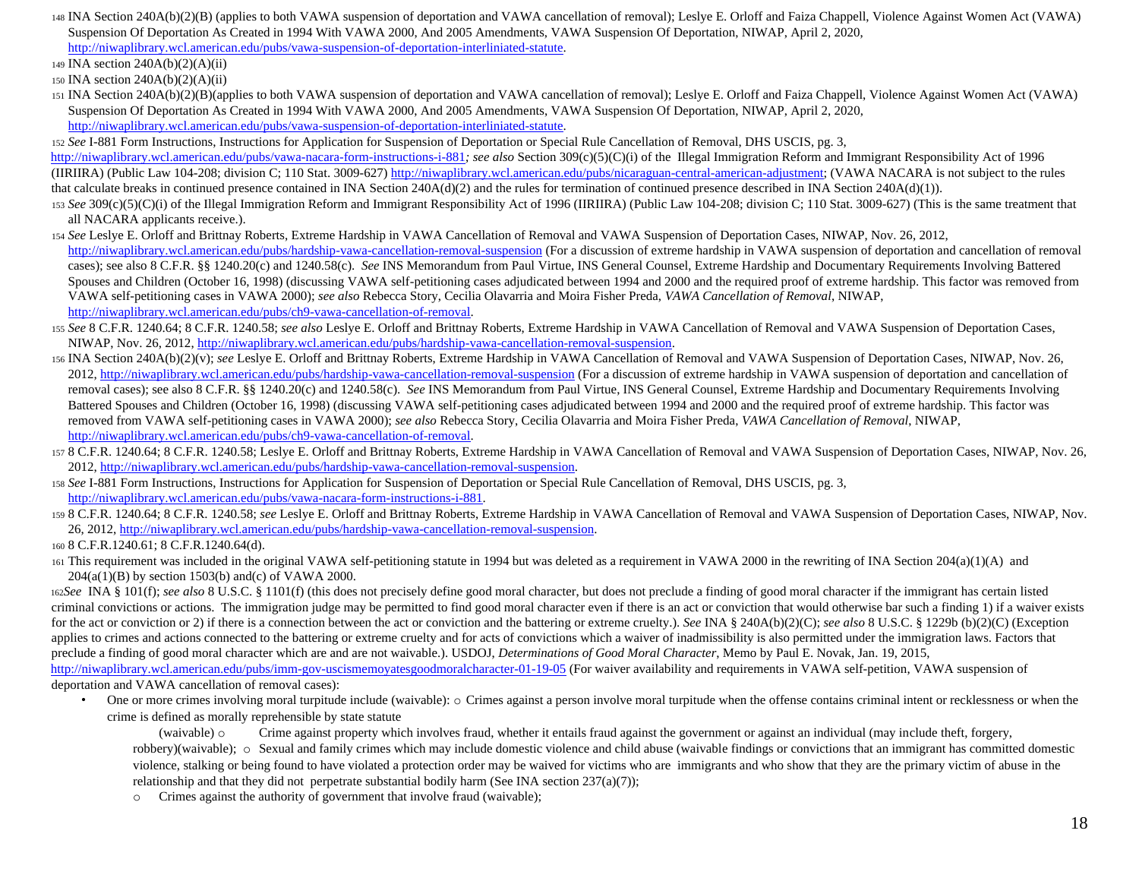- <sup>148</sup> INA Section 240A(b)(2)(B) (applies to both VAWA suspension of deportation and VAWA cancellation of removal); Leslye E. Orloff and Faiza Chappell, Violence Against Women Act (VAWA) Suspension Of Deportation As Created in 1994 With VAWA 2000, And 2005 Amendments, VAWA Suspension Of Deportation, NIWAP, April 2, 2020, [http://niwaplibrary.wcl.american.edu/pubs/vawa-suspension-of-deportation-interliniated-statute.](http://niwaplibrary.wcl.american.edu/pubs/vawa-suspension-of-deportation-interliniated-statute)
- <sup>149</sup> INA section 240A(b)(2)(A)(ii)

<sup>151</sup> INA Section 240A(b)(2)(B)(applies to both VAWA suspension of deportation and VAWA cancellation of removal); Leslye E. Orloff and Faiza Chappell, Violence Against Women Act (VAWA) Suspension Of Deportation As Created in 1994 With VAWA 2000, And 2005 Amendments, VAWA Suspension Of Deportation, NIWAP, April 2, 2020, [http://niwaplibrary.wcl.american.edu/pubs/vawa-suspension-of-deportation-interliniated-statute.](http://niwaplibrary.wcl.american.edu/pubs/vawa-suspension-of-deportation-interliniated-statute)

<sup>152</sup> *See* I-881 Form Instructions, Instructions for Application for Suspension of Deportation or Special Rule Cancellation of Removal, DHS USCIS, pg. 3,

<http://niwaplibrary.wcl.american.edu/pubs/vawa-nacara-form-instructions-i-881>*[;](http://niwaplibrary.wcl.american.edu/pubs/vawa-nacara-form-instructions-i-881) see also* Section 309(c)(5)(C)(i) of the Illegal Immigration Reform and Immigrant Responsibility Act of 1996 (IIRIIRA) (Public Law 104-208; division C; 110 Stat. 3009-62[7\) http://niwaplibrary.wcl.american.edu/pubs/nicaraguan-central-american-adjustment;](http://niwaplibrary.wcl.american.edu/pubs/nicaraguan-central-american-adjustment) (VAWA NACARA is not subject to the rules that calculate breaks in continued presence contained in INA Section 240A(d)(2) and the rules for termination of continued presence described in INA Section 240A(d)(1)).

- <sup>153</sup> *See* 309(c)(5)(C)(i) of the Illegal Immigration Reform and Immigrant Responsibility Act of 1996 (IIRIIRA) (Public Law 104-208; division C; 110 Stat. 3009-627) (This is the same treatment that all NACARA applicants receive.).
- <sup>154</sup> *See* Leslye E. Orloff and Brittnay Roberts, Extreme Hardship in VAWA Cancellation of Removal and VAWA Suspension of Deportation Cases, NIWAP, Nov. 26, 2012, <http://niwaplibrary.wcl.american.edu/pubs/hardship-vawa-cancellation-removal-suspension> (For a discussion of extreme hardship in VAWA suspension of deportation and cancellation of removal cases); see also 8 C.F.R. §§ 1240.20(c) and 1240.58(c). *See* INS Memorandum from Paul Virtue, INS General Counsel, Extreme Hardship and Documentary Requirements Involving Battered Spouses and Children (October 16, 1998) (discussing VAWA self-petitioning cases adjudicated between 1994 and 2000 and the required proof of extreme hardship. This factor was removed from VAWA self-petitioning cases in VAWA 2000); *see also* Rebecca Story, Cecilia Olavarria and Moira Fisher Preda, *VAWA Cancellation of Removal*, NIWAP, [http://niwaplibrary.wcl.american.edu/pubs/ch9-vawa-cancellation-of-removal.](http://niwaplibrary.wcl.american.edu/pubs/ch9-vawa-cancellation-of-removal)
- <sup>155</sup> *See* 8 C.F.R. 1240.64; 8 C.F.R. 1240.58; *see also* Leslye E. Orloff and Brittnay Roberts, Extreme Hardship in VAWA Cancellation of Removal and VAWA Suspension of Deportation Cases, NIWAP, Nov. 26, 201[2, http://niwaplibrary.wcl.american.edu/pubs/hardship-vawa-cancellation-removal-suspension.](http://niwaplibrary.wcl.american.edu/pubs/hardship-vawa-cancellation-removal-suspension)
- <sup>156</sup> INA Section 240A(b)(2)(v); *see* Leslye E. Orloff and Brittnay Roberts, Extreme Hardship in VAWA Cancellation of Removal and VAWA Suspension of Deportation Cases, NIWAP, Nov. 26, 2012,<http://niwaplibrary.wcl.american.edu/pubs/hardship-vawa-cancellation-removal-suspension> (For a discussion of extreme hardship in VAWA suspension of deportation and cancellation of removal cases); see also 8 C.F.R. §§ 1240.20(c) and 1240.58(c). *See* INS Memorandum from Paul Virtue, INS General Counsel, Extreme Hardship and Documentary Requirements Involving Battered Spouses and Children (October 16, 1998) (discussing VAWA self-petitioning cases adjudicated between 1994 and 2000 and the required proof of extreme hardship. This factor was removed from VAWA self-petitioning cases in VAWA 2000); *see also* Rebecca Story, Cecilia Olavarria and Moira Fisher Preda, *VAWA Cancellation of Removal*, NIWAP, [http://niwaplibrary.wcl.american.edu/pubs/ch9-vawa-cancellation-of-removal.](http://niwaplibrary.wcl.american.edu/pubs/ch9-vawa-cancellation-of-removal)
- <sup>157</sup> 8 C.F.R. 1240.64; 8 C.F.R. 1240.58; Leslye E. Orloff and Brittnay Roberts, Extreme Hardship in VAWA Cancellation of Removal and VAWA Suspension of Deportation Cases, NIWAP, Nov. 26, 2012, [http://niwaplibrary.wcl.american.edu/pubs/hardship-vawa-cancellation-removal-suspension.](http://niwaplibrary.wcl.american.edu/pubs/hardship-vawa-cancellation-removal-suspension)
- <sup>158</sup> *See* I-881 Form Instructions, Instructions for Application for Suspension of Deportation or Special Rule Cancellation of Removal, DHS USCIS, pg. 3, [http://niwaplibrary.wcl.american.edu/pubs/vawa-nacara-form-instructions-i-881.](http://niwaplibrary.wcl.american.edu/pubs/vawa-nacara-form-instructions-i-881)
- <sup>159</sup> 8 C.F.R. 1240.64; 8 C.F.R. 1240.58; *see* Leslye E. Orloff and Brittnay Roberts, Extreme Hardship in VAWA Cancellation of Removal and VAWA Suspension of Deportation Cases, NIWAP, Nov. 26, 2012[, http://niwaplibrary.wcl.american.edu/pubs/hardship-vawa-cancellation-removal-suspension.](http://niwaplibrary.wcl.american.edu/pubs/hardship-vawa-cancellation-removal-suspension)

<sup>160</sup> 8 C.F.R.1240.61; 8 C.F.R.1240.64(d).

<sup>161</sup> This requirement was included in the original VAWA self-petitioning statute in 1994 but was deleted as a requirement in VAWA 2000 in the rewriting of INA Section 204(a)(1)(A) and 204(a(1)(B) by section 1503(b) and(c) of VAWA 2000.

<sup>162</sup>*See* INA § 101(f); *see also* 8 U.S.C. § 1101(f) (this does not precisely define good moral character, but does not preclude a finding of good moral character if the immigrant has certain listed criminal convictions or actions. The immigration judge may be permitted to find good moral character even if there is an act or conviction that would otherwise bar such a finding 1) if a waiver exists for the act or conviction or 2) if there is a connection between the act or conviction and the battering or extreme cruelty.). *See* INA § 240A(b)(2)(C); *see also* 8 U.S.C. § 1229b (b)(2)(C) (Exception applies to crimes and actions connected to the battering or extreme cruelty and for acts of convictions which a waiver of inadmissibility is also permitted under the immigration laws. Factors that preclude a finding of good moral character which are and are not waivable.). USDOJ, *Determinations of Good Moral Character*, Memo by Paul E. Novak, Jan. 19, 2015, <http://niwaplibrary.wcl.american.edu/pubs/imm-gov-uscismemoyatesgoodmoralcharacter-01-19-05> (For waiver availability and requirements in VAWA self-petition, VAWA suspension of deportation and VAWA cancellation of removal cases):

• One or more crimes involving moral turpitude include (waivable):  $\circ$  Crimes against a person involve moral turpitude when the offense contains criminal intent or recklessness or when the crime is defined as morally reprehensible by state statute

(waivable) o Crime against property which involves fraud, whether it entails fraud against the government or against an individual (may include theft, forgery, robbery)(waivable);  $\circ$  Sexual and family crimes which may include domestic violence and child abuse (waivable findings or convictions that an immigrant has committed domestic violence, stalking or being found to have violated a protection order may be waived for victims who are immigrants and who show that they are the primary victim of abuse in the relationship and that they did not perpetrate substantial bodily harm (See INA section  $237(a)(7)$ );

o Crimes against the authority of government that involve fraud (waivable);

<sup>150</sup> INA section 240A(b)(2)(A)(ii)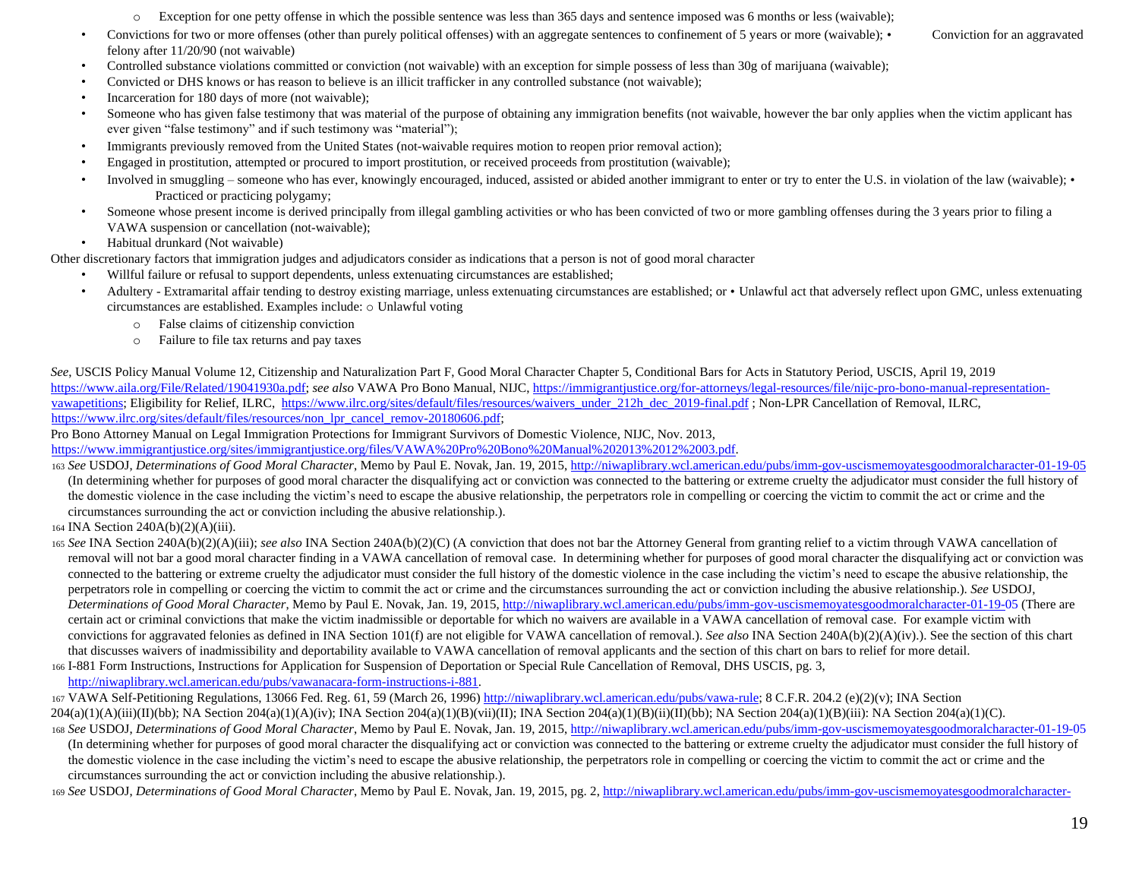- o Exception for one petty offense in which the possible sentence was less than 365 days and sentence imposed was 6 months or less (waivable);
- Convictions for two or more offenses (other than purely political offenses) with an aggregate sentences to confinement of 5 years or more (waivable); Conviction for an aggravated felony after 11/20/90 (not waivable)
- Controlled substance violations committed or conviction (not waivable) with an exception for simple possess of less than 30g of marijuana (waivable);
- Convicted or DHS knows or has reason to believe is an illicit trafficker in any controlled substance (not waivable);
- Incarceration for 180 days of more (not waivable);
- Someone who has given false testimony that was material of the purpose of obtaining any immigration benefits (not waivable, however the bar only applies when the victim applicant has ever given "false testimony" and if such testimony was "material");
- Immigrants previously removed from the United States (not-waivable requires motion to reopen prior removal action);
- Engaged in prostitution, attempted or procured to import prostitution, or received proceeds from prostitution (waivable);
- Involved in smuggling someone who has ever, knowingly encouraged, induced, assisted or abided another immigrant to enter or try to enter the U.S. in violation of the law (waivable); Practiced or practicing polygamy;
- Someone whose present income is derived principally from illegal gambling activities or who has been convicted of two or more gambling offenses during the 3 years prior to filing a VAWA suspension or cancellation (not-waivable);
- Habitual drunkard (Not waivable)

Other discretionary factors that immigration judges and adjudicators consider as indications that a person is not of good moral character

- Willful failure or refusal to support dependents, unless extenuating circumstances are established;
- Adultery Extramarital affair tending to destroy existing marriage, unless extenuating circumstances are established; or Unlawful act that adversely reflect upon GMC, unless extenuating circumstances are established. Examples include: o Unlawful voting
	- o False claims of citizenship conviction
	- o Failure to file tax returns and pay taxes

*See*, USCIS Policy Manual Volume 12, Citizenship and Naturalization Part F, Good Moral Character Chapter 5, Conditional Bars for Acts in Statutory Period, USCIS, April 19, 2019 [https://www.aila.org/File/Related/19041930a.pdf;](https://www.aila.org/File/Related/19041930a.pdf) *see also* VAWA Pro Bono Manual, NIJ[C, https://immigrantjustice.org/for-attorneys/legal-resources/file/nijc-pro-bono-manual-representation](https://immigrantjustice.org/for-attorneys/legal-resources/file/nijc-pro-bono-manual-representation-vawa-petitions)[vawapetitions;](https://immigrantjustice.org/for-attorneys/legal-resources/file/nijc-pro-bono-manual-representation-vawa-petitions) Eligibility for Relief, ILR[C, https://www.ilrc.org/sites/default/files/resources/waivers\\_under\\_212h\\_dec\\_2019-final.pdf](https://www.ilrc.org/sites/default/files/resources/waivers_under_212h_dec_2019-final.pdf) ; Non-LPR Cancellation of Removal, ILRC, [https://www.ilrc.org/sites/default/files/resources/non\\_lpr\\_cancel\\_remov-20180606.pdf;](https://www.ilrc.org/sites/default/files/resources/non_lpr_cancel_remov-20180606.pdf)

Pro Bono Attorney Manual on Legal Immigration Protections for Immigrant Survivors of Domestic Violence, NIJC, Nov. 2013,

[https://www.immigrantjustice.org/sites/immigrantjustice.org/files/VAWA%20Pro%20Bono%20Manual%202013%2012%2003.pdf.](https://www.immigrantjustice.org/sites/immigrantjustice.org/files/VAWA%20Pro%20Bono%20Manual%202013%2012%2003.pdf)

- <sup>163</sup> *See* USDOJ, *Determinations of Good Moral Character*, Memo by Paul E. Novak, Jan. 19, 201[5, http://niwaplibrary.wcl.american.edu/pubs/imm-gov-uscismemoyatesgoodmoralcharacter-01-19-05](http://niwaplibrary.wcl.american.edu/pubs/imm-gov-uscismemoyatesgoodmoralcharacter-01-19-05) (In determining whether for purposes of good moral character the disqualifying act or conviction was connected to the battering or extreme cruelty the adjudicator must consider the full history of the domestic violence in the case including the victim's need to escape the abusive relationship, the perpetrators role in compelling or coercing the victim to commit the act or crime and the circumstances surrounding the act or conviction including the abusive relationship.).
- <sup>164</sup> INA Section 240A(b)(2)(A)(iii).
- <sup>165</sup> *See* INA Section 240A(b)(2)(A)(iii); *see also* INA Section 240A(b)(2)(C) (A conviction that does not bar the Attorney General from granting relief to a victim through VAWA cancellation of removal will not bar a good moral character finding in a VAWA cancellation of removal case. In determining whether for purposes of good moral character the disqualifying act or conviction was connected to the battering or extreme cruelty the adjudicator must consider the full history of the domestic violence in the case including the victim's need to escape the abusive relationship, the perpetrators role in compelling or coercing the victim to commit the act or crime and the circumstances surrounding the act or conviction including the abusive relationship.). *See* USDOJ, *Determinations of Good Moral Character*, Memo by Paul E. Novak, Jan. 19, 201[5, http://niwaplibrary.wcl.american.edu/pubs/imm-gov-uscismemoyatesgoodmoralcharacter-01-19-05](http://niwaplibrary.wcl.american.edu/pubs/imm-gov-uscismemoyatesgoodmoralcharacter-01-19-05) (There are certain act or criminal convictions that make the victim inadmissible or deportable for which no waivers are available in a VAWA cancellation of removal case. For example victim with convictions for aggravated felonies as defined in INA Section 101(f) are not eligible for VAWA cancellation of removal.). *See also* INA Section 240A(b)(2)(A)(iv).). See the section of this chart that discusses waivers of inadmissibility and deportability available to VAWA cancellation of removal applicants and the section of this chart on bars to relief for more detail.
- <sup>166</sup> I-881 Form Instructions, Instructions for Application for Suspension of Deportation or Special Rule Cancellation of Removal, DHS USCIS, pg. [3,](http://niwaplibrary.wcl.american.edu/pubs/vawa-nacara-form-instructions-i-881)  [http://niwaplibrary.wcl.american.edu/pubs/vawanacara-form-instructions-i-881.](http://niwaplibrary.wcl.american.edu/pubs/vawa-nacara-form-instructions-i-881)
- <sup>167</sup> VAWA Self-Petitioning Regulations, 13066 Fed. Reg. 61, 59 (March 26, 199[6\) http://niwaplibrary.wcl.american.edu/pubs/vawa-rule;](http://niwaplibrary.wcl.american.edu/pubs/vawa-rule) 8 C.F.R. 204.2 (e)(2)(v); INA Section  $204(a)(1)(A)(iii)(I)(bb);$  NA Section  $204(a)(1)(A)(iv);$  INA Section  $204(a)(1)(B)(vii)(II);$  INA Section  $204(a)(1)(B)(ii)(I)(bb);$  NA Section  $204(a)(1)(B)(iii);$  NA Section  $204(a)(1)(C)$ .

<sup>168</sup> *See* USDOJ, *Determinations of Good Moral Character*, Memo by Paul E. Novak, Jan. 19, 201[5, http://niwaplibrary.wcl.american.edu/pubs/imm-gov-uscismemoyatesgoodmoralcharacter-01-19-05](http://niwaplibrary.wcl.american.edu/pubs/imm-gov-uscismemoyatesgoodmoralcharacter-01-19-05)

(In determining whether for purposes of good moral character the disqualifying act or conviction was connected to the battering or extreme cruelty the adjudicator must consider the full history of the domestic violence in the case including the victim's need to escape the abusive relationship, the perpetrators role in compelling or coercing the victim to commit the act or crime and the circumstances surrounding the act or conviction including the abusive relationship.).

<sup>169</sup> *See* USDOJ, *Determinations of Good Moral Character*, Memo by Paul E. Novak, Jan. 19, 2015, pg. [2, http://niwaplibrary.wcl.american.edu/pubs/imm-gov-uscismemoyatesgoodmoralcharacter-](http://niwaplibrary.wcl.american.edu/pubs/imm-gov-uscismemoyatesgoodmoralcharacter-01-19-05)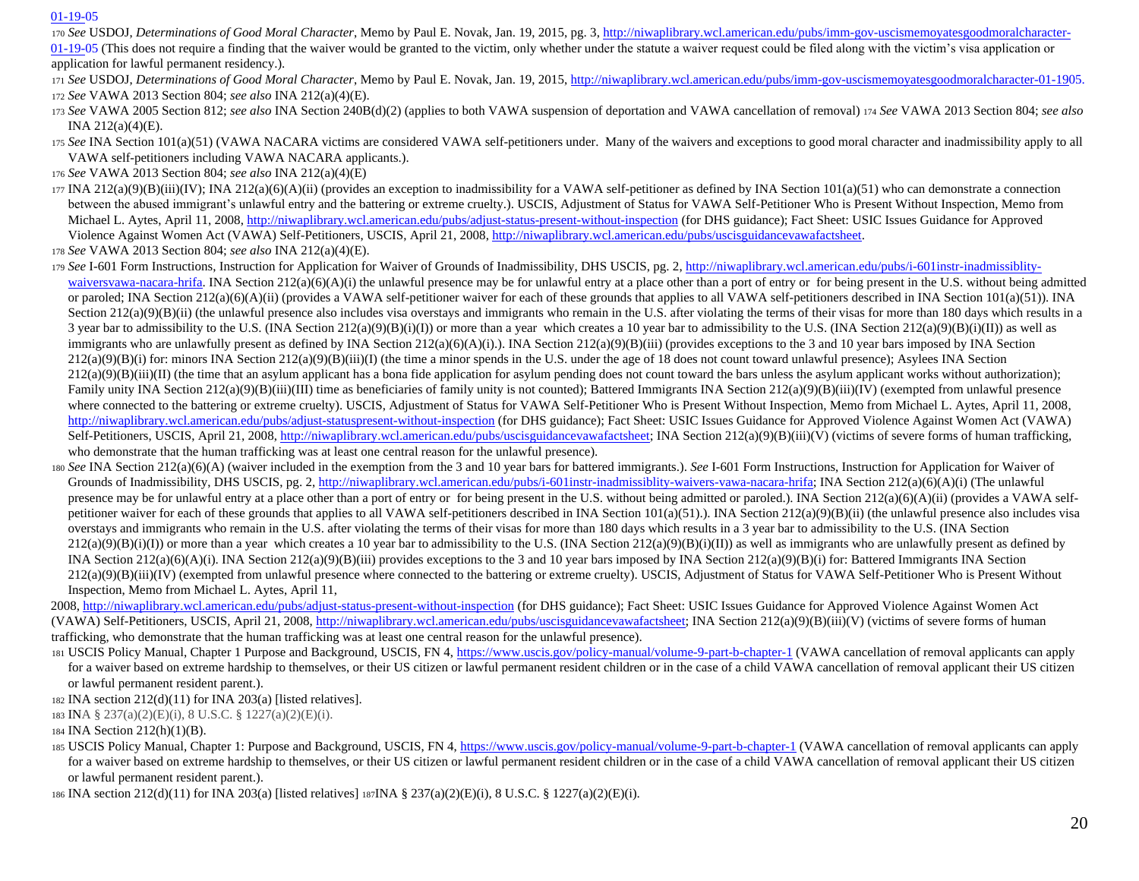## [01-19-05](http://niwaplibrary.wcl.american.edu/pubs/imm-gov-uscismemoyatesgoodmoralcharacter-01-19-05)

<sup>170</sup> *See* USDOJ, *Determinations of Good Moral Character*, Memo by Paul E. Novak, Jan. 19, 2015, pg. [3, http://niwaplibrary.wcl.american.edu/pubs/imm-gov-uscismemoyatesgoodmoralcharacter-](http://niwaplibrary.wcl.american.edu/pubs/imm-gov-uscismemoyatesgoodmoralcharacter-01-19-05)

[01-19-05](http://niwaplibrary.wcl.american.edu/pubs/imm-gov-uscismemoyatesgoodmoralcharacter-01-19-05) [\(](http://niwaplibrary.wcl.american.edu/pubs/imm-gov-uscismemoyatesgoodmoralcharacter-01-19-05)This does not require a finding that the waiver would be granted to the victim, only whether under the statute a waiver request could be filed along with the victim's visa application or application for lawful permanent residency.).

- <sup>171</sup> *See* USDOJ, *Determinations of Good Moral Character*, Memo by Paul E. Novak, Jan. 19, 201[5, http://niwaplibrary.wcl.american.edu/pubs/imm-gov-uscismemoyatesgoodmoralcharacter-01-1905.](http://niwaplibrary.wcl.american.edu/pubs/imm-gov-uscismemoyatesgoodmoralcharacter-01-19-05) <sup>172</sup> *See* VAWA 2013 Section 804; *see also* INA 212(a)(4)(E).
- <sup>173</sup> *See* VAWA 2005 Section 812; *see also* INA Section 240B(d)(2) (applies to both VAWA suspension of deportation and VAWA cancellation of removal) <sup>174</sup> *See* VAWA 2013 Section 804; *see also* INA 212(a)(4)(E).
- 175 *See* INA Section 101(a)(51) (VAWA NACARA victims are considered VAWA self-petitioners under. Many of the waivers and exceptions to good moral character and inadmissibility apply to all VAWA self-petitioners including VAWA NACARA applicants.).
- <sup>176</sup> *See* VAWA 2013 Section 804; *see also* INA 212(a)(4)(E)
- $177 \text{INA } 212(a)(9)(B)(iii)(IV); \text{INA } 212(a)(6)(A)(ii)$  (provides an exception to inadmissibility for a VAWA self-petitioner as defined by INA Section  $101(a)(51)$  who can demonstrate a connection between the abused immigrant's unlawful entry and the battering or extreme cruelty.). USCIS, Adjustment of Status for VAWA Self-Petitioner Who is Present Without Inspection, Memo from Michael L. Aytes, April 11, 2008,<http://niwaplibrary.wcl.american.edu/pubs/adjust-status-present-without-inspection> (for DHS guidance); Fact Sheet: USIC Issues Guidance for Approved Violence Against Women Act (VAWA) Self-Petitioners, USCIS, April 21, 200[8, http://niwaplibrary.wcl.american.edu/pubs/uscisguidancevawafactsheet.](http://niwaplibrary.wcl.american.edu/pubs/uscisguidancevawafactsheet)

<sup>178</sup> *See* VAWA 2013 Section 804; *see also* INA 212(a)(4)(E).

- 179 *See* I-601 Form Instructions, Instruction for Application for Waiver of Grounds of Inadmissibility, DHS USCIS, pg. 2, http://niwaplibrary.wcl.american.edu/pubs/i-601instr-inadmissibility[waiversvawa-nacara-hrifa.](http://niwaplibrary.wcl.american.edu/pubs/i-601instr-inadmissiblity-waivers-vawa-nacara-hrifa) INA Section  $212(a)(6)(A)(i)$  the unlawful presence may be for unlawful entry at a place other than a port of entry or for being present in the U.S. without being admitted or paroled; INA Section 212(a)(6)(A)(ii) (provides a VAWA self-petitioner waiver for each of these grounds that applies to all VAWA self-petitioners described in INA Section 101(a)(51)). INA Section  $212(a)(9)(B)(ii)$  (the unlawful presence also includes visa overstays and immigrants who remain in the U.S. after violating the terms of their visas for more than 180 days which results in a 3 year bar to admissibility to the U.S. (INA Section 212(a)(9)(B)(i)(I)) or more than a year which creates a 10 year bar to admissibility to the U.S. (INA Section 212(a)(9)(B)(i)(II)) as well as immigrants who are unlawfully present as defined by INA Section 212(a)(6)(A)(i). INA Section 212(a)(9)(B)(iii) (provides exceptions to the 3 and 10 year bars imposed by INA Section  $212(a)(9)(B)(i)$  for: minors INA Section  $212(a)(9)(B)(iii)(I)$  (the time a minor spends in the U.S. under the age of 18 does not count toward unlawful presence); Asylees INA Section  $212(a)(9)(B)(iii)(II)$  (the time that an asylum applicant has a bona fide application for asylum pending does not count toward the bars unless the asylum applicant works without authorization); Family unity INA Section  $212(a)(9)(B)(iii)(III)$  time as beneficiaries of family unity is not counted); Battered Immigrants INA Section  $212(a)(9)(B)(iii)(IV)$  (exempted from unlawful presence where connected to the battering or extreme cruelty). USCIS, Adjustment of Status for VAWA Self-Petitioner Who is Present Without Inspection, Memo from Michael L. Aytes, April 11, 2008, [http://niwaplibrary.wcl.american.edu/pubs/adjust-statuspresent-without-inspection](http://niwaplibrary.wcl.american.edu/pubs/adjust-status-present-without-inspection) (for DHS guidance); Fact Sheet: USIC Issues Guidance for Approved Violence Against Women Act (VAWA) Self-Petitioners, USCIS, April 21, 2008, [http://niwaplibrary.wcl.american.edu/pubs/uscisguidancevawafactsheet;](http://niwaplibrary.wcl.american.edu/pubs/uscisguidancevawafactsheet) INA Section 212(a)(9)(B)(iii)(V) (victims of severe forms of human trafficking, who demonstrate that the human trafficking was at least one central reason for the unlawful presence).
- <sup>180</sup> *See* INA Section 212(a)(6)(A) (waiver included in the exemption from the 3 and 10 year bars for battered immigrants.). *See* I-601 Form Instructions, Instruction for Application for Waiver of Grounds of Inadmissibility, DHS USCIS, pg. [2, http://niwaplibrary.wcl.american.edu/pubs/i-601instr-inadmissiblity-waivers-vawa-nacara-hrifa;](http://niwaplibrary.wcl.american.edu/pubs/i-601instr-inadmissiblity-waivers-vawa-nacara-hrifa) INA Section 212(a)(6)(A)(i) (The unlawful presence may be for unlawful entry at a place other than a port of entry or for being present in the U.S. without being admitted or paroled.). INA Section 212(a)(6)(A)(ii) (provides a VAWA selfpetitioner waiver for each of these grounds that applies to all VAWA self-petitioners described in INA Section 101(a)(51).). INA Section 212(a)(9)(B)(ii) (the unlawful presence also includes visa overstays and immigrants who remain in the U.S. after violating the terms of their visas for more than 180 days which results in a 3 year bar to admissibility to the U.S. (INA Section  $212(a)(9)(B)(i)(I))$  or more than a year which creates a 10 year bar to admissibility to the U.S. (INA Section  $212(a)(9)(B)(i)(II))$  as well as immigrants who are unlawfully present as defined by INA Section  $212(a)(6)(A)(i)$ . INA Section  $212(a)(9)(B)(iii)$  provides exceptions to the 3 and 10 year bars imposed by INA Section  $212(a)(9)(B)(i)$  for: Battered Immigrants INA Section  $212(a)(9)(B)(iii)(IV)$  (exempted from unlawful presence where connected to the battering or extreme cruelty). USCIS, Adjustment of Status for VAWA Self-Petitioner Who is Present Without Inspection, Memo from Michael L. Aytes, April 11,

2008,<http://niwaplibrary.wcl.american.edu/pubs/adjust-status-present-without-inspection> (for DHS guidance); Fact Sheet: USIC Issues Guidance for Approved Violence Against Women Act (VAWA) Self-Petitioners, USCIS, April 21, 2008[, http://niwaplibrary.wcl.american.edu/pubs/uscisguidancevawafactsheet;](http://niwaplibrary.wcl.american.edu/pubs/uscisguidancevawafactsheet) INA Section 212(a)(9)(B)(iii)(V) (victims of severe forms of human trafficking, who demonstrate that the human trafficking was at least one central reason for the unlawful presence).

<sup>181</sup> USCIS Policy Manual, Chapter 1 Purpose and Background, USCIS, FN [4, https://www.uscis.gov/policy-manual/volume-9-part-b-chapter-1](https://www.uscis.gov/policy-manual/volume-9-part-b-chapter-1) (VAWA cancellation of removal applicants can apply for a waiver based on extreme hardship to themselves, or their US citizen or lawful permanent resident children or in the case of a child VAWA cancellation of removal applicant their US citizen or lawful permanent resident parent.).

182 INA section  $212(d)(11)$  for INA  $203(a)$  [listed relatives].

<sup>183</sup> INA § 237(a)(2)(E)(i), 8 U.S.C. § 1227(a)(2)(E)(i).

<sup>184</sup> INA Section 212(h)(1)(B).

<sup>185</sup> USCIS Policy Manual, Chapter 1: Purpose and Background, USCIS, FN [4, https://www.uscis.gov/policy-manual/volume-9-part-b-chapter-1](https://www.uscis.gov/policy-manual/volume-9-part-b-chapter-1) (VAWA cancellation of removal applicants can apply for a waiver based on extreme hardship to themselves, or their US citizen or lawful permanent resident children or in the case of a child VAWA cancellation of removal applicant their US citizen or lawful permanent resident parent.).

<sup>186</sup> INA section 212(d)(11) for INA 203(a) [listed relatives] 187INA § 237(a)(2)(E)(i), 8 U.S.C. § 1227(a)(2)(E)(i).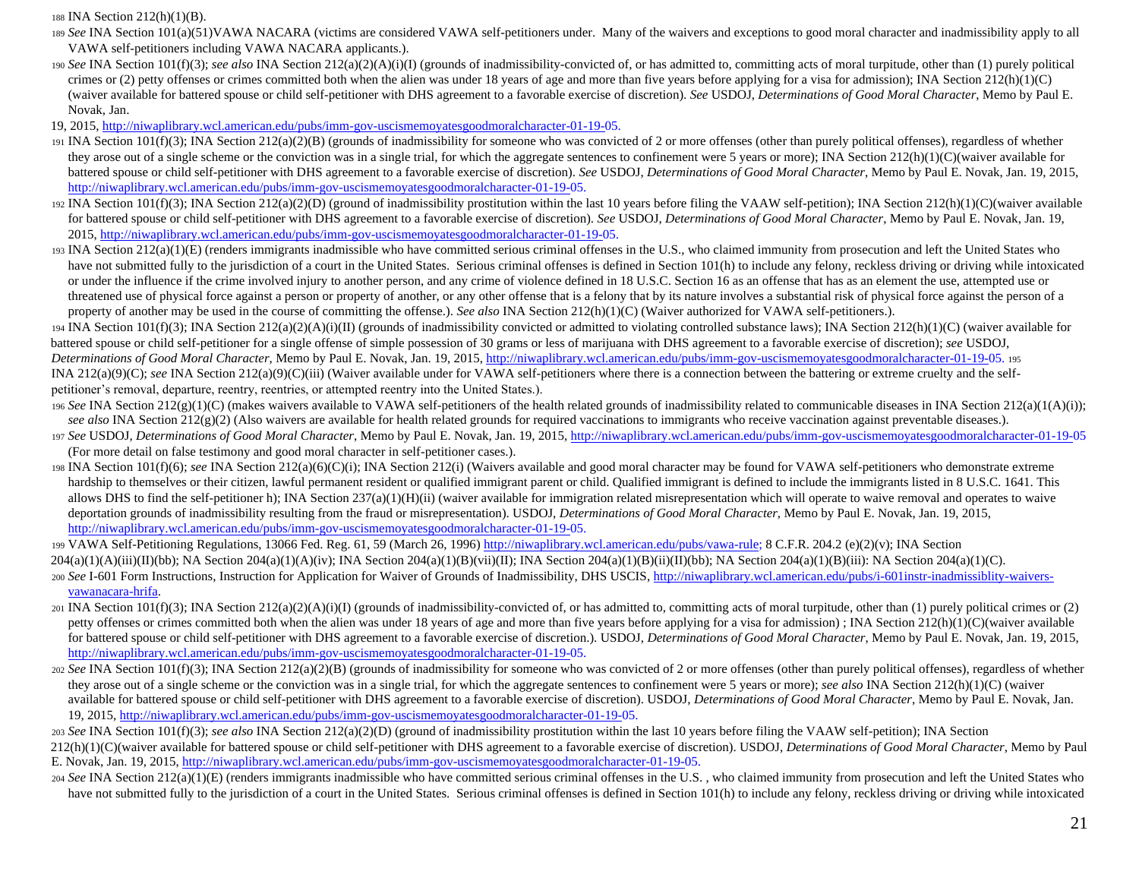<sup>188</sup> INA Section 212(h)(1)(B).

- 189 *See* INA Section 101(a)(51)VAWA NACARA (victims are considered VAWA self-petitioners under. Many of the waivers and exceptions to good moral character and inadmissibility apply to all VAWA self-petitioners including VAWA NACARA applicants.).
- <sup>190</sup> *See* INA Section 101(f)(3); *see also* INA Section 212(a)(2)(A)(i)(I) (grounds of inadmissibility-convicted of, or has admitted to, committing acts of moral turpitude, other than (1) purely political crimes or (2) petty offenses or crimes committed both when the alien was under 18 years of age and more than five years before applying for a visa for admission); INA Section  $212(h)(1)(C)$ (waiver available for battered spouse or child self-petitioner with DHS agreement to a favorable exercise of discretion). *See* USDOJ, *Determinations of Good Moral Character*, Memo by Paul E. Novak, Jan.

19, 2015, [http://niwaplibrary.wcl.american.edu/pubs/imm-gov-uscismemoyatesgoodmoralcharacter-01-19-05.](http://niwaplibrary.wcl.american.edu/pubs/imm-gov-uscismemoyatesgoodmoralcharacter-01-19-05)

- 191 INA Section  $101(f)(3)$ ; INA Section  $212(a)(2)(B)$  (grounds of inadmissibility for someone who was convicted of 2 or more offenses (other than purely political offenses), regardless of whether they arose out of a single scheme or the conviction was in a single trial, for which the aggregate sentences to confinement were 5 years or more); INA Section 212(h)(1)(C)(waiver available for battered spouse or child self-petitioner with DHS agreement to a favorable exercise of discretion). *See* USDOJ, *Determinations of Good Moral Character*, Memo by Paul E. Novak, Jan. 19, 2015, [http://niwaplibrary.wcl.american.edu/pubs/imm-gov-uscismemoyatesgoodmoralcharacter-01-19-05.](http://niwaplibrary.wcl.american.edu/pubs/imm-gov-uscismemoyatesgoodmoralcharacter-01-19-05)
- 192 INA Section 101(f)(3); INA Section 212(a)(2)(D) (ground of inadmissibility prostitution within the last 10 years before filing the VAAW self-petition); INA Section 212(h)(1)(C)(waiver available for battered spouse or child self-petitioner with DHS agreement to a favorable exercise of discretion). *See* USDOJ, *Determinations of Good Moral Character*, Memo by Paul E. Novak, Jan. 19, 2015, [http://niwaplibrary.wcl.american.edu/pubs/imm-gov-uscismemoyatesgoodmoralcharacter-01-19-05.](http://niwaplibrary.wcl.american.edu/pubs/imm-gov-uscismemoyatesgoodmoralcharacter-01-19-05)
- $193$  INA Section  $212(a)(1)(E)$  (renders immigrants inadmissible who have committed serious criminal offenses in the U.S., who claimed immunity from prosecution and left the United States who have not submitted fully to the jurisdiction of a court in the United States. Serious criminal offenses is defined in Section 101(h) to include any felony, reckless driving or driving while intoxicated or under the influence if the crime involved injury to another person, and any crime of violence defined in 18 U.S.C. Section 16 as an offense that has as an element the use, attempted use or threatened use of physical force against a person or property of another, or any other offense that is a felony that by its nature involves a substantial risk of physical force against the person of a property of another may be used in the course of committing the offense.). *See also* INA Section 212(h)(1)(C) (Waiver authorized for VAWA self-petitioners.).
- $194 \text{ INA}$  Section  $101(f)(3)$ ; INA Section  $212(a)(2)(A)(i)(II)$  (grounds of inadmissibility convicted or admitted to violating controlled substance laws); INA Section  $212(h)(1)(C)$  (waiver available for battered spouse or child self-petitioner for a single offense of simple possession of 30 grams or less of marijuana with DHS agreement to a favorable exercise of discretion); *see* USDOJ, *Determinations of Good Moral Character*, Memo by Paul E. Novak, Jan. 19, 201[5, http://niwaplibrary.wcl.american.edu/pubs/imm-gov-uscismemoyatesgoodmoralcharacter-01-19-05.](http://niwaplibrary.wcl.american.edu/pubs/imm-gov-uscismemoyatesgoodmoralcharacter-01-19-05) <sup>195</sup> INA 212(a)(9)(C); *see* INA Section 212(a)(9)(C)(iii) (Waiver available under for VAWA self-petitioners where there is a connection between the battering or extreme cruelty and the selfpetitioner's removal, departure, reentry, reentries, or attempted reentry into the United States.).
- <sup>196</sup> *See* INA Section 212(g)(1)(C) (makes waivers available to VAWA self-petitioners of the health related grounds of inadmissibility related to communicable diseases in INA Section 212(a)(1(A)(i)); see also INA Section 212(g)(2) (Also waivers are available for health related grounds for required vaccinations to immigrants who receive vaccination against preventable diseases.).
- <sup>197</sup> *See* USDOJ, *Determinations of Good Moral Character*, Memo by Paul E. Novak, Jan. 19, 201[5, http://niwaplibrary.wcl.american.edu/pubs/imm-gov-uscismemoyatesgoodmoralcharacter-01-19-05](http://niwaplibrary.wcl.american.edu/pubs/imm-gov-uscismemoyatesgoodmoralcharacter-01-19-05) (For more detail on false testimony and good moral character in self-petitioner cases.).
- <sup>198</sup> INA Section 101(f)(6); *see* INA Section 212(a)(6)(C)(i); INA Section 212(i) (Waivers available and good moral character may be found for VAWA self-petitioners who demonstrate extreme hardship to themselves or their citizen, lawful permanent resident or qualified immigrant parent or child. Qualified immigrant is defined to include the immigrants listed in 8 U.S.C. 1641. This allows DHS to find the self-petitioner h); INA Section 237(a)(1)(H)(ii) (waiver available for immigration related misrepresentation which will operate to waive removal and operates to waive deportation grounds of inadmissibility resulting from the fraud or misrepresentation). USDOJ, *Determinations of Good Moral Character*, Memo by Paul E. Novak, Jan. 19, 2015, [http://niwaplibrary.wcl.american.edu/pubs/imm-gov-uscismemoyatesgoodmoralcharacter-01-19-05.](http://niwaplibrary.wcl.american.edu/pubs/imm-gov-uscismemoyatesgoodmoralcharacter-01-19-05)

199 VAWA Self-Petitioning Regulations, 13066 Fed. Reg. 61, 59 (March 26, 199[6\) http://niwaplibrary.wcl.american.edu/pubs/vawa-rule;](http://niwaplibrary.wcl.american.edu/pubs/vawa-rule) 8 C.F.R. 204.2 (e)(2)(v); INA Section

- $204(a)(1)(A)(iii)(I)(bb);$  NA Section  $204(a)(1)(A)(iv);$  INA Section  $204(a)(1)(B)(vii)(II);$  INA Section  $204(a)(1)(B)(ii)(I)(bb);$  NA Section  $204(a)(1)(B)(iii);$  NA Section  $204(a)(1)(C)$ . 200 See I-601 Form Instructions, Instruction for Application for Waiver of Grounds of Inadmissibility, DHS USCIS, http://niwaplibrary.wcl.american.edu/pubs/i-601instr-inadmissibility-waivers[vawanacara-hrifa.](http://niwaplibrary.wcl.american.edu/pubs/i-601instr-inadmissiblity-waivers-vawa-nacara-hrifa)
- $201$  INA Section 101(f)(3); INA Section 212(a)(2)(A)(i)(I) (grounds of inadmissibility-convicted of, or has admitted to, committing acts of moral turpitude, other than (1) purely political crimes or (2) petty offenses or crimes committed both when the alien was under 18 years of age and more than five years before applying for a visa for admission); INA Section 212(h)(1)(C)(waiver available for battered spouse or child self-petitioner with DHS agreement to a favorable exercise of discretion.). USDOJ, *Determinations of Good Moral Character*, Memo by Paul E. Novak, Jan. 19, 2015, [http://niwaplibrary.wcl.american.edu/pubs/imm-gov-uscismemoyatesgoodmoralcharacter-01-19-05.](http://niwaplibrary.wcl.american.edu/pubs/imm-gov-uscismemoyatesgoodmoralcharacter-01-19-05)
- 202 *See* INA Section 101(f)(3); INA Section 212(a)(2)(B) (grounds of inadmissibility for someone who was convicted of 2 or more offenses (other than purely political offenses), regardless of whether they arose out of a single scheme or the conviction was in a single trial, for which the aggregate sentences to confinement were 5 years or more); *see also* INA Section 212(h)(1)(C) (waiver available for battered spouse or child self-petitioner with DHS agreement to a favorable exercise of discretion). USDOJ, *Determinations of Good Moral Character*, Memo by Paul E. Novak, Jan. 19, 2015[, http://niwaplibrary.wcl.american.edu/pubs/imm-gov-uscismemoyatesgoodmoralcharacter-01-19-05.](http://niwaplibrary.wcl.american.edu/pubs/imm-gov-uscismemoyatesgoodmoralcharacter-01-19-05)
- <sup>203</sup> *See* INA Section 101(f)(3); *see also* INA Section 212(a)(2)(D) (ground of inadmissibility prostitution within the last 10 years before filing the VAAW self-petition); INA Section
- 212(h)(1)(C)(waiver available for battered spouse or child self-petitioner with DHS agreement to a favorable exercise of discretion). USDOJ, *Determinations of Good Moral Character*, Memo by Paul E. Novak, Jan. 19, 2015[, http://niwaplibrary.wcl.american.edu/pubs/imm-gov-uscismemoyatesgoodmoralcharacter-01-19-05.](http://niwaplibrary.wcl.american.edu/pubs/imm-gov-uscismemoyatesgoodmoralcharacter-01-19-05)
- <sup>204</sup> *See* INA Section 212(a)(1)(E) (renders immigrants inadmissible who have committed serious criminal offenses in the U.S. , who claimed immunity from prosecution and left the United States who have not submitted fully to the jurisdiction of a court in the United States. Serious criminal offenses is defined in Section 101(h) to include any felony, reckless driving or driving while intoxicated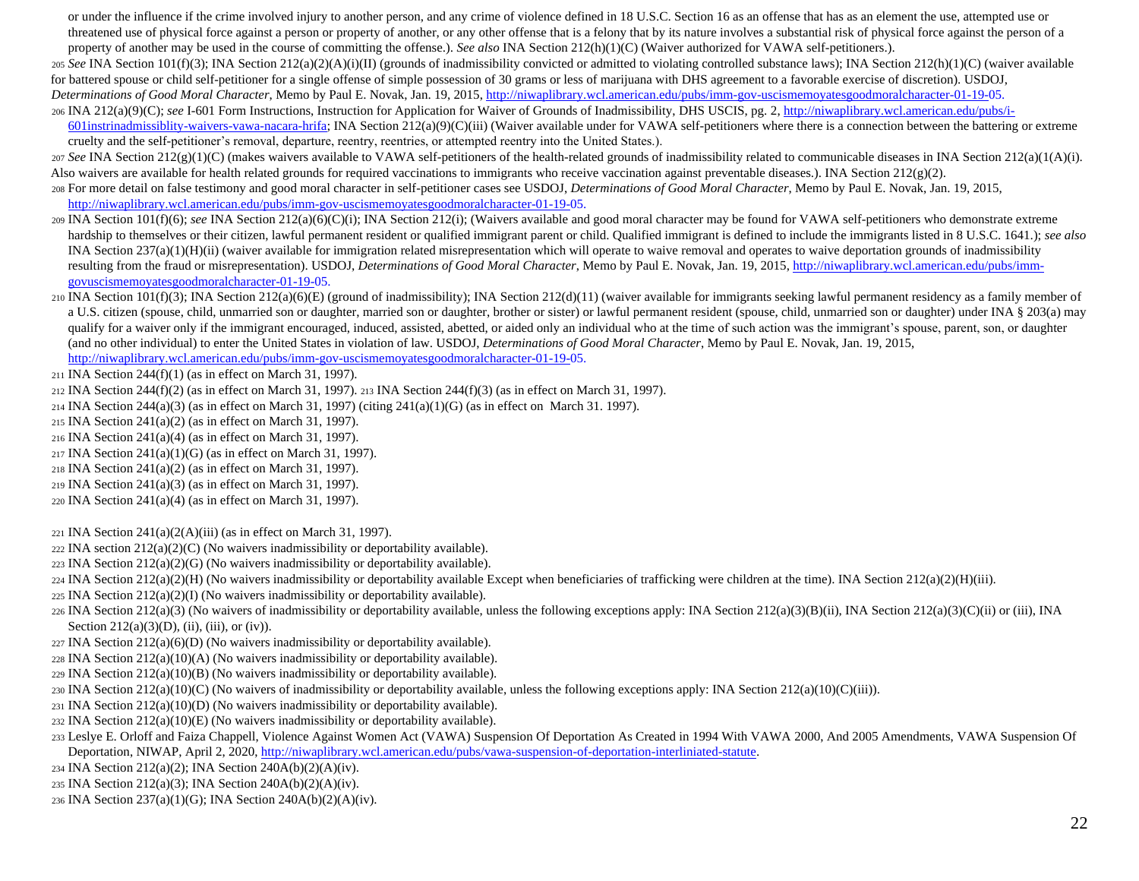or under the influence if the crime involved injury to another person, and any crime of violence defined in 18 U.S.C. Section 16 as an offense that has as an element the use, attempted use or threatened use of physical force against a person or property of another, or any other offense that is a felony that by its nature involves a substantial risk of physical force against the person of a property of another may be used in the course of committing the offense.). *See also* INA Section 212(h)(1)(C) (Waiver authorized for VAWA self-petitioners.).

<sup>205</sup> *See* INA Section 101(f)(3); INA Section 212(a)(2)(A)(i)(II) (grounds of inadmissibility convicted or admitted to violating controlled substance laws); INA Section 212(h)(1)(C) (waiver available for battered spouse or child self-petitioner for a single offense of simple possession of 30 grams or less of marijuana with DHS agreement to a favorable exercise of discretion). USDOJ,

*Determinations of Good Moral Character*, Memo by Paul E. Novak, Jan. 19, 201[5, http://niwaplibrary.wcl.american.edu/pubs/imm-gov-uscismemoyatesgoodmoralcharacter-01-19-05.](http://niwaplibrary.wcl.american.edu/pubs/imm-gov-uscismemoyatesgoodmoralcharacter-01-19-05) 

206 INA 212(a)(9)(C); see I-601 Form Instructions, Instruction for Application for Waiver of Grounds of Inadmissibility, DHS USCIS, pg. [2, http://niwaplibrary.wcl.american.edu/pubs/i-](http://niwaplibrary.wcl.american.edu/pubs/i-601instr-inadmissiblity-waivers-vawa-nacara-hrifa)

[601instrinadmissiblity-waivers-vawa-nacara-hrifa;](http://niwaplibrary.wcl.american.edu/pubs/i-601instr-inadmissiblity-waivers-vawa-nacara-hrifa) INA Section  $212(a)(9)(C)(iii)$  (Waiver available under for VAWA self-petitioners where there is a connection between the battering or extreme cruelty and the self-petitioner's removal, departure, reentry, reentries, or attempted reentry into the United States.).

<sup>207</sup> *See* INA Section 212(g)(1)(C) (makes waivers available to VAWA self-petitioners of the health-related grounds of inadmissibility related to communicable diseases in INA Section 212(a)(1(A)(i). Also waivers are available for health related grounds for required vaccinations to immigrants who receive vaccination against preventable diseases.). INA Section  $212(g)(2)$ .

- <sup>208</sup> For more detail on false testimony and good moral character in self-petitioner cases see USDOJ, *Determinations of Good Moral Character*, Memo by Paul E. Novak, Jan. 19, 2015, [http://niwaplibrary.wcl.american.edu/pubs/imm-gov-uscismemoyatesgoodmoralcharacter-01-19-05.](http://niwaplibrary.wcl.american.edu/pubs/imm-gov-uscismemoyatesgoodmoralcharacter-01-19-05)
- <sup>209</sup> INA Section 101(f)(6); *see* INA Section 212(a)(6)(C)(i); INA Section 212(i); (Waivers available and good moral character may be found for VAWA self-petitioners who demonstrate extreme hardship to themselves or their citizen, lawful permanent resident or qualified immigrant or child. Qualified immigrant is defined to include the immigrants listed in 8 U.S.C. 1641.); *see also* INA Section 237(a)(1)(H)(ii) (waiver available for immigration related misrepresentation which will operate to waive removal and operates to waive deportation grounds of inadmissibility resulting from the fraud or misrepresentation). USDOJ, *Determinations of Good Moral Character*, Memo by Paul E. Novak, Jan. 19, 201[5, http://niwaplibrary.wcl.american.edu/pubs/imm](http://niwaplibrary.wcl.american.edu/pubs/imm-gov-uscismemoyatesgoodmoralcharacter-01-19-05)[govuscismemoyatesgoodmoralcharacter-01-19-05.](http://niwaplibrary.wcl.american.edu/pubs/imm-gov-uscismemoyatesgoodmoralcharacter-01-19-05)
- 210 INA Section 101(f)(3); INA Section 212(a)(6)(E) (ground of inadmissibility); INA Section 212(d)(11) (waiver available for immigrants seeking lawful permanent residency as a family member of a U.S. citizen (spouse, child, unmarried son or daughter, married son or daughter, brother or sister) or lawful permanent resident (spouse, child, unmarried son or daughter) under INA § 203(a) may qualify for a waiver only if the immigrant encouraged, induced, assisted, abetted, or aided only an individual who at the time of such action was the immigrant's spouse, parent, son, or daughter (and no other individual) to enter the United States in violation of law. USDOJ, *Determinations of Good Moral Character*, Memo by Paul E. Novak, Jan. 19, 2015, [http://niwaplibrary.wcl.american.edu/pubs/imm-gov-uscismemoyatesgoodmoralcharacter-01-19-05.](http://niwaplibrary.wcl.american.edu/pubs/imm-gov-uscismemoyatesgoodmoralcharacter-01-19-05)
- <sup>211</sup> INA Section 244(f)(1) (as in effect on March 31, 1997).
- <sup>212</sup> INA Section 244(f)(2) (as in effect on March 31, 1997). <sup>213</sup> INA Section 244(f)(3) (as in effect on March 31, 1997).
- <sup>214</sup> INA Section 244(a)(3) (as in effect on March 31, 1997) (citing 241(a)(1)(G) (as in effect on March 31. 1997).
- <sup>215</sup> INA Section 241(a)(2) (as in effect on March 31, 1997).
- <sup>216</sup> INA Section 241(a)(4) (as in effect on March 31, 1997).
- <sup>217</sup> INA Section 241(a)(1)(G) (as in effect on March 31, 1997).
- <sup>218</sup> INA Section 241(a)(2) (as in effect on March 31, 1997).
- <sup>219</sup> INA Section 241(a)(3) (as in effect on March 31, 1997).
- <sup>220</sup> INA Section 241(a)(4) (as in effect on March 31, 1997).
- <sup>221</sup> INA Section 241(a)(2(A)(iii) (as in effect on March 31, 1997).
- $222$  INA section  $212(a)(2)(C)$  (No waivers inadmissibility or deportability available).
- $223$  INA Section  $212(a)(2)(G)$  (No waivers inadmissibility or deportability available).
- $224 \text{INA}$  Section  $212(a)(2)(H)$  (No waivers inadmissibility or deportability available Except when beneficiaries of trafficking were children at the time). INA Section  $212(a)(2)(H)(iii)$ .
- $225 \text{INA}$  Section  $212(a)(2)(1)$  (No waivers inadmissibility or deportability available).
- $226$  INA Section 212(a)(3) (No waivers of inadmissibility or deportability available, unless the following exceptions apply: INA Section 212(a)(3)(B)(ii), INA Section 212(a)(3)(C)(ii) or (iii), INA Section  $212(a)(3)(D)$ , (ii), (iii), or (iv)).
- <sup>227</sup> INA Section 212(a)(6)(D) (No waivers inadmissibility or deportability available).
- $228$  INA Section  $212(a)(10)(A)$  (No waivers inadmissibility or deportability available).
- $229$  INA Section  $212(a)(10)(B)$  (No waivers inadmissibility or deportability available).
- 230 INA Section 212(a)(10)(C) (No waivers of inadmissibility or deportability available, unless the following exceptions apply: INA Section 212(a)(10)(C)(iii)).
- $231$  INA Section  $212(a)(10)(D)$  (No waivers inadmissibility or deportability available).
- $232$  INA Section  $212(a)(10)(E)$  (No waivers inadmissibility or deportability available).
- <sup>233</sup> Leslye E. Orloff and Faiza Chappell, Violence Against Women Act (VAWA) Suspension Of Deportation As Created in 1994 With VAWA 2000, And 2005 Amendments, VAWA Suspension Of Deportation, NIWAP, April 2, 202[0, http://niwaplibrary.wcl.american.edu/pubs/vawa-suspension-of-deportation-interliniated-statute.](http://niwaplibrary.wcl.american.edu/pubs/vawa-suspension-of-deportation-interliniated-statute)
- <sup>234</sup> INA Section 212(a)(2); INA Section 240A(b)(2)(A)(iv).
- <sup>235</sup> INA Section 212(a)(3); INA Section 240A(b)(2)(A)(iv).
- <sup>236</sup> INA Section 237(a)(1)(G); INA Section 240A(b)(2)(A)(iv).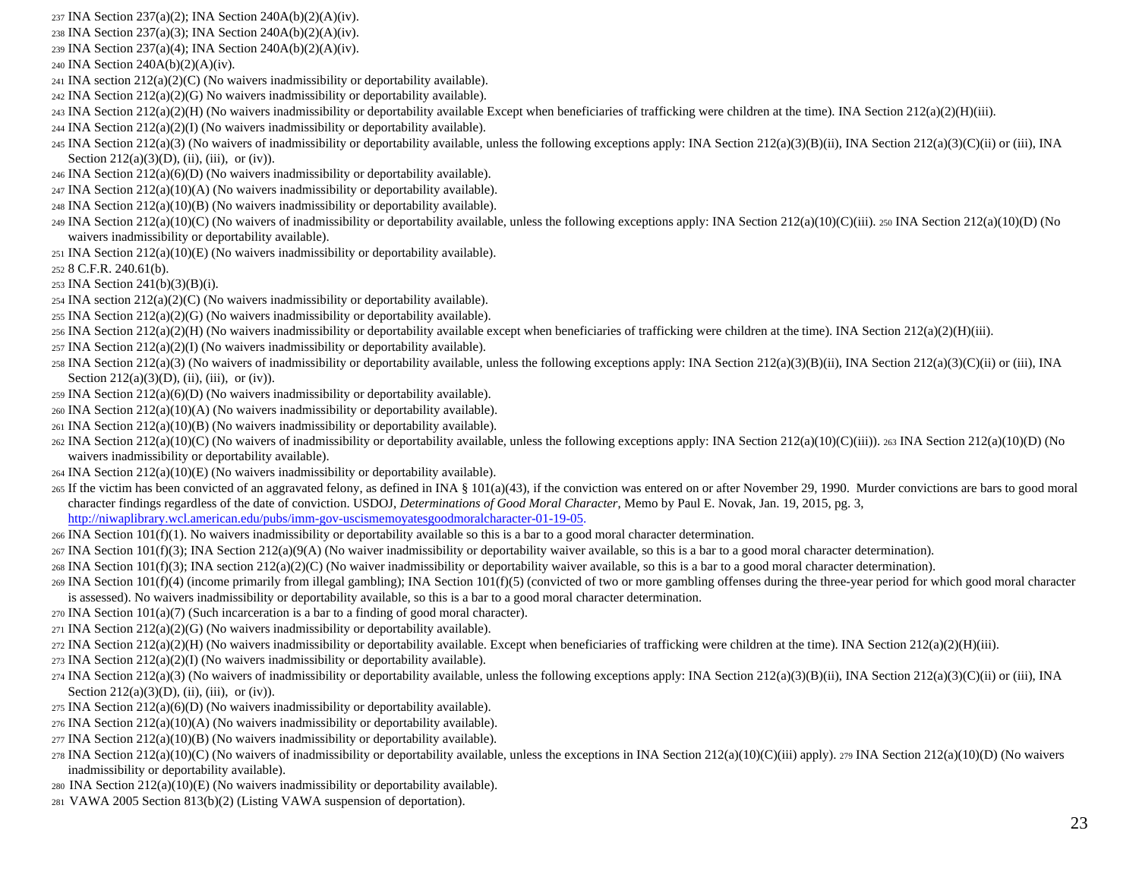- INA Section 237(a)(2); INA Section 240A(b)(2)(A)(iv).
- INA Section 237(a)(3); INA Section 240A(b)(2)(A)(iv).
- INA Section 237(a)(4); INA Section 240A(b)(2)(A)(iv).
- INA Section 240A(b)(2)(A)(iv).
- INA section  $212(a)(2)(C)$  (No waivers inadmissibility or deportability available).
- INA Section  $212(a)(2)(G)$  No waivers inadmissibility or deportability available).
- INA Section  $212(a)(2)(H)$  (No waivers inadmissibility or deportability available Except when beneficiaries of trafficking were children at the time). INA Section  $212(a)(2)(H)$ (iii).
- INA Section  $212(a)(2)(I)$  (No waivers inadmissibility or deportability available).
- INA Section 212(a)(3) (No waivers of inadmissibility or deportability available, unless the following exceptions apply: INA Section 212(a)(3)(B)(ii), INA Section 212(a)(3)(C)(ii) or (iii), INA Section  $212(a)(3)(D)$ , (ii), (iii), or (iv)).
- INA Section  $212(a)(6)(D)$  (No waivers inadmissibility or deportability available).
- INA Section 212(a)(10)(A) (No waivers inadmissibility or deportability available).
- INA Section  $212(a)(10)(B)$  (No waivers inadmissibility or deportability available).
- $249 \text{ INA Section } 212(a)(10)(C)$  (No waivers of inadmissibility or deportability available, unless the following exceptions apply: INA Section  $212(a)(10)(C)(iii)$ . 250 INA Section  $212(a)(10)(D)$  (No waivers inadmissibility or deportability available).
- INA Section 212(a)(10)(E) (No waivers inadmissibility or deportability available).
- 8 C.F.R. 240.61(b).
- INA Section 241(b)(3)(B)(i).
- 254 INA section  $212(a)(2)(C)$  (No waivers inadmissibility or deportability available).
- 255 INA Section  $212(a)(2)(G)$  (No waivers inadmissibility or deportability available).
- INA Section 212(a)(2)(H) (No waivers inadmissibility or deportability available except when beneficiaries of trafficking were children at the time). INA Section 212(a)(2)(H)(iii).
- INA Section  $212(a)(2)(I)$  (No waivers inadmissibility or deportability available).
- 258 INA Section 212(a)(3) (No waivers of inadmissibility or deportability available, unless the following exceptions apply: INA Section 212(a)(3)(B)(ii), INA Section 212(a)(3)(C)(ii) or (iii), INA Section  $212(a)(3)(D)$ , (ii), (iii), or (iv)).
- INA Section 212(a)(6)(D) (No waivers inadmissibility or deportability available).
- INA Section 212(a)(10)(A) (No waivers inadmissibility or deportability available).
- INA Section  $212(a)(10)(B)$  (No waivers inadmissibility or deportability available).
- INA Section 212(a)(10)(C) (No waivers of inadmissibility or deportability available, unless the following exceptions apply: INA Section 212(a)(10)(C)(iii)). 263 INA Section 212(a)(10)(D) (No waivers inadmissibility or deportability available).
- INA Section 212(a)(10)(E) (No waivers inadmissibility or deportability available).
- If the victim has been convicted of an aggravated felony, as defined in INA § 101(a)(43), if the conviction was entered on or after November 29, 1990. Murder convictions are bars to good moral character findings regardless of the date of conviction. USDOJ, *Determinations of Good Moral Character*, Memo by Paul E. Novak, Jan. 19, 2015, pg. 3, [http://niwaplibrary.wcl.american.edu/pubs/imm-gov-uscismemoyatesgoodmoralcharacter-01-19-05.](http://niwaplibrary.wcl.american.edu/pubs/imm-gov-uscismemoyatesgoodmoralcharacter-01-19-05)
- INA Section 101(f)(1). No waivers inadmissibility or deportability available so this is a bar to a good moral character determination.
- INA Section 101(f)(3); INA Section 212(a)(9(A) (No waiver inadmissibility or deportability waiver available, so this is a bar to a good moral character determination).
- $_{268}$  INA Section 101(f)(3); INA section 212(a)(2)(C) (No waiver inadmissibility or deportability waiver available, so this is a bar to a good moral character determination).
- $_{269}$  INA Section 101(f)(4) (income primarily from illegal gambling); INA Section 101(f)(5) (convicted of two or more gambling offenses during the three-year period for which good moral character is assessed). No waivers inadmissibility or deportability available, so this is a bar to a good moral character determination.
- INA Section 101(a)(7) (Such incarceration is a bar to a finding of good moral character).
- INA Section  $212(a)(2)(G)$  (No waivers inadmissibility or deportability available).
- INA Section 212(a)(2)(H) (No waivers inadmissibility or deportability available. Except when beneficiaries of trafficking were children at the time). INA Section 212(a)(2)(H)(iii).
- INA Section  $212(a)(2)(I)$  (No waivers inadmissibility or deportability available).
- INA Section 212(a)(3) (No waivers of inadmissibility or deportability available, unless the following exceptions apply: INA Section 212(a)(3)(B)(ii), INA Section 212(a)(3)(C)(ii) or (iii), INA Section  $212(a)(3)(D)$ , (ii), (iii), or (iv)).
- INA Section  $212(a)(6)(D)$  (No waivers inadmissibility or deportability available).
- INA Section 212(a)(10)(A) (No waivers inadmissibility or deportability available).
- INA Section  $212(a)(10)(B)$  (No waivers inadmissibility or deportability available).
- 278 INA Section 212(a)(10)(C) (No waivers of inadmissibility or deportability available, unless the exceptions in INA Section 212(a)(10)(C)(iii) apply). 279 INA Section 212(a)(10)(D) (No waivers inadmissibility or deportability available).
- INA Section 212(a)(10)(E) (No waivers inadmissibility or deportability available).
- VAWA 2005 Section 813(b)(2) (Listing VAWA suspension of deportation).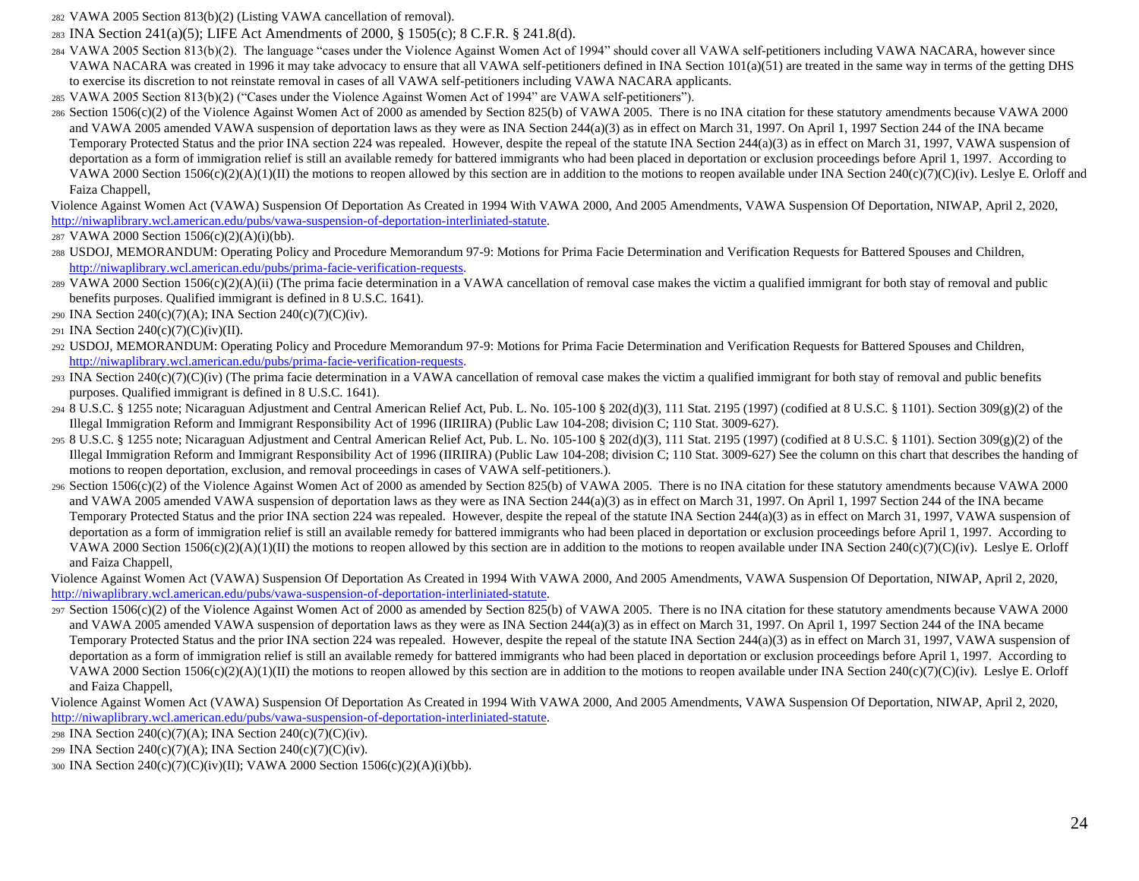<sup>282</sup> VAWA 2005 Section 813(b)(2) (Listing VAWA cancellation of removal).

- <sup>283</sup> INA Section 241(a)(5); LIFE Act Amendments of 2000, § 1505(c); 8 C.F.R. § 241.8(d).
- <sup>284</sup> VAWA 2005 Section 813(b)(2). The language "cases under the Violence Against Women Act of 1994" should cover all VAWA self-petitioners including VAWA NACARA, however since VAWA NACARA was created in 1996 it may take advocacy to ensure that all VAWA self-petitioners defined in INA Section 101(a)(51) are treated in the same way in terms of the getting DHS to exercise its discretion to not reinstate removal in cases of all VAWA self-petitioners including VAWA NACARA applicants.
- <sup>285</sup> VAWA 2005 Section 813(b)(2) ("Cases under the Violence Against Women Act of 1994" are VAWA self-petitioners").
- <sup>286</sup> Section 1506(c)(2) of the Violence Against Women Act of 2000 as amended by Section 825(b) of VAWA 2005. There is no INA citation for these statutory amendments because VAWA 2000 and VAWA 2005 amended VAWA suspension of deportation laws as they were as INA Section 244(a)(3) as in effect on March 31, 1997. On April 1, 1997 Section 244 of the INA became Temporary Protected Status and the prior INA section 224 was repealed. However, despite the repeal of the statute INA Section 244(a)(3) as in effect on March 31, 1997, VAWA suspension of deportation as a form of immigration relief is still an available remedy for battered immigrants who had been placed in deportation or exclusion proceedings before April 1, 1997. According to VAWA 2000 Section 1506(c)(2)(A)(1)(II) the motions to reopen allowed by this section are in addition to the motions to reopen available under INA Section 240(c)(7)(C)(iv). Leslye E. Orloff and Faiza Chappell,

Violence Against Women Act (VAWA) Suspension Of Deportation As Created in 1994 With VAWA 2000, And 2005 Amendments, VAWA Suspension Of Deportation, NIWAP, April 2, 2020, [http://niwaplibrary.wcl.american.edu/pubs/vawa-suspension-of-deportation-interliniated-statute.](http://niwaplibrary.wcl.american.edu/pubs/vawa-suspension-of-deportation-interliniated-statute)

- <sup>287</sup> VAWA 2000 Section 1506(c)(2)(A)(i)(bb).
- <sup>288</sup> USDOJ, MEMORANDUM: Operating Policy and Procedure Memorandum 97-9: Motions for Prima Facie Determination and Verification Requests for Battered Spouses and Children, [http://niwaplibrary.wcl.american.edu/pubs/prima-facie-verification-requests.](http://niwaplibrary.wcl.american.edu/pubs/prima-facie-verification-requests)
- 289 VAWA 2000 Section 1506(c)(2)(A)(ii) (The prima facie determination in a VAWA cancellation of removal case makes the victim a qualified immigrant for both stay of removal and public benefits purposes. Qualified immigrant is defined in 8 U.S.C. 1641).
- <sup>290</sup> INA Section 240(c)(7)(A); INA Section 240(c)(7)(C)(iv).
- <sup>291</sup> INA Section 240(c)(7)(C)(iv)(II).
- <sup>292</sup> USDOJ, MEMORANDUM: Operating Policy and Procedure Memorandum 97-9: Motions for Prima Facie Determination and Verification Requests for Battered Spouses and Children, [http://niwaplibrary.wcl.american.edu/pubs/prima-facie-verification-requests.](http://niwaplibrary.wcl.american.edu/pubs/prima-facie-verification-requests)
- $293$  INA Section 240(c)(7)(C)(iv) (The prima facie determination in a VAWA cancellation of removal case makes the victim a qualified immigrant for both stay of removal and public benefits purposes. Qualified immigrant is defined in 8 U.S.C. 1641).
- 294 8 U.S.C. § 1255 note; Nicaraguan Adjustment and Central American Relief Act, Pub. L. No. 105-100 § 202(d)(3), 111 Stat. 2195 (1997) (codified at 8 U.S.C. § 1101). Section 309(g)(2) of the Illegal Immigration Reform and Immigrant Responsibility Act of 1996 (IIRIIRA) (Public Law 104-208; division C; 110 Stat. 3009-627).
- 295 8 U.S.C. § 1255 note; Nicaraguan Adjustment and Central American Relief Act, Pub. L. No. 105-100 § 202(d)(3), 111 Stat. 2195 (1997) (codified at 8 U.S.C. § 1101). Section 309(g)(2) of the Illegal Immigration Reform and Immigrant Responsibility Act of 1996 (IIRIIRA) (Public Law 104-208; division C; 110 Stat. 3009-627) See the column on this chart that describes the handing of motions to reopen deportation, exclusion, and removal proceedings in cases of VAWA self-petitioners.).
- <sup>296</sup> Section 1506(c)(2) of the Violence Against Women Act of 2000 as amended by Section 825(b) of VAWA 2005. There is no INA citation for these statutory amendments because VAWA 2000 and VAWA 2005 amended VAWA suspension of deportation laws as they were as INA Section 244(a)(3) as in effect on March 31, 1997. On April 1, 1997 Section 244 of the INA became Temporary Protected Status and the prior INA section 224 was repealed. However, despite the repeal of the statute INA Section 244(a)(3) as in effect on March 31, 1997, VAWA suspension of deportation as a form of immigration relief is still an available remedy for battered immigrants who had been placed in deportation or exclusion proceedings before April 1, 1997. According to VAWA 2000 Section 1506(c)(2)(A)(1)(II) the motions to reopen allowed by this section are in addition to the motions to reopen available under INA Section 240(c)(7)(C)(iv). Leslye E. Orloff and Faiza Chappell,
- Violence Against Women Act (VAWA) Suspension Of Deportation As Created in 1994 With VAWA 2000, And 2005 Amendments, VAWA Suspension Of Deportation, NIWAP, April 2, 2020, [http://niwaplibrary.wcl.american.edu/pubs/vawa-suspension-of-deportation-interliniated-statute.](http://niwaplibrary.wcl.american.edu/pubs/vawa-suspension-of-deportation-interliniated-statute)
- <sup>297</sup> Section 1506(c)(2) of the Violence Against Women Act of 2000 as amended by Section 825(b) of VAWA 2005. There is no INA citation for these statutory amendments because VAWA 2000 and VAWA 2005 amended VAWA suspension of deportation laws as they were as INA Section 244(a)(3) as in effect on March 31, 1997. On April 1, 1997 Section 244 of the INA became Temporary Protected Status and the prior INA section 224 was repealed. However, despite the repeal of the statute INA Section 244(a)(3) as in effect on March 31, 1997, VAWA suspension of deportation as a form of immigration relief is still an available remedy for battered immigrants who had been placed in deportation or exclusion proceedings before April 1, 1997. According to VAWA 2000 Section 1506(c)(2)(A)(1)(II) the motions to reopen allowed by this section are in addition to the motions to reopen available under INA Section 240(c)(7)(C)(iv). Leslye E. Orloff and Faiza Chappell,
- Violence Against Women Act (VAWA) Suspension Of Deportation As Created in 1994 With VAWA 2000, And 2005 Amendments, VAWA Suspension Of Deportation, NIWAP, April 2, 2020, [http://niwaplibrary.wcl.american.edu/pubs/vawa-suspension-of-deportation-interliniated-statute.](http://niwaplibrary.wcl.american.edu/pubs/vawa-suspension-of-deportation-interliniated-statute)
- <sup>298</sup> INA Section 240(c)(7)(A); INA Section 240(c)(7)(C)(iv).
- <sup>299</sup> INA Section 240(c)(7)(A); INA Section 240(c)(7)(C)(iv).
- <sup>300</sup> INA Section 240(c)(7)(C)(iv)(II); VAWA 2000 Section 1506(c)(2)(A)(i)(bb).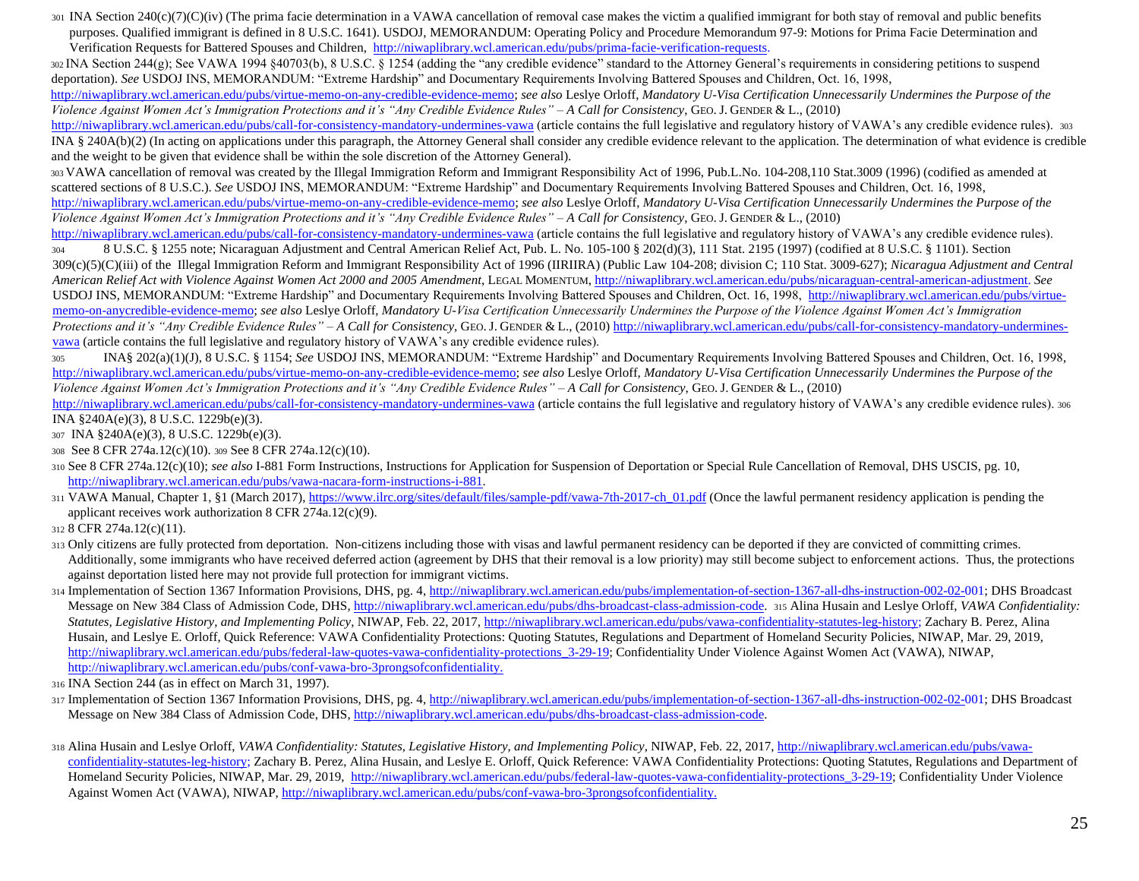301 INA Section 240(c)(7)(C)(iv) (The prima facie determination in a VAWA cancellation of removal case makes the victim a qualified immigrant for both stay of removal and public benefits purposes. Qualified immigrant is defined in 8 U.S.C. 1641). USDOJ, MEMORANDUM: Operating Policy and Procedure Memorandum 97-9: Motions for Prima Facie Determination and Verification Requests for Battered Spouses and Children, [http://niwaplibrary.wcl.american.edu/pubs/prima-facie-verification-requests.](http://niwaplibrary.wcl.american.edu/pubs/prima-facie-verification-requests) 

 $302$  INA Section 244(g); See VAWA 1994 §40703(b), 8 U.S.C. § 1254 (adding the "any credible evidence" standard to the Attorney General's requirements in considering petitions to suspend deportation). *See* USDOJ INS, MEMORANDUM: "Extreme Hardship" and Documentary Requirements Involving Battered Spouses and Children, Oct. 16, 1998,

[http://niwaplibrary.wcl.american.edu/pubs/virtue-memo-on-any-credible-evidence-memo;](http://niwaplibrary.wcl.american.edu/pubs/virtue-memo-on-any-credible-evidence-memo) *see also* Leslye Orloff, *Mandatory U-Visa Certification Unnecessarily Undermines the Purpose of the Violence Against Women Act's Immigration Protections and it's "Any Credible Evidence Rules" – A Call for Consistency*, GEO.J. GENDER & L., (2010)

<http://niwaplibrary.wcl.american.edu/pubs/call-for-consistency-mandatory-undermines-vawa> (article contains the full legislative and regulatory history of VAWA's any credible evidence rules). 303 INA § 240A(b)(2) (In acting on applications under this paragraph, the Attorney General shall consider any credible evidence relevant to the application. The determination of what evidence is credible and the weight to be given that evidence shall be within the sole discretion of the Attorney General).

<sup>303</sup>VAWA cancellation of removal was created by the Illegal Immigration Reform and Immigrant Responsibility Act of 1996, Pub.L.No. 104-208,110 Stat.3009 (1996) (codified as amended at scattered sections of 8 U.S.C.). *See* USDOJ INS, MEMORANDUM: "Extreme Hardship" and Documentary Requirements Involving Battered Spouses and Children, Oct. 16, 199[8,](http://niwaplibrary.wcl.american.edu/pubs/virtue-memo-on-any-credible-evidence-memo)  [http://niwaplibrary.wcl.american.edu/pubs/virtue-memo-on-any-credible-evidence-memo;](http://niwaplibrary.wcl.american.edu/pubs/virtue-memo-on-any-credible-evidence-memo) *see also* Leslye Orloff, *Mandatory U-Visa Certification Unnecessarily Undermines the Purpose of the Violence Against Women Act's Immigration Protections and it's "Any Credible Evidence Rules" – A Call for Consistency*, GEO.J. GENDER & L., (2010) <http://niwaplibrary.wcl.american.edu/pubs/call-for-consistency-mandatory-undermines-vawa> (article contains the full legislative and regulatory history of VAWA's any credible evidence rules).

<sup>304</sup> 8 U.S.C. § 1255 note; Nicaraguan Adjustment and Central American Relief Act, Pub. L. No. 105-100 § 202(d)(3), 111 Stat. 2195 (1997) (codified at 8 U.S.C. § 1101). Section 309(c)(5)(C)(iii) of the Illegal Immigration Reform and Immigrant Responsibility Act of 1996 (IIRIIRA) (Public Law 104-208; division C; 110 Stat. 3009-627); *Nicaragua Adjustment and Central American Relief Act with Violence Against Women Act 2000 and 2005 Amendment*, LEGAL MOMENTUM, [http://niwaplibrary.wcl.american.edu/pubs/nicaraguan-central-american-adjustment.](http://niwaplibrary.wcl.american.edu/pubs/nicaraguan-central-american-adjustment) *See* USDOJ INS, MEMORANDUM: "Extreme Hardship" and Documentary Requirements Involving Battered Spouses and Children, Oct. 16, 199[8, http://niwaplibrary.wcl.american.edu/pubs/virtue](http://niwaplibrary.wcl.american.edu/pubs/virtue-memo-on-any-credible-evidence-memo)[memo-on-anycredible-evidence-memo;](http://niwaplibrary.wcl.american.edu/pubs/virtue-memo-on-any-credible-evidence-memo) *see also* Leslye Orloff, *Mandatory U-Visa Certification Unnecessarily Undermines the Purpose of the Violence Against Women Act's Immigration Protections and it's "Any Credible Evidence Rules" – A Call for Consistency*, GEO.J. GENDER & L., (201[0\) http://niwaplibrary.wcl.american.edu/pubs/call-for-consistency-mandatory-undermines](http://niwaplibrary.wcl.american.edu/pubs/call-for-consistency-mandatory-undermines-vawa)[vawa](http://niwaplibrary.wcl.american.edu/pubs/call-for-consistency-mandatory-undermines-vawa) (article contains the full legislative and regulatory history of VAWA's any credible evidence rules).

<sup>305</sup> INA§ 202(a)(1)(J), 8 U.S.C. § 1154; *See* USDOJ INS, MEMORANDUM: "Extreme Hardship" and Documentary Requirements Involving Battered Spouses and Children, Oct. 16, 1998, [http://niwaplibrary.wcl.american.edu/pubs/virtue-memo-on-any-credible-evidence-memo;](http://niwaplibrary.wcl.american.edu/pubs/virtue-memo-on-any-credible-evidence-memo) *see also* Leslye Orloff, *Mandatory U-Visa Certification Unnecessarily Undermines the Purpose of the Violence Against Women Act's Immigration Protections and it's "Any Credible Evidence Rules" – A Call for Consistency*, GEO.J. GENDER & L., (2010)

<http://niwaplibrary.wcl.american.edu/pubs/call-for-consistency-mandatory-undermines-vawa> (article contains the full legislative and regulatory history of VAWA's any credible evidence rules). 306 INA §240A(e)(3), 8 U.S.C. 1229b(e)(3).

<sup>307</sup> INA §240A(e)(3), 8 U.S.C. 1229b(e)(3).

<sup>308</sup> See 8 CFR 274a.12(c)(10). <sup>309</sup> See 8 CFR 274a.12(c)(10).

- <sup>310</sup> See 8 CFR 274a.12(c)(10); *see also* I-881 Form Instructions, Instructions for Application for Suspension of Deportation or Special Rule Cancellation of Removal, DHS USCIS, pg. 10, [http://niwaplibrary.wcl.american.edu/pubs/vawa-nacara-form-instructions-i-881.](http://niwaplibrary.wcl.american.edu/pubs/vawa-nacara-form-instructions-i-881)
- 311 VAWA Manual, Chapter 1, §1 (March 2017[\), https://www.ilrc.org/sites/default/files/sample-pdf/vawa-7th-2017-ch\\_01.pdf](https://www.ilrc.org/sites/default/files/sample-pdf/vawa-7th-2017-ch_01.pdf) (Once the lawful permanent residency application is pending the applicant receives work authorization 8 CFR 274a.12(c)(9).

<sup>312</sup> 8 CFR 274a.12(c)(11).

- 313 Only citizens are fully protected from deportation. Non-citizens including those with visas and lawful permanent residency can be deported if they are convicted of committing crimes. Additionally, some immigrants who have received deferred action (agreement by DHS that their removal is a low priority) may still become subject to enforcement actions. Thus, the protections against deportation listed here may not provide full protection for immigrant victims.
- 314 Implementation of Section 1367 Information Provisions, DHS, pg. [4, http://niwaplibrary.wcl.american.edu/pubs/implementation-of-section-1367-all-dhs-instruction-002-02-001;](http://niwaplibrary.wcl.american.edu/pubs/implementation-of-section-1367-all-dhs-instruction-002-02-001) DHS Broadcast Message on New 384 Class of Admission Code, DH[S, http://niwaplibrary.wcl.american.edu/pubs/dhs-broadcast-class-admission-code.](http://niwaplibrary.wcl.american.edu/pubs/dhs-broadcast-class-admission-code) <sup>315</sup> Alina Husain and Leslye Orloff, *VAWA Confidentiality: Statutes, Legislative History, and Implementing Policy*, NIWAP, Feb. 22, 2017[, http://niwaplibrary.wcl.american.edu/pubs/vawa-confidentiality-statutes-leg-history;](http://niwaplibrary.wcl.american.edu/pubs/vawa-confidentiality-statutes-leg-history) Zachary B. Perez, Alina Husain, and Leslye E. Orloff, Quick Reference: VAWA Confidentiality Protections: Quoting Statutes, Regulations and Department of Homeland Security Policies, NIWAP, Mar. 29, 2019[,](http://niwaplibrary.wcl.american.edu/pubs/federal-law-quotes-vawa-confidentiality-protections_3-29-19)  http://niwaplibrary.wcl.american.edu/pubs/federal-law-quotes-vawa-confidentiality-protections 3-29-19; Confidentiality Under Violence Against Women Act (VAWA), NIWAP, [http://niwaplibrary.wcl.american.edu/pubs/conf-vawa-bro-3prongsofconfidentiality.](http://niwaplibrary.wcl.american.edu/pubs/conf-vawa-bro-3prongsofconfidentiality)

<sup>316</sup> INA Section 244 (as in effect on March 31, 1997).

317 Implementation of Section 1367 Information Provisions, DHS, pg. [4, http://niwaplibrary.wcl.american.edu/pubs/implementation-of-section-1367-all-dhs-instruction-002-02-001;](http://niwaplibrary.wcl.american.edu/pubs/implementation-of-section-1367-all-dhs-instruction-002-02-001) DHS Broadcast Message on New 384 Class of Admission Code, DH[S, http://niwaplibrary.wcl.american.edu/pubs/dhs-broadcast-class-admission-code.](http://niwaplibrary.wcl.american.edu/pubs/dhs-broadcast-class-admission-code) 

<sup>318</sup> Alina Husain and Leslye Orloff, *VAWA Confidentiality: Statutes, Legislative History, and Implementing Policy*, NIWAP, Feb. 22, 2017[, http://niwaplibrary.wcl.american.edu/pubs/vawa](http://niwaplibrary.wcl.american.edu/pubs/vawa-confidentiality-statutes-leg-history)[confidentiality-statutes-leg-history;](http://niwaplibrary.wcl.american.edu/pubs/vawa-confidentiality-statutes-leg-history) Zachary B. Perez, Alina Husain, and Leslye E. Orloff, Quick Reference: VAWA Confidentiality Protections: Quoting Statutes, Regulations and Department of Homeland Security Policies, NIWAP, Mar. 29, 2019, http://niwaplibrary.wcl.american.edu/pubs/federal-law-quotes-vawa-confidentiality-protections 3-29-19; Confidentiality Under Violence Against Women Act (VAWA), NIWAP, [http://niwaplibrary.wcl.american.edu/pubs/conf-vawa-bro-3prongsofconfidentiality.](http://niwaplibrary.wcl.american.edu/pubs/conf-vawa-bro-3prongsofconfidentiality)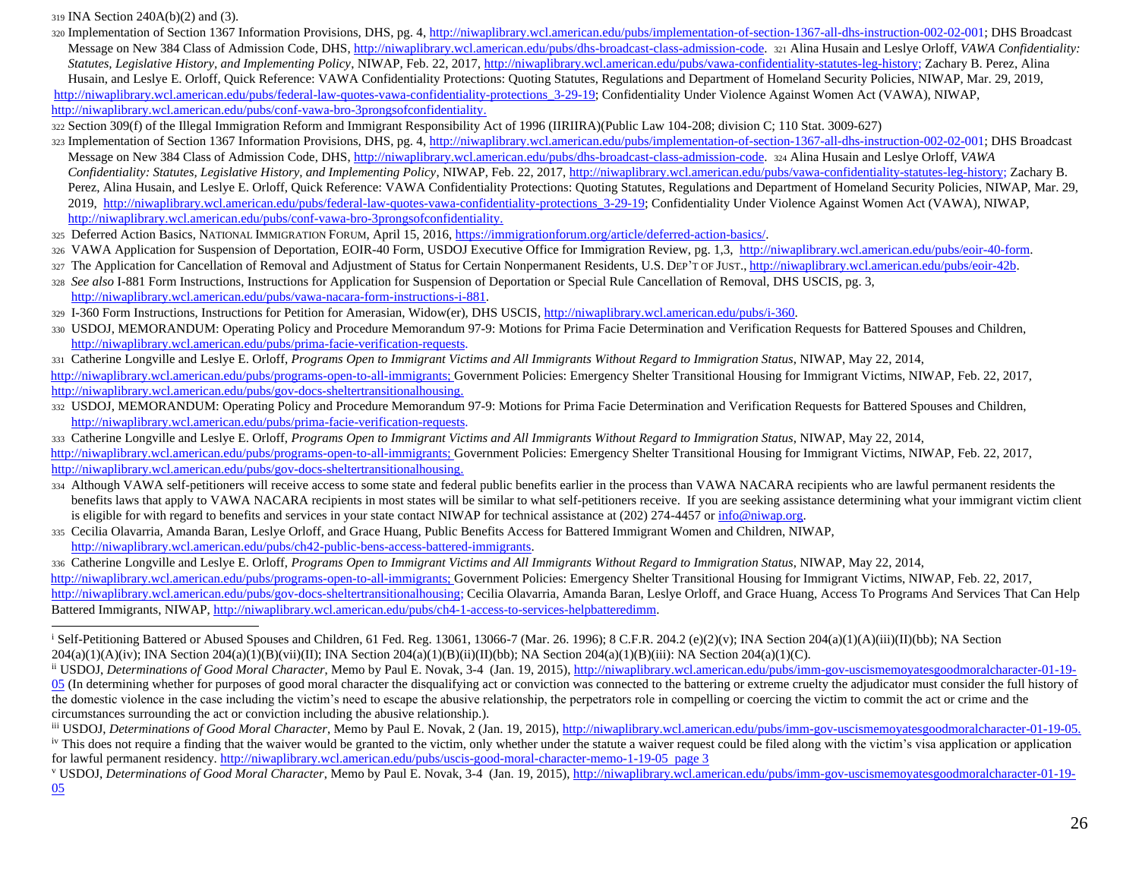<sup>319</sup> INA Section 240A(b)(2) and (3).

- 320 Implementation of Section 1367 Information Provisions, DHS, pg. [4, http://niwaplibrary.wcl.american.edu/pubs/implementation-of-section-1367-all-dhs-instruction-002-02-001;](http://niwaplibrary.wcl.american.edu/pubs/implementation-of-section-1367-all-dhs-instruction-002-02-001) DHS Broadcast Message on New 384 Class of Admission Code, DH[S, http://niwaplibrary.wcl.american.edu/pubs/dhs-broadcast-class-admission-code.](http://niwaplibrary.wcl.american.edu/pubs/dhs-broadcast-class-admission-code) <sup>321</sup> Alina Husain and Leslye Orloff, *VAWA Confidentiality: Statutes, Legislative History, and Implementing Policy*, NIWAP, Feb. 22, 2017[, http://niwaplibrary.wcl.american.edu/pubs/vawa-confidentiality-statutes-leg-history;](http://niwaplibrary.wcl.american.edu/pubs/vawa-confidentiality-statutes-leg-history) Zachary B. Perez, Alina Husain, and Leslye E. Orloff, Quick Reference: VAWA Confidentiality Protections: Quoting Statutes, Regulations and Department of Homeland Security Policies, NIWAP, Mar. 29, 2019, [http://niwaplibrary.wcl.american.edu/pubs/federal-law-quotes-vawa-confidentiality-protections\\_3-29-19;](http://niwaplibrary.wcl.american.edu/pubs/federal-law-quotes-vawa-confidentiality-protections_3-29-19) Confidentiality Under Violence Against Women Act (VAWA), NIWAP, [http://niwaplibrary.wcl.american.edu/pubs/conf-vawa-bro-3prongsofconfidentiality.](http://niwaplibrary.wcl.american.edu/pubs/conf-vawa-bro-3prongsofconfidentiality)
- <sup>322</sup> Section 309(f) of the Illegal Immigration Reform and Immigrant Responsibility Act of 1996 (IIRIIRA)(Public Law 104-208; division C; 110 Stat. 3009-627)
- 323 Implementation of Section 1367 Information Provisions, DHS, pg. [4, http://niwaplibrary.wcl.american.edu/pubs/implementation-of-section-1367-all-dhs-instruction-002-02-001;](http://niwaplibrary.wcl.american.edu/pubs/implementation-of-section-1367-all-dhs-instruction-002-02-001) DHS Broadcast Message on New 384 Class of Admission Code, DH[S, http://niwaplibrary.wcl.american.edu/pubs/dhs-broadcast-class-admission-code.](http://niwaplibrary.wcl.american.edu/pubs/dhs-broadcast-class-admission-code) <sup>324</sup> Alina Husain and Leslye Orloff, *VAWA Confidentiality: Statutes, Legislative History, and Implementing Policy*, NIWAP, Feb. 22, 2017, [http://niwaplibrary.wcl.american.edu/pubs/vawa-confidentiality-statutes-leg-history;](http://niwaplibrary.wcl.american.edu/pubs/vawa-confidentiality-statutes-leg-history) Zachary B. Perez, Alina Husain, and Leslye E. Orloff, Quick Reference: VAWA Confidentiality Protections: Quoting Statutes, Regulations and Department of Homeland Security Policies, NIWAP, Mar. 29, 2019, [http://niwaplibrary.wcl.american.edu/pubs/federal-law-quotes-vawa-confidentiality-protections\\_3-29-19;](http://niwaplibrary.wcl.american.edu/pubs/federal-law-quotes-vawa-confidentiality-protections_3-29-19) Confidentiality Under Violence Against Women Act (VAWA), NIWAP, [http://niwaplibrary.wcl.american.edu/pubs/conf-vawa-bro-3prongsofconfidentiality.](http://niwaplibrary.wcl.american.edu/pubs/conf-vawa-bro-3prongsofconfidentiality)
- <sup>325</sup> Deferred Action Basics, NATIONAL IMMIGRATION FORUM, April 15, 2016[, https://immigrationforum.org/article/deferred-action-basics/.](https://immigrationforum.org/article/deferred-action-basics/)
- 326 VAWA Application for Suspension of Deportation, EOIR-40 Form, USDOJ Executive Office for Immigration Review, pg. 1,[3, http://niwaplibrary.wcl.american.edu/pubs/eoir-40-form.](http://niwaplibrary.wcl.american.edu/pubs/eoir-40-form)
- 327 The Application for Cancellation of Removal and Adjustment of Status for Certain Nonpermanent Residents, U.S. DEP'T OF JUST[.,](http://niwaplibrary.wcl.american.edu/pubs/eoir-42b) [http://niwaplibrary.wcl.american.edu/pubs/eoir-42b.](http://niwaplibrary.wcl.american.edu/pubs/eoir-42b)
- <sup>328</sup> *See also* I-881 Form Instructions, Instructions for Application for Suspension of Deportation or Special Rule Cancellation of Removal, DHS USCIS, pg. 3, [http://niwaplibrary.wcl.american.edu/pubs/vawa-nacara-form-instructions-i-881.](http://niwaplibrary.wcl.american.edu/pubs/vawa-nacara-form-instructions-i-881)
- <sup>329</sup> I-360 Form Instructions, Instructions for Petition for Amerasian, Widow(er), DHS USCI[S, http://niwaplibrary.wcl.american.edu/pubs/i-360.](http://niwaplibrary.wcl.american.edu/pubs/i-360)
- <sup>330</sup> USDOJ, MEMORANDUM: Operating Policy and Procedure Memorandum 97-9: Motions for Prima Facie Determination and Verification Requests for Battered Spouses and Children, [http://niwaplibrary.wcl.american.edu/pubs/prima-facie-verification-requests.](http://niwaplibrary.wcl.american.edu/pubs/prima-facie-verification-requests)
- <sup>331</sup> Catherine Longville and Leslye E. Orloff, *Programs Open to Immigrant Victims and All Immigrants Without Regard to Immigration Status*, NIWAP, May 22, 2014, [http://niwaplibrary.wcl.american.edu/pubs/programs-open-to-all-immigrants;](http://niwaplibrary.wcl.american.edu/pubs/programs-open-to-all-immigrants) Government Policies: Emergency Shelter Transitional Housing for Immigrant Victims, NIWAP, Feb. 22, 2017, [http://niwaplibrary.wcl.american.edu/pubs/gov-docs-sheltertransitionalhousing.](http://niwaplibrary.wcl.american.edu/pubs/gov-docs-sheltertransitionalhousing)
- 332 USDOJ, MEMORANDUM: Operating Policy and Procedure Memorandum 97-9: Motions for Prima Facie Determination and Verification Requests for Battered Spouses and Children, [http://niwaplibrary.wcl.american.edu/pubs/prima-facie-verification-requests.](http://niwaplibrary.wcl.american.edu/pubs/prima-facie-verification-requests)
- <sup>333</sup> Catherine Longville and Leslye E. Orloff, *Programs Open to Immigrant Victims and All Immigrants Without Regard to Immigration Status*, NIWAP, May 22, 2014, [http://niwaplibrary.wcl.american.edu/pubs/programs-open-to-all-immigrants;](http://niwaplibrary.wcl.american.edu/pubs/programs-open-to-all-immigrants) Government Policies: Emergency Shelter Transitional Housing for Immigrant Victims, NIWAP, Feb. 22, 2017, [http://niwaplibrary.wcl.american.edu/pubs/gov-docs-sheltertransitionalhousing.](http://niwaplibrary.wcl.american.edu/pubs/gov-docs-sheltertransitionalhousing)
- 334 Although VAWA self-petitioners will receive access to some state and federal public benefits earlier in the process than VAWA NACARA recipients who are lawful permanent residents the benefits laws that apply to VAWA NACARA recipients in most states will be similar to what self-petitioners receive. If you are seeking assistance determining what your immigrant victim client is eligible for with regard to benefits and services in your state contact NIWAP for technical assistance at (202) 274-4457 or info@niwap.org.
- <sup>335</sup> Cecilia Olavarria, Amanda Baran, Leslye Orloff, and Grace Huang, Public Benefits Access for Battered Immigrant Women and Children, NIWA[P,](http://niwaplibrary.wcl.american.edu/pubs/ch4-2-public-bens-access-battered-immigrants)  [http://niwaplibrary.wcl.american.edu/pubs/ch42-public-bens-access-battered-immigrants.](http://niwaplibrary.wcl.american.edu/pubs/ch4-2-public-bens-access-battered-immigrants)

<sup>336</sup> Catherine Longville and Leslye E. Orloff, *Programs Open to Immigrant Victims and All Immigrants Without Regard to Immigration Status*, NIWAP, May 22, 2014, [http://niwaplibrary.wcl.american.edu/pubs/programs-open-to-all-immigrants;](http://niwaplibrary.wcl.american.edu/pubs/programs-open-to-all-immigrants) Government Policies: Emergency Shelter Transitional Housing for Immigrant Victims, NIWAP, Feb. 22, 2017, [http://niwaplibrary.wcl.american.edu/pubs/gov-docs-sheltertransitionalhousing;](http://niwaplibrary.wcl.american.edu/pubs/gov-docs-sheltertransitionalhousing) Cecilia Olavarria, Amanda Baran, Leslye Orloff, and Grace Huang, Access To Programs And Services That Can Help Battered Immigrants, NIWAP[, http://niwaplibrary.wcl.american.edu/pubs/ch4-1-access-to-services-helpbatteredimm.](http://niwaplibrary.wcl.american.edu/pubs/ch4-1-access-to-services-helpbatteredimm)

<sup>&</sup>lt;sup>i</sup> Self-Petitioning Battered or Abused Spouses and Children, 61 Fed. Reg. 13061, 13066-7 (Mar. 26. 1996); 8 C.F.R. 204.2 (e)(2)(v); INA Section 204(a)(1)(A)(iii)(II)(bb); NA Section  $204(a)(1)(A)(iv)$ ; INA Section  $204(a)(1)(B)(vii)(II)$ ; INA Section  $204(a)(1)(B)(ii)(II)(bb)$ ; NA Section  $204(a)(1)(B)(iii)$ : NA Section  $204(a)(1)(C)$ .

ii USDOJ, *Determinations of Good Moral Character*, Memo by Paul E. Novak, 3-4 (Jan. 19, 2015), [http://niwaplibrary.wcl.american.edu/pubs/imm-gov-uscismemoyatesgoodmoralcharacter-01-19-](http://niwaplibrary.wcl.american.edu/pubs/imm-gov-uscismemoyatesgoodmoralcharacter-01-19-05) [05](http://niwaplibrary.wcl.american.edu/pubs/imm-gov-uscismemoyatesgoodmoralcharacter-01-19-05) (In determining whether for purposes of good moral character the disqualifying act or conviction was connected to the battering or extreme cruelty the adjudicator must consider the full history of the domestic violence in the case including the victim's need to escape the abusive relationship, the perpetrators role in compelling or coercing the victim to commit the act or crime and the circumstances surrounding the act or conviction including the abusive relationship.).

iii USDOJ, *Determinations of Good Moral Character*, Memo by Paul E. Novak, 2 (Jan. 19, 2015)[, http://niwaplibrary.wcl.american.edu/pubs/imm-gov-uscismemoyatesgoodmoralcharacter-01-19-05.](http://niwaplibrary.wcl.american.edu/pubs/imm-gov-uscismemoyatesgoodmoralcharacter-01-19-05)

<sup>&</sup>lt;sup>iv</sup> This does not require a finding that the waiver would be granted to the victim, only whether under the statute a waiver request could be filed along with the victim's visa application or application for lawful permanent residency[. http://niwaplibrary.wcl.american.edu/pubs/uscis-good-moral-character-memo-1-19-05](http://niwaplibrary.wcl.american.edu/pubs/uscis-good-moral-character-memo-1-19-05) page 3

<sup>v</sup> USDOJ, *Determinations of Good Moral Character*, Memo by Paul E. Novak, 3-4 (Jan. 19, 2015)[, http://niwaplibrary.wcl.american.edu/pubs/imm-gov-uscismemoyatesgoodmoralcharacter-01-19-](http://niwaplibrary.wcl.american.edu/pubs/imm-gov-uscismemoyatesgoodmoralcharacter-01-19-05)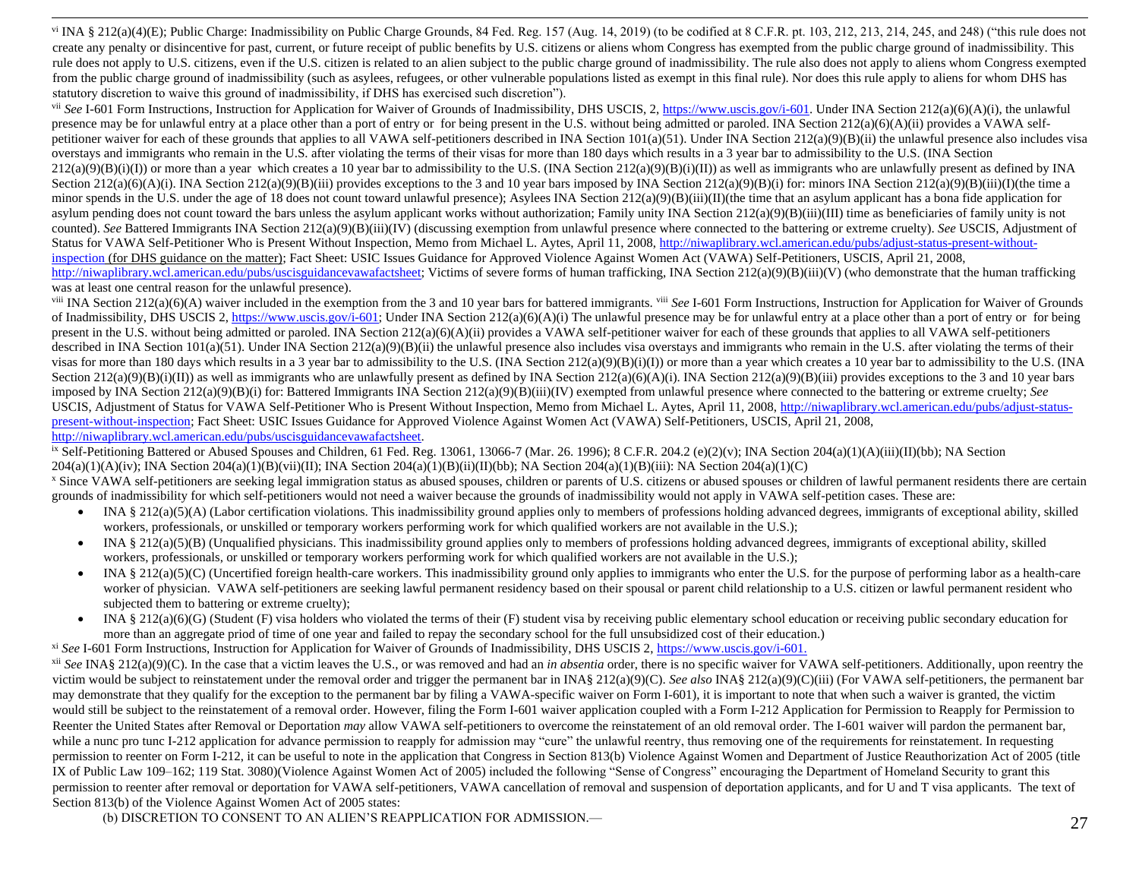vi INA § 212(a)(4)(E); Public Charge: Inadmissibility on Public Charge Grounds, 84 Fed. Reg. 157 (Aug. 14, 2019) (to be codified at 8 C.F.R. pt. 103, 212, 213, 214, 245, and 248) ("this rule does not create any penalty or disincentive for past, current, or future receipt of public benefits by U.S. citizens or aliens whom Congress has exempted from the public charge ground of inadmissibility. This rule does not apply to U.S. citizens, even if the U.S. citizen is related to an alien subject to the public charge ground of inadmissibility. The rule also does not apply to aliens whom Congress exempted from the public charge ground of inadmissibility (such as asylees, refugees, or other vulnerable populations listed as exempt in this final rule). Nor does this rule apply to aliens for whom DHS has statutory discretion to waive this ground of inadmissibility, if DHS has exercised such discretion").

vii *See* I-601 Form Instructions, Instruction for Application for Waiver of Grounds of Inadmissibility, DHS USCIS, 2[, https://www.uscis.gov/i-601.](https://www.uscis.gov/i-601) Under INA Section 212(a)(6)(A)(i), the unlawful presence may be for unlawful entry at a place other than a port of entry or for being present in the U.S. without being admitted or paroled. INA Section 212(a)(6)(A)(ii) provides a VAWA selfpetitioner waiver for each of these grounds that applies to all VAWA self-petitioners described in INA Section 101(a)(51). Under INA Section 212(a)(9)(B)(ii) the unlawful presence also includes visa overstays and immigrants who remain in the U.S. after violating the terms of their visas for more than 180 days which results in a 3 year bar to admissibility to the U.S. (INA Section  $212(a)(9)(B)(i)(I)$  or more than a year which creates a 10 year bar to admissibility to the U.S. (INA Section 212(a)(9)(B)(i)(II)) as well as immigrants who are unlawfully present as defined by INA Section 212(a)(6)(A)(i). INA Section 212(a)(9)(B)(iii) provides exceptions to the 3 and 10 year bars imposed by INA Section 212(a)(9)(B)(i) for: minors INA Section 212(a)(9)(B)(iii)(I)(the time a minor spends in the U.S. under the age of 18 does not count toward unlawful presence); Asylees INA Section  $212(a)(9)(B)(iii)(I)(the time that an asympleant has a bona fide application for$ asylum pending does not count toward the bars unless the asylum applicant works without authorization; Family unity INA Section  $212(a)(9)(B)(iii)(III)$  time as beneficiaries of family unity is not counted). *See* Battered Immigrants INA Section 212(a)(9)(B)(iii)(IV) (discussing exemption from unlawful presence where connected to the battering or extreme cruelty). *See* USCIS, Adjustment of Status for VAWA Self-Petitioner Who is Present Without Inspection, Memo from Michael L. Aytes, April 11, 2008[, http://niwaplibrary.wcl.american.edu/pubs/adjust-status-present-without](http://niwaplibrary.wcl.american.edu/pubs/adjust-status-present-without-inspection)[inspection](http://niwaplibrary.wcl.american.edu/pubs/adjust-status-present-without-inspection) (for DHS guidance on the matter); Fact Sheet: USIC Issues Guidance for Approved Violence Against Women Act (VAWA) Self-Petitioners, USCIS, April 21, 2008, [http://niwaplibrary.wcl.american.edu/pubs/uscisguidancevawafactsheet;](http://niwaplibrary.wcl.american.edu/pubs/uscisguidancevawafactsheet) Victims of severe forms of human trafficking, INA Section 212(a)(9)(B)(iii)(V) (who demonstrate that the human trafficking was at least one central reason for the unlawful presence).

viii INA Section 212(a)(6)(A) waiver included in the exemption from the 3 and 10 year bars for battered immigrants. viii *See* I-601 Form Instructions, Instruction for Application for Waiver of Grounds of Inadmissibility, DHS USCIS 2[, https://www.uscis.gov/i-601;](https://www.uscis.gov/i-601) Under INA Section 212(a)(6)(A)(i) The unlawful presence may be for unlawful entry at a place other than a port of entry or for being present in the U.S. without being admitted or paroled. INA Section  $212(a)(6)(A)(ii)$  provides a VAWA self-petitioner waiver for each of these grounds that applies to all VAWA self-petitioners described in INA Section 101(a)(51). Under INA Section 212(a)(9)(B)(ii) the unlawful presence also includes visa overstays and immigrants who remain in the U.S. after violating the terms of their visas for more than 180 days which results in a 3 year bar to admissibility to the U.S. (INA Section 212(a)(9)(B)(i)(I)) or more than a year which creates a 10 year bar to admissibility to the U.S. (INA Section  $212(a)(9)(B)(i)(II)$  as well as immigrants who are unlawfully present as defined by INA Section  $212(a)(6)(A)(i)$ . INA Section  $212(a)(9)(B)(iii)$  provides exceptions to the 3 and 10 year bars imposed by INA Section 212(a)(9)(B)(i) for: Battered Immigrants INA Section 212(a)(9)(B)(iii)(IV) exempted from unlawful presence where connected to the battering or extreme cruelty; *See* USCIS, Adjustment of Status for VAWA Self-Petitioner Who is Present Without Inspection, Memo from Michael L. Aytes, April 11, 2008[, http://niwaplibrary.wcl.american.edu/pubs/adjust-status](http://niwaplibrary.wcl.american.edu/pubs/adjust-status-present-without-inspection)[present-without-inspection;](http://niwaplibrary.wcl.american.edu/pubs/adjust-status-present-without-inspection) Fact Sheet: USIC Issues Guidance for Approved Violence Against Women Act (VAWA) Self-Petitioners, USCIS, April 21, 2008, [http://niwaplibrary.wcl.american.edu/pubs/uscisguidancevawafactsheet.](http://niwaplibrary.wcl.american.edu/pubs/uscisguidancevawafactsheet)

<sup>ix</sup> Self-Petitioning Battered or Abused Spouses and Children, 61 Fed. Reg. 13061, 13066-7 (Mar. 26. 1996); 8 C.F.R. 204.2 (e)(2)(v); INA Section 204(a)(1)(A)(iii)(II)(bb); NA Section  $204(a)(1)(A)(iv)$ ; INA Section  $204(a)(1)(B)(vi)(II)$ ; INA Section  $204(a)(1)(B)(ii)(II)(bb)$ ; NA Section  $204(a)(1)(B)(iii)$ : NA Section  $204(a)(1)(C)$ 

x Since VAWA self-petitioners are seeking legal immigration status as abused spouses, children or parents of U.S. citizens or abused spouses or children of lawful permanent residents there are certain grounds of inadmissibility for which self-petitioners would not need a waiver because the grounds of inadmissibility would not apply in VAWA self-petition cases. These are:

- INA § 212(a)(5)(A) (Labor certification violations. This inadmissibility ground applies only to members of professions holding advanced degrees, immigrants of exceptional ability, skilled workers, professionals, or unskilled or temporary workers performing work for which qualified workers are not available in the U.S.);
- INA § 212(a)(5)(B) (Unqualified physicians. This inadmissibility ground applies only to members of professions holding advanced degrees, immigrants of exceptional ability, skilled workers, professionals, or unskilled or temporary workers performing work for which qualified workers are not available in the U.S.);
- INA § 212(a)(5)(C) (Uncertified foreign health-care workers. This inadmissibility ground only applies to immigrants who enter the U.S. for the purpose of performing labor as a health-care worker of physician. VAWA self-petitioners are seeking lawful permanent residency based on their spousal or parent child relationship to a U.S. citizen or lawful permanent resident who subjected them to battering or extreme cruelty);
- INA § 212(a)(6)(G) (Student (F) visa holders who violated the terms of their (F) student visa by receiving public elementary school education or receiving public secondary education for more than an aggregate priod of time of one year and failed to repay the secondary school for the full unsubsidized cost of their education.)

xi *See* I-601 Form Instructions, Instruction for Application for Waiver of Grounds of Inadmissibility, DHS USCIS 2[, https://www.uscis.gov/i-601.](https://www.uscis.gov/i-601)

<sup>xii</sup> *See* INA§ 212(a)(9)(C). In the case that a victim leaves the U.S., or was removed and had an *in absentia* order, there is no specific waiver for VAWA self-petitioners. Additionally, upon reentry the victim would be subject to reinstatement under the removal order and trigger the permanent bar in INA§ 212(a)(9)(C). *See also* INA§ 212(a)(9)(C)(iii) (For VAWA self-petitioners, the permanent bar may demonstrate that they qualify for the exception to the permanent bar by filing a VAWA-specific waiver on Form I-601), it is important to note that when such a waiver is granted, the victim would still be subject to the reinstatement of a removal order. However, filing the Form I-601 waiver application coupled with a Form I-212 Application for Permission to Reapply for Permission to Reenter the United States after Removal or Deportation *may* allow VAWA self-petitioners to overcome the reinstatement of an old removal order. The I-601 waiver will pardon the permanent bar, while a nunc pro tunc I-212 application for advance permission to reapply for admission may "cure" the unlawful reentry, thus removing one of the requirements for reinstatement. In requesting permission to reenter on Form I-212, it can be useful to note in the application that Congress in Section 813(b) Violence Against Women and Department of Justice Reauthorization Act of 2005 (title IX of Public Law 109–162; 119 Stat. 3080)(Violence Against Women Act of 2005) included the following "Sense of Congress" encouraging the Department of Homeland Security to grant this permission to reenter after removal or deportation for VAWA self-petitioners, VAWA cancellation of removal and suspension of deportation applicants, and for U and T visa applicants. The text of Section 813(b) of the Violence Against Women Act of 2005 states:

(b) DISCRETION TO CONSENT TO AN ALIEN'S REAPPLICATION FOR ADMISSION.—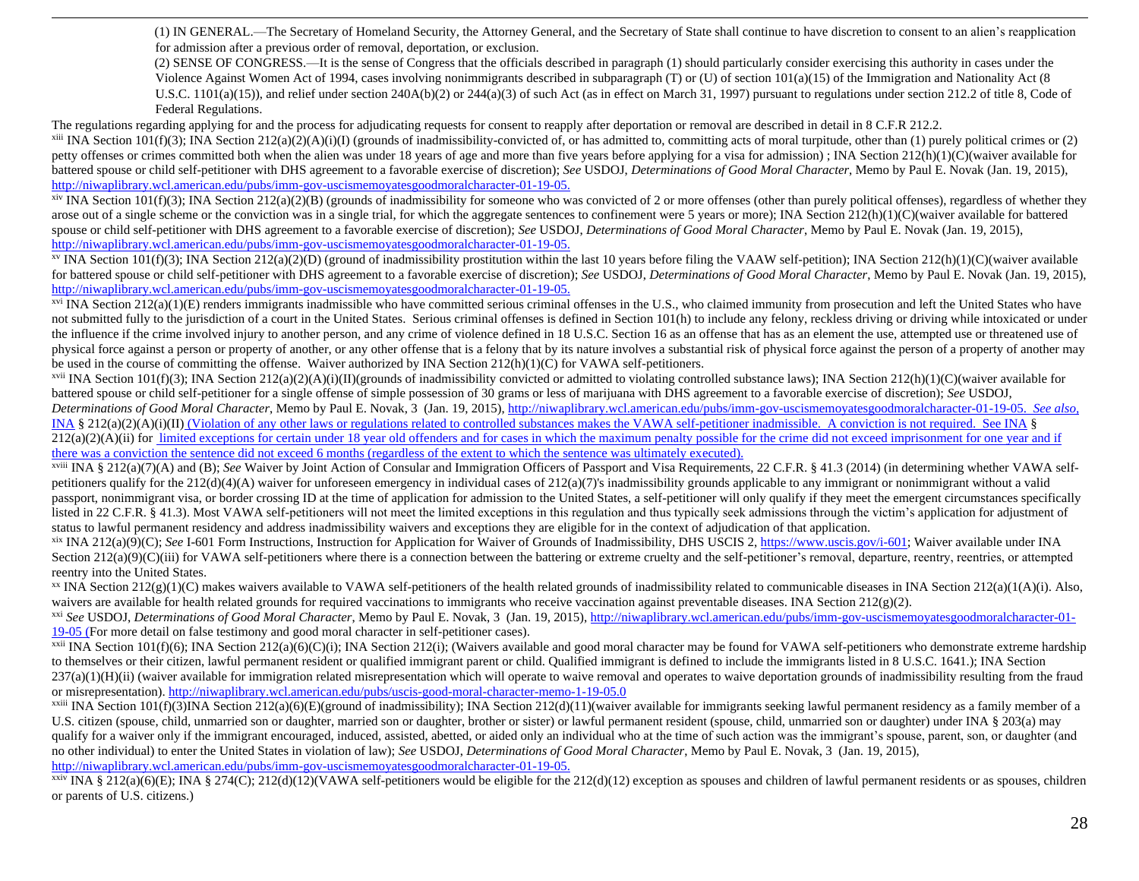(1) IN GENERAL.—The Secretary of Homeland Security, the Attorney General, and the Secretary of State shall continue to have discretion to consent to an alien's reapplication for admission after a previous order of removal, deportation, or exclusion.

(2) SENSE OF CONGRESS.—It is the sense of Congress that the officials described in paragraph (1) should particularly consider exercising this authority in cases under the Violence Against Women Act of 1994, cases involving nonimmigrants described in subparagraph (T) or (U) of section 101(a)(15) of the Immigration and Nationality Act (8 U.S.C. 1101(a)(15)), and relief under section 240A(b)(2) or 244(a)(3) of such Act (as in effect on March 31, 1997) pursuant to regulations under section 212.2 of title 8, Code of Federal Regulations.

The regulations regarding applying for and the process for adjudicating requests for consent to reapply after deportation or removal are described in detail in 8 C.F.R 212.2.

<sup>xiii</sup> INA Section 101(f)(3); INA Section 212(a)(2)(A)(i)(I) (grounds of inadmissibility-convicted of, or has admitted to, committing acts of moral turpitude, other than (1) purely political crimes or (2) petty offenses or crimes committed both when the alien was under 18 years of age and more than five years before applying for a visa for admission) ; INA Section 212(h)(1)(C)(waiver available for battered spouse or child self-petitioner with DHS agreement to a favorable exercise of discretion); *See* USDOJ, *Determinations of Good Moral Character*, Memo by Paul E. Novak (Jan. 19, 2015), [http://niwaplibrary.wcl.american.edu/pubs/imm-gov-uscismemoyatesgoodmoralcharacter-01-19-05.](http://niwaplibrary.wcl.american.edu/pubs/imm-gov-uscismemoyatesgoodmoralcharacter-01-19-05)

xiv INA Section 101(f)(3); INA Section 212(a)(2)(B) (grounds of inadmissibility for someone who was convicted of 2 or more offenses (other than purely political offenses), regardless of whether they arose out of a single scheme or the conviction was in a single trial, for which the aggregate sentences to confinement were 5 years or more); INA Section 212(h)(1)(C)(waiver available for battered spouse or child self-petitioner with DHS agreement to a favorable exercise of discretion); *See* USDOJ, *Determinations of Good Moral Character*, Memo by Paul E. Novak (Jan. 19, 2015), [http://niwaplibrary.wcl.american.edu/pubs/imm-gov-uscismemoyatesgoodmoralcharacter-01-19-05.](http://niwaplibrary.wcl.american.edu/pubs/imm-gov-uscismemoyatesgoodmoralcharacter-01-19-05)

<sup>xv</sup> INA Section 101(f)(3); INA Section 212(a)(2)(D) (ground of inadmissibility prostitution within the last 10 years before filing the VAAW self-petition); INA Section 212(h)(1)(C)(waiver available for battered spouse or child self-petitioner with DHS agreement to a favorable exercise of discretion); *See* USDOJ, *Determinations of Good Moral Character*, Memo by Paul E. Novak (Jan. 19, 2015), [http://niwaplibrary.wcl.american.edu/pubs/imm-gov-uscismemoyatesgoodmoralcharacter-01-19-05.](http://niwaplibrary.wcl.american.edu/pubs/imm-gov-uscismemoyatesgoodmoralcharacter-01-19-05)

 $xvi$  INA Section 212(a)(1)(E) renders immigrants inadmissible who have committed serious criminal offenses in the U.S., who claimed immunity from prosecution and left the United States who have not submitted fully to the jurisdiction of a court in the United States. Serious criminal offenses is defined in Section 101(h) to include any felony, reckless driving or driving while intoxicated or under the influence if the crime involved injury to another person, and any crime of violence defined in 18 U.S.C. Section 16 as an offense that has as an element the use, attempted use or threatened use of physical force against a person or property of another, or any other offense that is a felony that by its nature involves a substantial risk of physical force against the person of a property of another may be used in the course of committing the offense. Waiver authorized by INA Section 212(h)(1)(C) for VAWA self-petitioners.

<sup>xvii</sup> INA Section 101(f)(3); INA Section 212(a)(2)(A)(i)(II)(grounds of inadmissibility convicted or admitted to violating controlled substance laws); INA Section 212(h)(1)(C)(waiver available for battered spouse or child self-petitioner for a single offense of simple possession of 30 grams or less of marijuana with DHS agreement to a favorable exercise of discretion); *See* USDOJ, *Determinations of Good Moral Character*, Memo by Paul E. Novak, 3 (Jan. 19, 2015)[, http://niwaplibrary.wcl.american.edu/pubs/imm-gov-uscismemoyatesgoodmoralcharacter-01-19-05.](http://niwaplibrary.wcl.american.edu/pubs/imm-gov-uscismemoyatesgoodmoralcharacter-01-19-05) *See also,* INA § 212(a)(2)(A)(i)(II) (Violation of any other laws or regulations related to controlled substances makes the VAWA self-petitioner inadmissible. A conviction is not required. See INA §  $212(a)(2)(A)(ii)$  for limited exceptions for certain under 18 year old offenders and for cases in which the maximum penalty possible for the crime did not exceed imprisonment for one year and if there was a conviction the sentence did not exceed 6 months (regardless of the extent to which the sentence was ultimately executed).

<sup>xviii</sup> INA § 212(a)(7)(A) and (B); *See* Waiver by Joint Action of Consular and Immigration Officers of Passport and Visa Requirements, 22 C.F.R. § 41.3 (2014) (in determining whether VAWA selfpetitioners qualify for the 212(d)(4)(A) waiver for unforeseen emergency in individual cases of 212(a)(7)'s inadmissibility grounds applicable to any immigrant or nonimmigrant without a valid passport, nonimmigrant visa, or border crossing ID at the time of application for admission to the United States, a self-petitioner will only qualify if they meet the emergent circumstances specifically listed in 22 C.F.R. § 41.3). Most VAWA self-petitioners will not meet the limited exceptions in this regulation and thus typically seek admissions through the victim's application for adjustment of status to lawful permanent residency and address inadmissibility waivers and exceptions they are eligible for in the context of adjudication of that application.

xix INA 212(a)(9)(C); See I-601 Form Instructions, Instruction for Application for Waiver of Grounds of Inadmissibility, DHS USCIS 2[, https://www.uscis.gov/i-601;](https://www.uscis.gov/i-601) Waiver available under INA Section  $212(a)(9)(C)(iii)$  for VAWA self-petitioners where there is a connection between the battering or extreme cruelty and the self-petitioner's removal, departure, reentry, reentries, or attempted reentry into the United States.

<sup>xx</sup> INA Section 212(g)(1)(C) makes waivers available to VAWA self-petitioners of the health related grounds of inadmissibility related to communicable diseases in INA Section 212(a)(1(A)(i). Also, waivers are available for health related grounds for required vaccinations to immigrants who receive vaccination against preventable diseases. INA Section 212(g)(2).

xxi *See* USDOJ, *Determinations of Good Moral Character*, Memo by Paul E. Novak, 3 (Jan. 19, 2015)[, http://niwaplibrary.wcl.american.edu/pubs/imm-gov-uscismemoyatesgoodmoralcharacter-01-](http://niwaplibrary.wcl.american.edu/pubs/imm-gov-uscismemoyatesgoodmoralcharacter-01-19-05) [19-05](http://niwaplibrary.wcl.american.edu/pubs/imm-gov-uscismemoyatesgoodmoralcharacter-01-19-05) (For more detail on false testimony and good moral character in self-petitioner cases).

<sup>xxii</sup> INA Section 101(f)(6); INA Section 212(a)(6)(C)(i); INA Section 212(i); (Waivers available and good moral character may be found for VAWA self-petitioners who demonstrate extreme hardship to themselves or their citizen, lawful permanent resident or qualified immigrant parent or child. Qualified immigrant is defined to include the immigrants listed in 8 U.S.C. 1641.); INA Section 237(a)(1)(H)(ii) (waiver available for immigration related misrepresentation which will operate to waive removal and operates to waive deportation grounds of inadmissibility resulting from the fraud or misrepresentation). [http://niwaplibrary.wcl.american.edu/pubs/uscis-good-moral-character-memo-1-19-05.0](http://niwaplibrary.wcl.american.edu/pubs/uscis-good-moral-character-memo-1-19-05)

<sup>xxiii</sup> INA Section 101(f)(3)INA Section 212(a)(6)(E)(ground of inadmissibility); INA Section 212(d)(11)(waiver available for immigrants seeking lawful permanent residency as a family member of a U.S. citizen (spouse, child, unmarried son or daughter, married son or daughter, brother or sister) or lawful permanent resident (spouse, child, unmarried son or daughter) under INA § 203(a) may qualify for a waiver only if the immigrant encouraged, induced, assisted, abetted, or aided only an individual who at the time of such action was the immigrant's spouse, parent, son, or daughter (and no other individual) to enter the United States in violation of law); *See* USDOJ, *Determinations of Good Moral Character*, Memo by Paul E. Novak, 3 (Jan. 19, 2015), [http://niwaplibrary.wcl.american.edu/pubs/imm-gov-uscismemoyatesgoodmoralcharacter-01-19-05.](http://niwaplibrary.wcl.american.edu/pubs/imm-gov-uscismemoyatesgoodmoralcharacter-01-19-05)

xxiv INA § 212(a)(6)(E); INA § 274(C); 212(d)(12)(VAWA self-petitioners would be eligible for the 212(d)(12) exception as spouses and children of lawful permanent residents or as spouses, children or parents of U.S. citizens.)